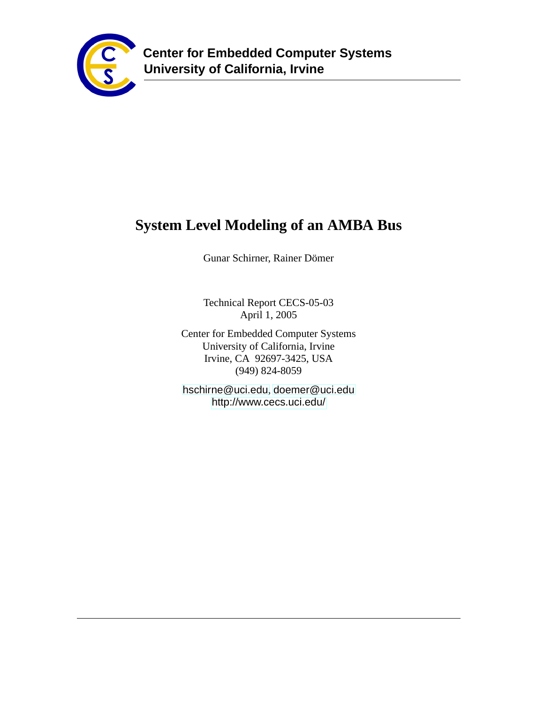

# **System Level Modeling of an AMBA Bus**

Gunar Schirner, Rainer Dömer

Technical Report CECS-05-03 April 1, 2005

Center for Embedded Computer Systems University of California, Irvine Irvine, CA 92697-3425, USA (949) 824-8059

<hschirne@uci.edu>, <doemer@uci.edu> <http://www.cecs.uci.edu/>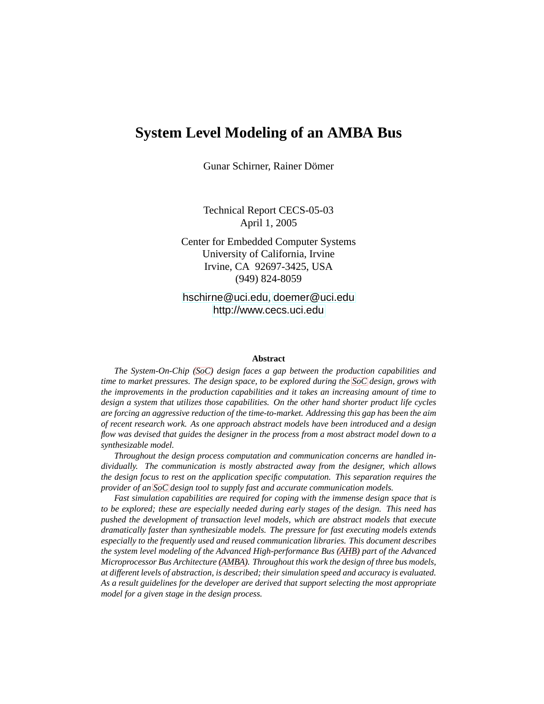# **System Level Modeling of an AMBA Bus**

Gunar Schirner, Rainer Dömer

Technical Report CECS-05-03 April 1, 2005

Center for Embedded Computer Systems University of California, Irvine Irvine, CA 92697-3425, USA (949) 824-8059

<hschirne@uci.edu>, <doemer@uci.edu> <http://www.cecs.uci.edu>

#### **Abstract**

*The System-On-Chip [\(SoC\)](#page-6-0) design faces a gap between the production capabilities and time to market pressures. The design space, to be explored during the [SoC](#page-6-0) design, grows with the improvements in the production capabilities and it takes an increasing amount of time to design a system that utilizes those capabilities. On the other hand shorter product life cycles are forcing an aggressive reduction of the time-to-market. Addressing this gap has been the aim of recent research work. As one approach abstract models have been introduced and a design flow was devised that guides the designer in the process from a most abstract model down to a synthesizable model.*

*Throughout the design process computation and communication concerns are handled individually. The communication is mostly abstracted away from the designer, which allows the design focus to rest on the application specific computation. This separation requires the provider of an [SoC](#page-6-0) design tool to supply fast and accurate communication models.*

*Fast simulation capabilities are required for coping with the immense design space that is to be explored; these are especially needed during early stages of the design. This need has pushed the development of transaction level models, which are abstract models that execute dramatically faster than synthesizable models. The pressure for fast executing models extends especially to the frequently used and reused communication libraries. This document describes the system level modeling of the Advanced High-performance Bus [\(AHB\)](#page-5-0) part of the Advanced Microprocessor Bus Architecture [\(AMBA\)](#page-5-1). Throughout this work the design of three bus models, at different levels of abstraction, is described; their simulation speed and accuracy is evaluated. As a result guidelines for the developer are derived that support selecting the most appropriate model for a given stage in the design process.*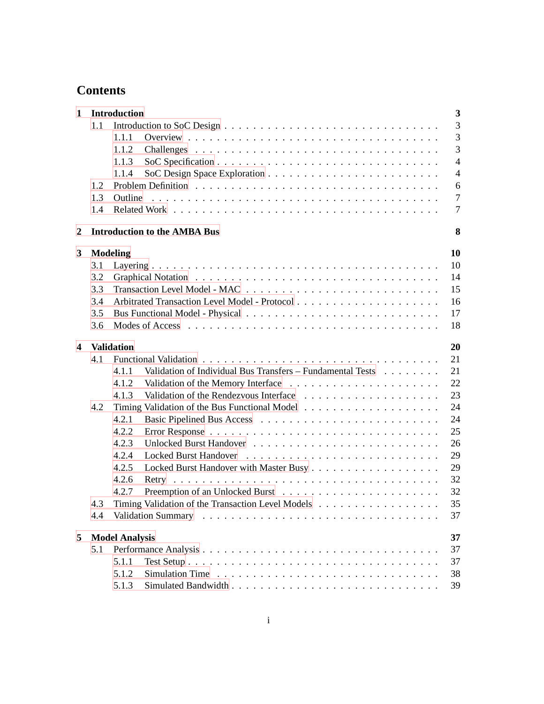# **Contents**

| $\mathbf 1$             |     | $\overline{\mathbf{3}}$<br><b>Introduction</b>                            |
|-------------------------|-----|---------------------------------------------------------------------------|
|                         | 1.1 | 3                                                                         |
|                         |     | $\overline{3}$<br>1.1.1                                                   |
|                         |     | 3<br>1.1.2                                                                |
|                         |     | $\overline{4}$<br>1.1.3                                                   |
|                         |     | $\overline{4}$<br>1.1.4                                                   |
|                         | 1.2 | 6                                                                         |
|                         | 1.3 | $\overline{7}$<br>Outline                                                 |
|                         | 1.4 | $\overline{7}$                                                            |
| 2                       |     | <b>Introduction to the AMBA Bus</b><br>8                                  |
| 3                       |     | <b>Modeling</b><br>10                                                     |
|                         | 3.1 | 10                                                                        |
|                         | 3.2 | 14                                                                        |
|                         | 3.3 | 15                                                                        |
|                         | 3.4 | 16                                                                        |
|                         | 3.5 | 17                                                                        |
|                         | 3.6 | 18                                                                        |
|                         |     |                                                                           |
| $\overline{\mathbf{4}}$ |     | <b>Validation</b><br>20                                                   |
|                         | 4.1 | 21                                                                        |
|                         |     | Validation of Individual Bus Transfers - Fundamental Tests<br>21<br>4.1.1 |
|                         |     | 22<br>4.1.2                                                               |
|                         |     | 23<br>4.1.3                                                               |
|                         | 4.2 | 24                                                                        |
|                         |     | 4.2.1<br>24                                                               |
|                         |     | 25<br>4.2.2                                                               |
|                         |     | 4.2.3<br>26                                                               |
|                         |     | 29<br>4.2.4                                                               |
|                         |     | 29<br>4.2.5                                                               |
|                         |     | 32<br>4.2.6                                                               |
|                         |     | 32<br>4.2.7                                                               |
|                         | 4.3 | 35<br>Timing Validation of the Transaction Level Models                   |
|                         | 4.4 | 37                                                                        |
| 5                       |     | <b>Model Analysis</b><br>37                                               |
|                         | 5.1 | 37                                                                        |
|                         |     | 37<br>5.1.1                                                               |
|                         |     | 5.1.2<br>38                                                               |
|                         |     | 39<br>5.1.3                                                               |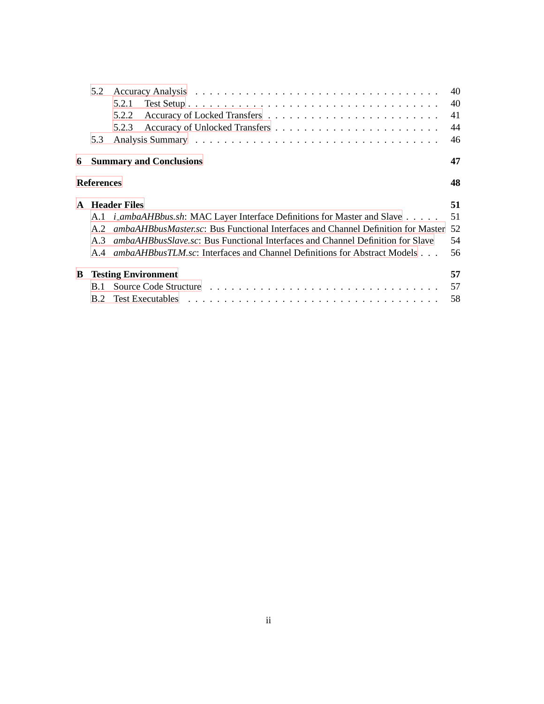|   | 5.2               |                                                                                   | 40 |
|---|-------------------|-----------------------------------------------------------------------------------|----|
|   |                   | 5.2.1                                                                             | 40 |
|   |                   | 5.2.2                                                                             | 41 |
|   |                   | 5.2.3                                                                             | 44 |
|   | 5.3               |                                                                                   | 46 |
| 6 |                   | <b>Summary and Conclusions</b>                                                    | 47 |
|   | <b>References</b> |                                                                                   | 48 |
|   |                   | <b>A</b> Header Files                                                             | 51 |
|   |                   | A.1 <i>i_ambaAHBbus.sh</i> : MAC Layer Interface Definitions for Master and Slave | 51 |
|   |                   |                                                                                   |    |
|   | A.2               | ambaAHBbusMaster.sc: Bus Functional Interfaces and Channel Definition for Master  | 52 |
|   | A.3               | ambaAHBbusSlave.sc: Bus Functional Interfaces and Channel Definition for Slave    | 54 |
|   | A 4               | <i>ambaAHBbusTLM.sc</i> : Interfaces and Channel Definitions for Abstract Models  | 56 |
| B |                   | <b>Testing Environment</b>                                                        | 57 |
|   | <b>B.1</b>        |                                                                                   | 57 |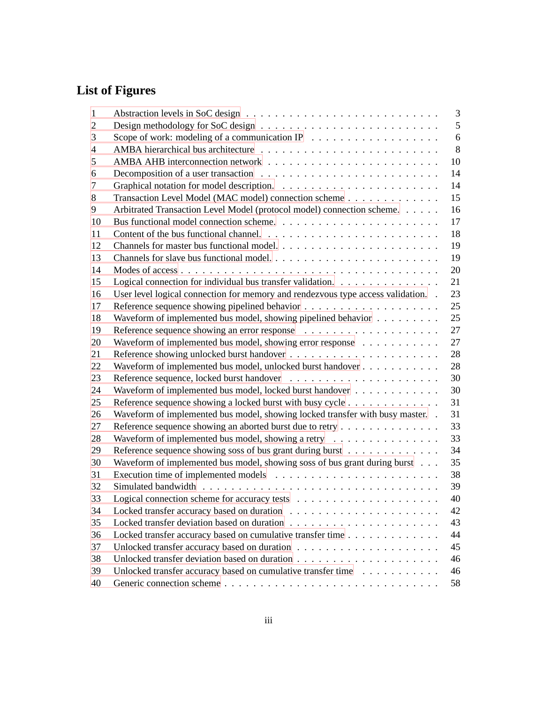# **List of Figures**

| 1              |                                                                                   | 3  |
|----------------|-----------------------------------------------------------------------------------|----|
| $\overline{2}$ |                                                                                   | 5  |
| 3              |                                                                                   | 6  |
| 4              |                                                                                   | 8  |
| 5              |                                                                                   | 10 |
| 6              |                                                                                   | 14 |
| 7              |                                                                                   | 14 |
| 8              | Transaction Level Model (MAC model) connection scheme                             | 15 |
| 9              | Arbitrated Transaction Level Model (protocol model) connection scheme.            | 16 |
| 10             |                                                                                   | 17 |
| 11             |                                                                                   | 18 |
| 12             |                                                                                   | 19 |
| 13             |                                                                                   | 19 |
| 14             |                                                                                   | 20 |
| 15             | Logical connection for individual bus transfer validation.                        | 21 |
| 16             | User level logical connection for memory and rendezvous type access validation. . | 23 |
| 17             |                                                                                   | 25 |
| 18             | Waveform of implemented bus model, showing pipelined behavior                     | 25 |
| 19             |                                                                                   | 27 |
| 20             | Waveform of implemented bus model, showing error response                         | 27 |
| 21             |                                                                                   | 28 |
| 22             | Waveform of implemented bus model, unlocked burst handover                        | 28 |
| 23             |                                                                                   | 30 |
| 24             | Waveform of implemented bus model, locked burst handover                          | 30 |
| 25             | Reference sequence showing a locked burst with busy cycle                         | 31 |
| 26             | Waveform of implemented bus model, showing locked transfer with busy master. .    | 31 |
| 27             | Reference sequence showing an aborted burst due to retry                          | 33 |
| 28             | Waveform of implemented bus model, showing a retry                                | 33 |
| 29             | Reference sequence showing soss of bus grant during burst                         | 34 |
| 30             | Waveform of implemented bus model, showing soss of bus grant during burst         | 35 |
| 31             |                                                                                   | 38 |
| 32             |                                                                                   | 39 |
| 33             |                                                                                   | 40 |
| 34             |                                                                                   | 42 |
| 35             |                                                                                   | 43 |
| 36             | Locked transfer accuracy based on cumulative transfer time                        | 44 |
| 37             |                                                                                   | 45 |
| 38             |                                                                                   | 46 |
| 39             | Unlocked transfer accuracy based on cumulative transfer time                      | 46 |
| 40             |                                                                                   | 58 |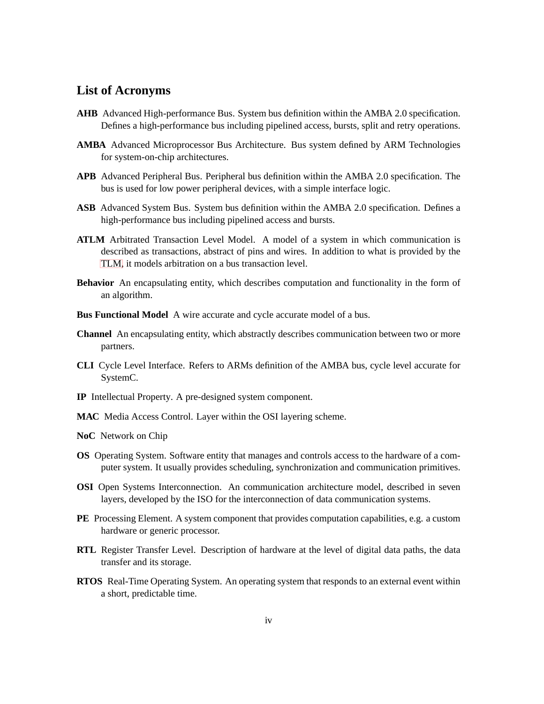# **List of Acronyms**

- <span id="page-5-0"></span>**AHB** Advanced High-performance Bus. System bus definition within the AMBA 2.0 specification. Defines a high-performance bus including pipelined access, bursts, split and retry operations.
- <span id="page-5-1"></span>**AMBA** Advanced Microprocessor Bus Architecture. Bus system defined by ARM Technologies for system-on-chip architectures.
- <span id="page-5-8"></span>**APB** Advanced Peripheral Bus. Peripheral bus definition within the AMBA 2.0 specification. The bus is used for low power peripheral devices, with a simple interface logic.
- <span id="page-5-7"></span>**ASB** Advanced System Bus. System bus definition within the AMBA 2.0 specification. Defines a high-performance bus including pipelined access and bursts.
- <span id="page-5-12"></span>**ATLM** Arbitrated Transaction Level Model. A model of a system in which communication is described as transactions, abstract of pins and wires. In addition to what is provided by the [TLM,](#page-6-1) it models arbitration on a bus transaction level.
- **Behavior** An encapsulating entity, which describes computation and functionality in the form of an algorithm.
- **Bus Functional Model** A wire accurate and cycle accurate model of a bus.
- **Channel** An encapsulating entity, which abstractly describes communication between two or more partners.
- <span id="page-5-6"></span>**CLI** Cycle Level Interface. Refers to ARMs definition of the AMBA bus, cycle level accurate for SystemC.
- <span id="page-5-3"></span>**IP** Intellectual Property. A pre-designed system component.
- <span id="page-5-11"></span>**MAC** Media Access Control. Layer within the OSI layering scheme.
- <span id="page-5-4"></span>**NoC** Network on Chip
- <span id="page-5-10"></span>**OS** Operating System. Software entity that manages and controls access to the hardware of a computer system. It usually provides scheduling, synchronization and communication primitives.
- <span id="page-5-5"></span>**OSI** Open Systems Interconnection. An communication architecture model, described in seven layers, developed by the ISO for the interconnection of data communication systems.
- <span id="page-5-9"></span>**PE** Processing Element. A system component that provides computation capabilities, e.g. a custom hardware or generic processor.
- <span id="page-5-2"></span>**RTL** Register Transfer Level. Description of hardware at the level of digital data paths, the data transfer and its storage.
- **RTOS** Real-Time Operating System. An operating system that responds to an external event within a short, predictable time.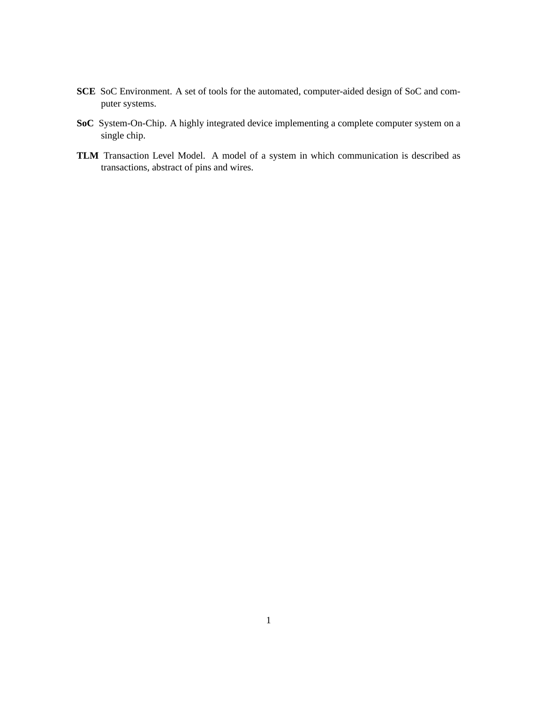- <span id="page-6-2"></span>**SCE** SoC Environment. A set of tools for the automated, computer-aided design of SoC and computer systems.
- <span id="page-6-0"></span>**SoC** System-On-Chip. A highly integrated device implementing a complete computer system on a single chip.
- <span id="page-6-1"></span>**TLM** Transaction Level Model. A model of a system in which communication is described as transactions, abstract of pins and wires.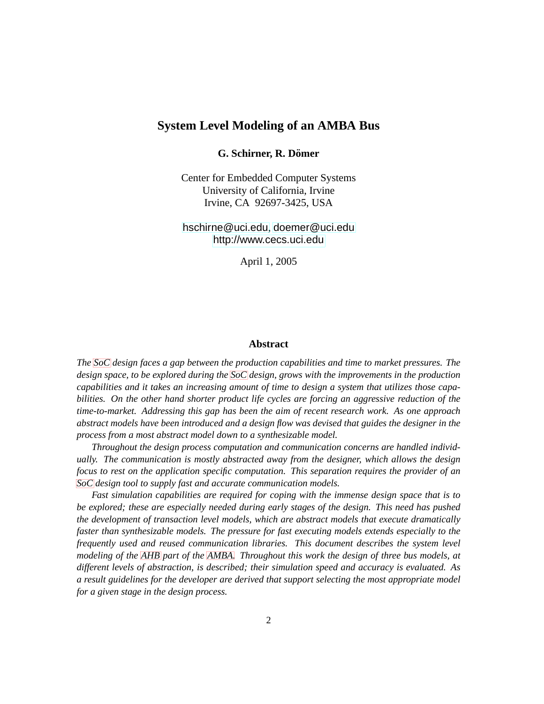### **System Level Modeling of an AMBA Bus**

#### **G. Schirner, R. Domer ¨**

Center for Embedded Computer Systems University of California, Irvine Irvine, CA 92697-3425, USA

<hschirne@uci.edu>, <doemer@uci.edu> <http://www.cecs.uci.edu>

April 1, 2005

#### **Abstract**

*The [SoC](#page-6-0) design faces a gap between the production capabilities and time to market pressures. The design space, to be explored during the [SoC](#page-6-0) design, grows with the improvements in the production capabilities and it takes an increasing amount of time to design a system that utilizes those capabilities. On the other hand shorter product life cycles are forcing an aggressive reduction of the time-to-market. Addressing this gap has been the aim of recent research work. As one approach abstract models have been introduced and a design flow was devised that guides the designer in the process from a most abstract model down to a synthesizable model.*

*Throughout the design process computation and communication concerns are handled individually. The communication is mostly abstracted away from the designer, which allows the design focus to rest on the application specific computation. This separation requires the provider of an [SoC](#page-6-0) design tool to supply fast and accurate communication models.*

*Fast simulation capabilities are required for coping with the immense design space that is to be explored; these are especially needed during early stages of the design. This need has pushed the development of transaction level models, which are abstract models that execute dramatically faster than synthesizable models. The pressure for fast executing models extends especially to the frequently used and reused communication libraries. This document describes the system level modeling of the [AHB](#page-5-0) part of the [AMBA.](#page-5-1) Throughout this work the design of three bus models, at different levels of abstraction, is described; their simulation speed and accuracy is evaluated. As a result guidelines for the developer are derived that support selecting the most appropriate model for a given stage in the design process.*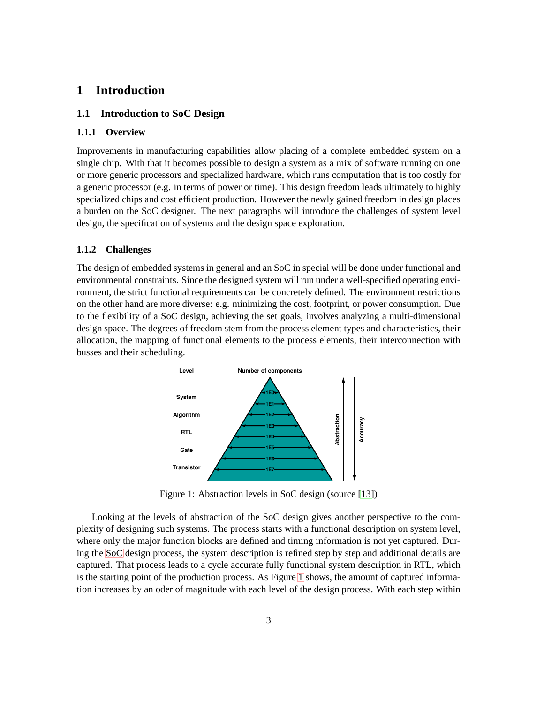# <span id="page-8-1"></span><span id="page-8-0"></span>**1 Introduction**

#### <span id="page-8-2"></span>**1.1 Introduction to SoC Design**

#### **1.1.1 Overview**

Improvements in manufacturing capabilities allow placing of a complete embedded system on a single chip. With that it becomes possible to design a system as a mix of software running on one or more generic processors and specialized hardware, which runs computation that is too costly for a generic processor (e.g. in terms of power or time). This design freedom leads ultimately to highly specialized chips and cost efficient production. However the newly gained freedom in design places a burden on the SoC designer. The next paragraphs will introduce the challenges of system level design, the specification of systems and the design space exploration.

#### <span id="page-8-3"></span>**1.1.2 Challenges**

The design of embedded systems in general and an SoC in special will be done under functional and environmental constraints. Since the designed system will run under a well-specified operating environment, the strict functional requirements can be concretely defined. The environment restrictions on the other hand are more diverse: e.g. minimizing the cost, footprint, or power consumption. Due to the flexibility of a SoC design, achieving the set goals, involves analyzing a multi-dimensional design space. The degrees of freedom stem from the process element types and characteristics, their allocation, the mapping of functional elements to the process elements, their interconnection with busses and their scheduling.



Figure 1: Abstraction levels in SoC design (source [\[13\]](#page-54-0))

Looking at the levels of abstraction of the SoC design gives another perspective to the complexity of designing such systems. The process starts with a functional description on system level, where only the major function blocks are defined and timing information is not yet captured. During the [SoC](#page-6-0) design process, the system description is refined step by step and additional details are captured. That process leads to a cycle accurate fully functional system description in RTL, which is the starting point of the production process. As Figure [1](#page-8-3) shows, the amount of captured information increases by an oder of magnitude with each level of the design process. With each step within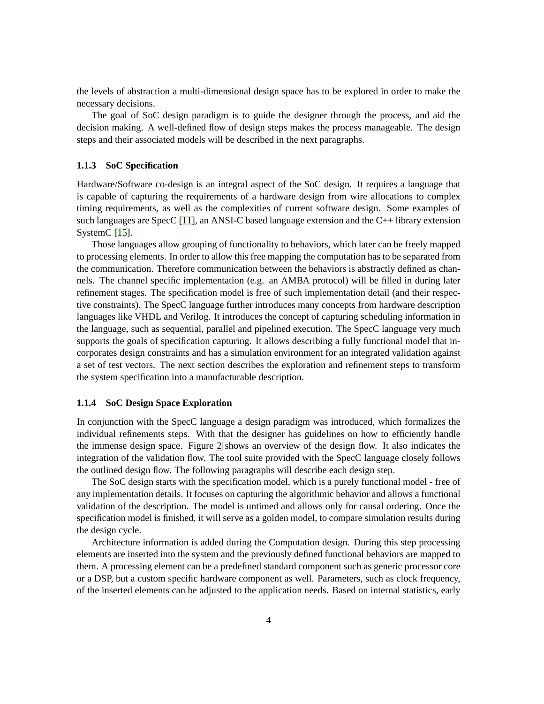the levels of abstraction a multi-dimensional design space has to be explored in order to make the necessary decisions.

The goal of SoC design paradigm is to guide the designer through the process, and aid the decision making. A well-defined flow of design steps makes the process manageable. The design steps and their associated models will be described in the next paragraphs.

#### <span id="page-9-0"></span>**1.1.3 SoC Specification**

Hardware/Software co-design is an integral aspect of the SoC design. It requires a language that is capable of capturing the requirements of a hardware design from wire allocations to complex timing requirements, as well as the complexities of current software design. Some examples of such languages are SpecC [\[11\]](#page-54-1), an ANSI-C based language extension and the C++ library extension SystemC<sup>[15]</sup>.

Those languages allow grouping of functionality to behaviors, which later can be freely mapped to processing elements. In order to allow this free mapping the computation has to be separated from the communication. Therefore communication between the behaviors is abstractly defined as channels. The channel specific implementation (e.g. an AMBA protocol) will be filled in during later refinement stages. The specification model is free of such implementation detail (and their respective constraints). The SpecC language further introduces many concepts from hardware description languages like VHDL and Verilog. It introduces the concept of capturing scheduling information in the language, such as sequential, parallel and pipelined execution. The SpecC language very much supports the goals of specification capturing. It allows describing a fully functional model that incorporates design constraints and has a simulation environment for an integrated validation against a set of test vectors. The next section describes the exploration and refinement steps to transform the system specification into a manufacturable description.

#### <span id="page-9-1"></span>**1.1.4 SoC Design Space Exploration**

In conjunction with the SpecC language a design paradigm was introduced, which formalizes the individual refinements steps. With that the designer has guidelines on how to efficiently handle the immense design space. Figure [2](#page-9-1) shows an overview of the design flow. It also indicates the integration of the validation flow. The tool suite provided with the SpecC language closely follows the outlined design flow. The following paragraphs will describe each design step.

The SoC design starts with the specification model, which is a purely functional model - free of any implementation details. It focuses on capturing the algorithmic behavior and allows a functional validation of the description. The model is untimed and allows only for causal ordering. Once the specification model is finished, it will serve as a golden model, to compare simulation results during the design cycle.

Architecture information is added during the Computation design. During this step processing elements are inserted into the system and the previously defined functional behaviors are mapped to them. A processing element can be a predefined standard component such as generic processor core or a DSP, but a custom specific hardware component as well. Parameters, such as clock frequency, of the inserted elements can be adjusted to the application needs. Based on internal statistics, early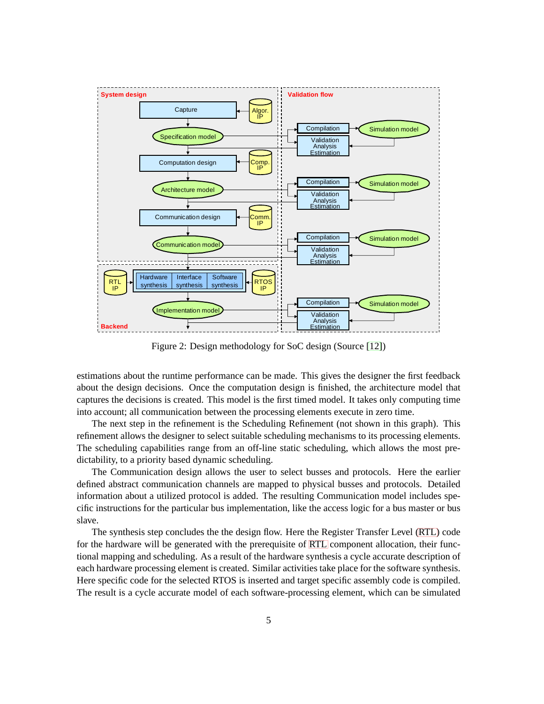

Figure 2: Design methodology for SoC design (Source [\[12\]](#page-54-3))

estimations about the runtime performance can be made. This gives the designer the first feedback about the design decisions. Once the computation design is finished, the architecture model that captures the decisions is created. This model is the first timed model. It takes only computing time into account; all communication between the processing elements execute in zero time.

The next step in the refinement is the Scheduling Refinement (not shown in this graph). This refinement allows the designer to select suitable scheduling mechanisms to its processing elements. The scheduling capabilities range from an off-line static scheduling, which allows the most predictability, to a priority based dynamic scheduling.

The Communication design allows the user to select busses and protocols. Here the earlier defined abstract communication channels are mapped to physical busses and protocols. Detailed information about a utilized protocol is added. The resulting Communication model includes specific instructions for the particular bus implementation, like the access logic for a bus master or bus slave.

The synthesis step concludes the the design flow. Here the Register Transfer Level [\(RTL\)](#page-5-2) code for the hardware will be generated with the prerequisite of [RTL](#page-5-2) component allocation, their functional mapping and scheduling. As a result of the hardware synthesis a cycle accurate description of each hardware processing element is created. Similar activities take place for the software synthesis. Here specific code for the selected RTOS is inserted and target specific assembly code is compiled. The result is a cycle accurate model of each software-processing element, which can be simulated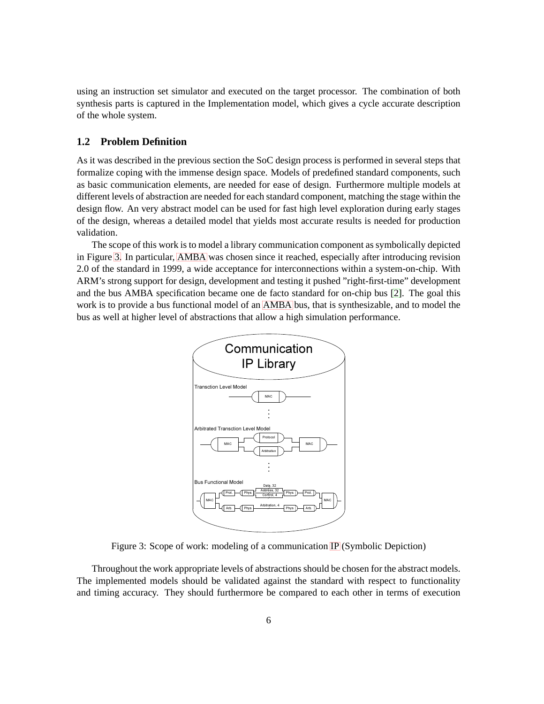using an instruction set simulator and executed on the target processor. The combination of both synthesis parts is captured in the Implementation model, which gives a cycle accurate description of the whole system.

#### <span id="page-11-0"></span>**1.2 Problem Definition**

As it was described in the previous section the SoC design process is performed in several steps that formalize coping with the immense design space. Models of predefined standard components, such as basic communication elements, are needed for ease of design. Furthermore multiple models at different levels of abstraction are needed for each standard component, matching the stage within the design flow. An very abstract model can be used for fast high level exploration during early stages of the design, whereas a detailed model that yields most accurate results is needed for production validation.

The scope of this work is to model a library communication component as symbolically depicted in Figure [3.](#page-11-0) In particular, [AMBA](#page-5-1) was chosen since it reached, especially after introducing revision 2.0 of the standard in 1999, a wide acceptance for interconnections within a system-on-chip. With ARM's strong support for design, development and testing it pushed "right-first-time" development and the bus AMBA specification became one de facto standard for on-chip bus [\[2\]](#page-53-1). The goal this work is to provide a bus functional model of an [AMBA](#page-5-1) bus, that is synthesizable, and to model the bus as well at higher level of abstractions that allow a high simulation performance.



Figure 3: Scope of work: modeling of a communication [IP](#page-5-3) (Symbolic Depiction)

Throughout the work appropriate levels of abstractions should be chosen for the abstract models. The implemented models should be validated against the standard with respect to functionality and timing accuracy. They should furthermore be compared to each other in terms of execution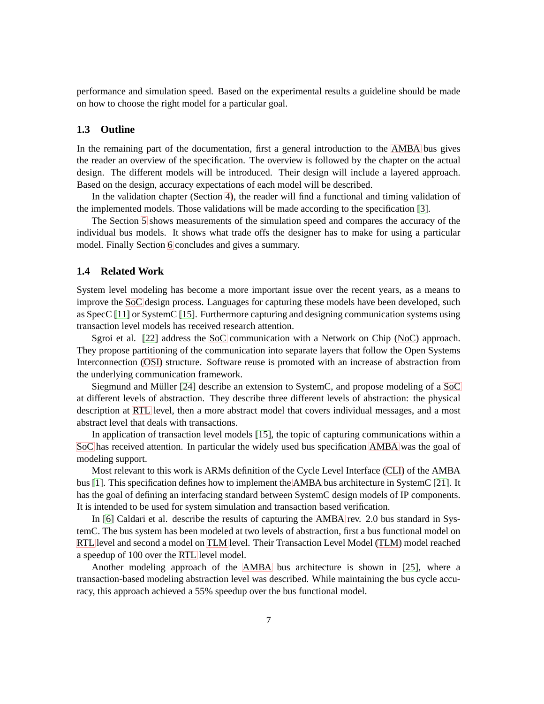performance and simulation speed. Based on the experimental results a guideline should be made on how to choose the right model for a particular goal.

#### <span id="page-12-0"></span>**1.3 Outline**

In the remaining part of the documentation, first a general introduction to the [AMBA](#page-5-1) bus gives the reader an overview of the specification. The overview is followed by the chapter on the actual design. The different models will be introduced. Their design will include a layered approach. Based on the design, accuracy expectations of each model will be described.

In the validation chapter (Section [4\)](#page-25-0), the reader will find a functional and timing validation of the implemented models. Those validations will be made according to the specification [\[3\]](#page-53-2).

The Section [5](#page-42-1) shows measurements of the simulation speed and compares the accuracy of the individual bus models. It shows what trade offs the designer has to make for using a particular model. Finally Section [6](#page-52-0) concludes and gives a summary.

#### <span id="page-12-1"></span>**1.4 Related Work**

System level modeling has become a more important issue over the recent years, as a means to improve the [SoC](#page-6-0) design process. Languages for capturing these models have been developed, such as SpecC [\[11\]](#page-54-1) or SystemC [\[15\]](#page-54-2). Furthermore capturing and designing communication systems using transaction level models has received research attention.

Sgroi et al. [\[22\]](#page-54-4) address the [SoC](#page-6-0) communication with a Network on Chip [\(NoC\)](#page-5-4) approach. They propose partitioning of the communication into separate layers that follow the Open Systems Interconnection [\(OSI\)](#page-5-5) structure. Software reuse is promoted with an increase of abstraction from the underlying communication framework.

Siegmund and Müller [\[24\]](#page-54-5) describe an extension to SystemC, and propose modeling of a [SoC](#page-6-0) at different levels of abstraction. They describe three different levels of abstraction: the physical description at [RTL](#page-5-2) level, then a more abstract model that covers individual messages, and a most abstract level that deals with transactions.

In application of transaction level models [\[15\]](#page-54-2), the topic of capturing communications within a [SoC](#page-6-0) has received attention. In particular the widely used bus specification [AMBA](#page-5-1) was the goal of modeling support.

Most relevant to this work is ARMs definition of the Cycle Level Interface [\(CLI\)](#page-5-6) of the AMBA bus [\[1\]](#page-53-3). This specification defines how to implement the [AMBA](#page-5-1) bus architecture in SystemC [\[21\]](#page-54-6). It has the goal of defining an interfacing standard between SystemC design models of IP components. It is intended to be used for system simulation and transaction based verification.

In [\[6\]](#page-53-4) Caldari et al. describe the results of capturing the [AMBA](#page-5-1) rev. 2.0 bus standard in SystemC. The bus system has been modeled at two levels of abstraction, first a bus functional model on [RTL](#page-5-2) level and second a model on [TLM](#page-6-1) level. Their Transaction Level Model [\(TLM\)](#page-6-1) model reached a speedup of 100 over the [RTL](#page-5-2) level model.

Another modeling approach of the [AMBA](#page-5-1) bus architecture is shown in [\[25\]](#page-54-7), where a transaction-based modeling abstraction level was described. While maintaining the bus cycle accuracy, this approach achieved a 55% speedup over the bus functional model.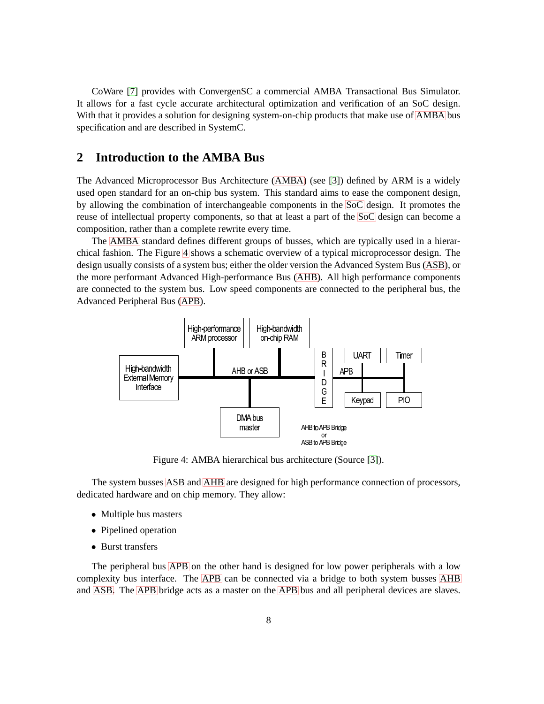CoWare [\[7\]](#page-53-5) provides with ConvergenSC a commercial AMBA Transactional Bus Simulator. It allows for a fast cycle accurate architectural optimization and verification of an SoC design. With that it provides a solution for designing system-on-chip products that make use of [AMBA](#page-5-1) bus specification and are described in SystemC.

# <span id="page-13-0"></span>**2 Introduction to the AMBA Bus**

The Advanced Microprocessor Bus Architecture [\(AMBA\)](#page-5-1) (see [\[3\]](#page-53-2)) defined by ARM is a widely used open standard for an on-chip bus system. This standard aims to ease the component design, by allowing the combination of interchangeable components in the [SoC](#page-6-0) design. It promotes the reuse of intellectual property components, so that at least a part of the [SoC](#page-6-0) design can become a composition, rather than a complete rewrite every time.

The [AMBA](#page-5-1) standard defines different groups of busses, which are typically used in a hierarchical fashion. The Figure [4](#page-13-0) shows a schematic overview of a typical microprocessor design. The design usually consists of a system bus; either the older version the Advanced System Bus [\(ASB\)](#page-5-7), or the more performant Advanced High-performance Bus [\(AHB\)](#page-5-0). All high performance components are connected to the system bus. Low speed components are connected to the peripheral bus, the Advanced Peripheral Bus [\(APB\)](#page-5-8).



Figure 4: AMBA hierarchical bus architecture (Source [\[3\]](#page-53-2)).

The system busses [ASB](#page-5-7) and [AHB](#page-5-0) are designed for high performance connection of processors, dedicated hardware and on chip memory. They allow:

- Multiple bus masters
- Pipelined operation
- Burst transfers

The peripheral bus [APB](#page-5-8) on the other hand is designed for low power peripherals with a low complexity bus interface. The [APB](#page-5-8) can be connected via a bridge to both system busses [AHB](#page-5-0) and [ASB.](#page-5-7) The [APB](#page-5-8) bridge acts as a master on the [APB](#page-5-8) bus and all peripheral devices are slaves.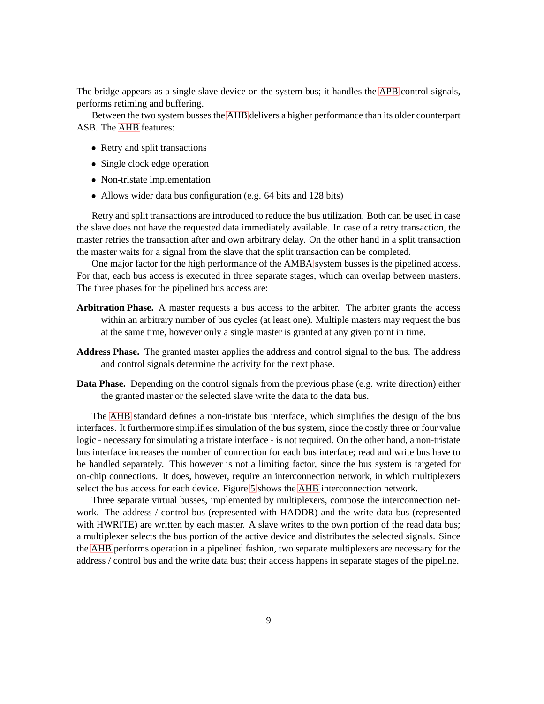The bridge appears as a single slave device on the system bus; it handles the [APB](#page-5-8) control signals, performs retiming and buffering.

Between the two system busses the [AHB](#page-5-0) delivers a higher performance than its older counterpart [ASB.](#page-5-7) The [AHB](#page-5-0) features:

- Retry and split transactions
- Single clock edge operation
- Non-tristate implementation
- Allows wider data bus configuration (e.g. 64 bits and 128 bits)

Retry and split transactions are introduced to reduce the bus utilization. Both can be used in case the slave does not have the requested data immediately available. In case of a retry transaction, the master retries the transaction after and own arbitrary delay. On the other hand in a split transaction the master waits for a signal from the slave that the split transaction can be completed.

One major factor for the high performance of the [AMBA](#page-5-1) system busses is the pipelined access. For that, each bus access is executed in three separate stages, which can overlap between masters. The three phases for the pipelined bus access are:

- **Arbitration Phase.** A master requests a bus access to the arbiter. The arbiter grants the access within an arbitrary number of bus cycles (at least one). Multiple masters may request the bus at the same time, however only a single master is granted at any given point in time.
- **Address Phase.** The granted master applies the address and control signal to the bus. The address and control signals determine the activity for the next phase.
- **Data Phase.** Depending on the control signals from the previous phase (e.g. write direction) either the granted master or the selected slave write the data to the data bus.

The [AHB](#page-5-0) standard defines a non-tristate bus interface, which simplifies the design of the bus interfaces. It furthermore simplifies simulation of the bus system, since the costly three or four value logic - necessary for simulating a tristate interface - is not required. On the other hand, a non-tristate bus interface increases the number of connection for each bus interface; read and write bus have to be handled separately. This however is not a limiting factor, since the bus system is targeted for on-chip connections. It does, however, require an interconnection network, in which multiplexers select the bus access for each device. Figure [5](#page-13-0) shows the [AHB](#page-5-0) interconnection network.

Three separate virtual busses, implemented by multiplexers, compose the interconnection network. The address / control bus (represented with HADDR) and the write data bus (represented with HWRITE) are written by each master. A slave writes to the own portion of the read data bus; a multiplexer selects the bus portion of the active device and distributes the selected signals. Since the [AHB](#page-5-0) performs operation in a pipelined fashion, two separate multiplexers are necessary for the address / control bus and the write data bus; their access happens in separate stages of the pipeline.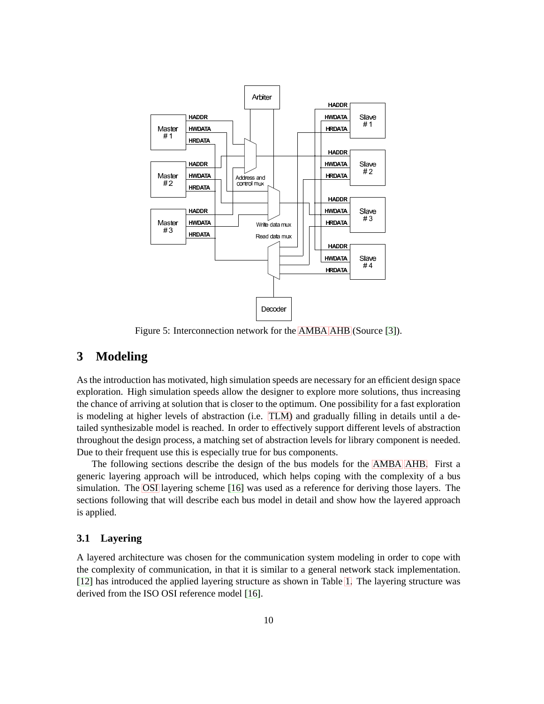

Figure 5: Interconnection network for the [AMBA](#page-5-1) [AHB](#page-5-0) (Source [\[3\]](#page-53-2)).

# <span id="page-15-0"></span>**3 Modeling**

As the introduction has motivated, high simulation speeds are necessary for an efficient design space exploration. High simulation speeds allow the designer to explore more solutions, thus increasing the chance of arriving at solution that is closer to the optimum. One possibility for a fast exploration is modeling at higher levels of abstraction (i.e. [TLM\)](#page-6-1) and gradually filling in details until a detailed synthesizable model is reached. In order to effectively support different levels of abstraction throughout the design process, a matching set of abstraction levels for library component is needed. Due to their frequent use this is especially true for bus components.

The following sections describe the design of the bus models for the [AMBA](#page-5-1) [AHB.](#page-5-0) First a generic layering approach will be introduced, which helps coping with the complexity of a bus simulation. The [OSI](#page-5-5) layering scheme [\[16\]](#page-54-8) was used as a reference for deriving those layers. The sections following that will describe each bus model in detail and show how the layered approach is applied.

#### <span id="page-15-1"></span>**3.1 Layering**

A layered architecture was chosen for the communication system modeling in order to cope with the complexity of communication, in that it is similar to a general network stack implementation. [\[12\]](#page-54-3) has introduced the applied layering structure as shown in Table [1.](#page-15-1) The layering structure was derived from the ISO OSI reference model [\[16\]](#page-54-8).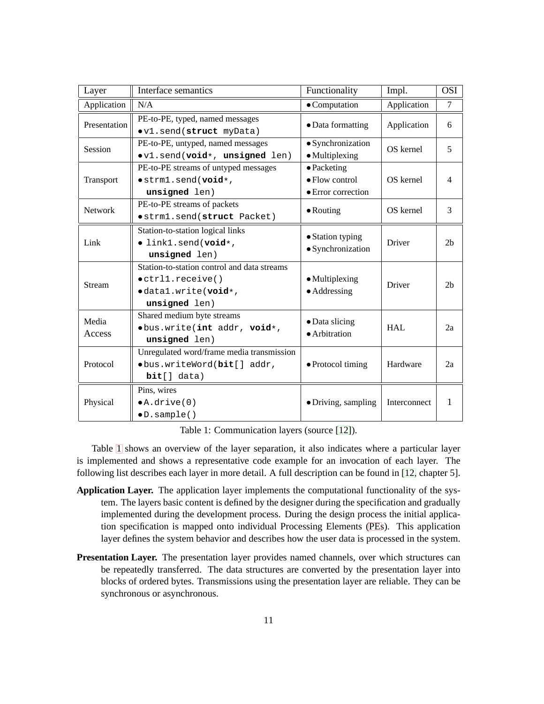| Layer           | Interface semantics                                                                                                       | Functionality                                               | Impl.        | <b>OSI</b>     |
|-----------------|---------------------------------------------------------------------------------------------------------------------------|-------------------------------------------------------------|--------------|----------------|
| Application     | N/A                                                                                                                       | $\bullet$ Computation                                       | Application  | $\tau$         |
| Presentation    | PE-to-PE, typed, named messages<br>ov1.send(struct myData)                                                                | • Data formatting                                           | Application  | 6              |
| Session         | PE-to-PE, untyped, named messages<br>ov1.send(void*, unsigned len)                                                        | · Synchronization<br>$\bullet$ Multiplexing                 | OS kernel    | 5              |
| Transport       | PE-to-PE streams of untyped messages<br>$\bullet$ strm1.send(void*,<br>unsigned len)                                      | • Packeting<br>$\bullet$ Flow control<br>• Error correction | OS kernel    | 4              |
| Network         | PE-to-PE streams of packets<br><i>ostrml.send(struct Packet)</i>                                                          | $\bullet$ Routing                                           | OS kernel    | 3              |
| Link            | Station-to-station logical links<br>· link1.send(void*,<br>unsigned len)                                                  | • Station typing<br>$\bullet$ Synchronization               | Driver       | 2 <sub>b</sub> |
| <b>Stream</b>   | Station-to-station control and data streams<br>$\bullet$ ctrll.receive()<br>$\bullet$ datal.write(void*,<br>unsigned len) | • Multiplexing<br>$\bullet$ Addressing                      | Driver       | 2 <sub>b</sub> |
| Media<br>Access | Shared medium byte streams<br>·bus.write(int addr, void*,<br>unsigned len)                                                | • Data slicing<br>• Arbitration                             | <b>HAL</b>   | 2a             |
| Protocol        | Unregulated word/frame media transmission<br>·bus.writeWord(bit[] addr,<br>bit[] data)                                    | • Protocol timing                                           | Hardware     | 2a             |
| Physical        | Pins, wires<br>$\bullet$ A.drive $(0)$<br>$\bullet$ D. sample()                                                           | • Driving, sampling                                         | Interconnect | 1              |

Table 1: Communication layers (source [\[12\]](#page-54-3)).

Table [1](#page-15-1) shows an overview of the layer separation, it also indicates where a particular layer is implemented and shows a representative code example for an invocation of each layer. The following list describes each layer in more detail. A full description can be found in [\[12,](#page-54-3) chapter 5].

- **Application Layer.** The application layer implements the computational functionality of the system. The layers basic content is defined by the designer during the specification and gradually implemented during the development process. During the design process the initial application specification is mapped onto individual Processing Elements [\(PEs](#page-5-9)). This application layer defines the system behavior and describes how the user data is processed in the system.
- **Presentation Layer.** The presentation layer provides named channels, over which structures can be repeatedly transferred. The data structures are converted by the presentation layer into blocks of ordered bytes. Transmissions using the presentation layer are reliable. They can be synchronous or asynchronous.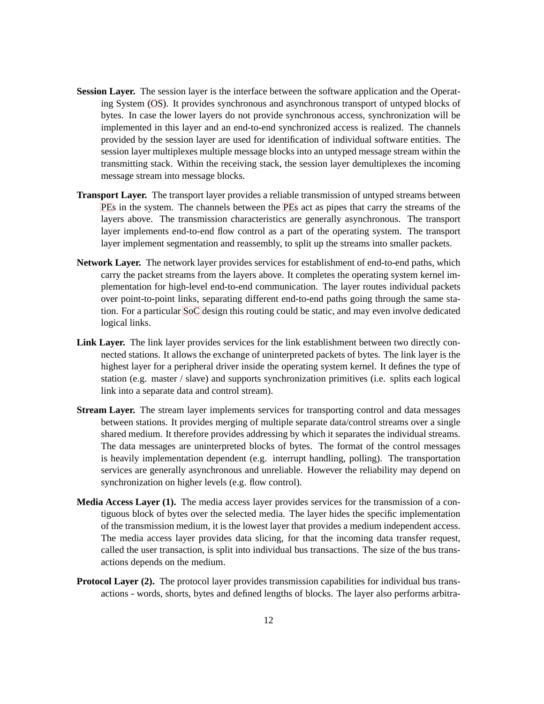- **Session Layer.** The session layer is the interface between the software application and the Operating System [\(OS\)](#page-5-10). It provides synchronous and asynchronous transport of untyped blocks of bytes. In case the lower layers do not provide synchronous access, synchronization will be implemented in this layer and an end-to-end synchronized access is realized. The channels provided by the session layer are used for identification of individual software entities. The session layer multiplexes multiple message blocks into an untyped message stream within the transmitting stack. Within the receiving stack, the session layer demultiplexes the incoming message stream into message blocks.
- **Transport Layer.** The transport layer provides a reliable transmission of untyped streams between [PEs](#page-5-9) in the system. The channels between the [PEs](#page-5-9) act as pipes that carry the streams of the layers above. The transmission characteristics are generally asynchronous. The transport layer implements end-to-end flow control as a part of the operating system. The transport layer implement segmentation and reassembly, to split up the streams into smaller packets.
- **Network Layer.** The network layer provides services for establishment of end-to-end paths, which carry the packet streams from the layers above. It completes the operating system kernel implementation for high-level end-to-end communication. The layer routes individual packets over point-to-point links, separating different end-to-end paths going through the same station. For a particular [SoC](#page-6-0) design this routing could be static, and may even involve dedicated logical links.
- **Link Layer.** The link layer provides services for the link establishment between two directly connected stations. It allows the exchange of uninterpreted packets of bytes. The link layer is the highest layer for a peripheral driver inside the operating system kernel. It defines the type of station (e.g. master / slave) and supports synchronization primitives (i.e. splits each logical link into a separate data and control stream).
- **Stream Layer.** The stream layer implements services for transporting control and data messages between stations. It provides merging of multiple separate data/control streams over a single shared medium. It therefore provides addressing by which it separates the individual streams. The data messages are uninterpreted blocks of bytes. The format of the control messages is heavily implementation dependent (e.g. interrupt handling, polling). The transportation services are generally asynchronous and unreliable. However the reliability may depend on synchronization on higher levels (e.g. flow control).
- **Media Access Layer (1).** The media access layer provides services for the transmission of a contiguous block of bytes over the selected media. The layer hides the specific implementation of the transmission medium, it is the lowest layer that provides a medium independent access. The media access layer provides data slicing, for that the incoming data transfer request, called the user transaction, is split into individual bus transactions. The size of the bus transactions depends on the medium.
- **Protocol Layer (2).** The protocol layer provides transmission capabilities for individual bus transactions - words, shorts, bytes and defined lengths of blocks. The layer also performs arbitra-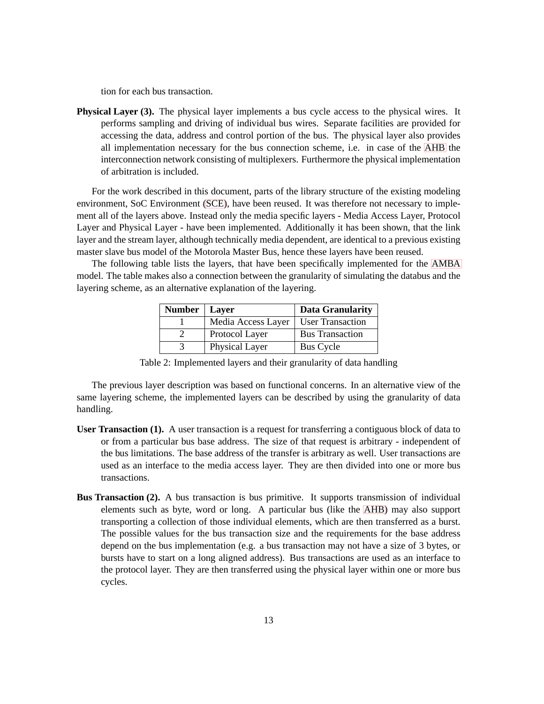tion for each bus transaction.

**Physical Layer (3).** The physical layer implements a bus cycle access to the physical wires. It performs sampling and driving of individual bus wires. Separate facilities are provided for accessing the data, address and control portion of the bus. The physical layer also provides all implementation necessary for the bus connection scheme, i.e. in case of the [AHB](#page-5-0) the interconnection network consisting of multiplexers. Furthermore the physical implementation of arbitration is included.

For the work described in this document, parts of the library structure of the existing modeling environment, SoC Environment [\(SCE\)](#page-6-2), have been reused. It was therefore not necessary to implement all of the layers above. Instead only the media specific layers - Media Access Layer, Protocol Layer and Physical Layer - have been implemented. Additionally it has been shown, that the link layer and the stream layer, although technically media dependent, are identical to a previous existing master slave bus model of the Motorola Master Bus, hence these layers have been reused.

The following table lists the layers, that have been specifically implemented for the [AMBA](#page-5-1) model. The table makes also a connection between the granularity of simulating the databus and the layering scheme, as an alternative explanation of the layering.

| Number | Layer              | <b>Data Granularity</b> |
|--------|--------------------|-------------------------|
|        | Media Access Layer | <b>User Transaction</b> |
|        | Protocol Layer     | <b>Bus Transaction</b>  |
|        | Physical Layer     | <b>Bus Cycle</b>        |

Table 2: Implemented layers and their granularity of data handling

The previous layer description was based on functional concerns. In an alternative view of the same layering scheme, the implemented layers can be described by using the granularity of data handling.

- **User Transaction (1).** A user transaction is a request for transferring a contiguous block of data to or from a particular bus base address. The size of that request is arbitrary - independent of the bus limitations. The base address of the transfer is arbitrary as well. User transactions are used as an interface to the media access layer. They are then divided into one or more bus transactions.
- **Bus Transaction (2).** A bus transaction is bus primitive. It supports transmission of individual elements such as byte, word or long. A particular bus (like the [AHB\)](#page-5-0) may also support transporting a collection of those individual elements, which are then transferred as a burst. The possible values for the bus transaction size and the requirements for the base address depend on the bus implementation (e.g. a bus transaction may not have a size of 3 bytes, or bursts have to start on a long aligned address). Bus transactions are used as an interface to the protocol layer. They are then transferred using the physical layer within one or more bus cycles.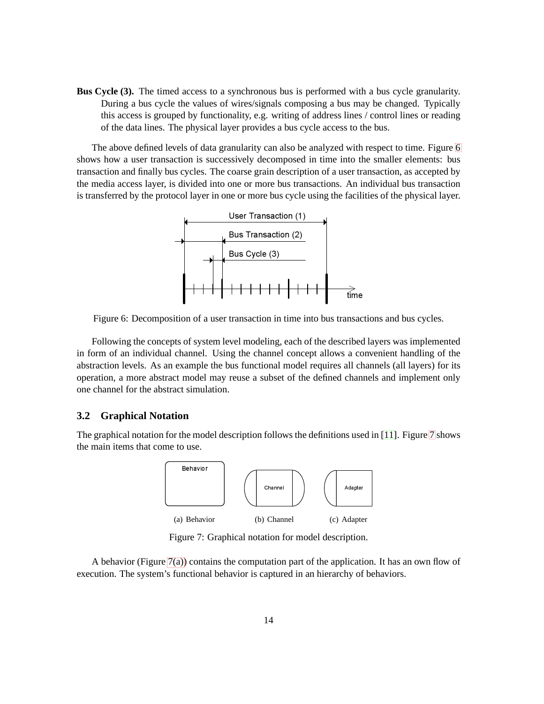**Bus Cycle (3).** The timed access to a synchronous bus is performed with a bus cycle granularity. During a bus cycle the values of wires/signals composing a bus may be changed. Typically this access is grouped by functionality, e.g. writing of address lines / control lines or reading of the data lines. The physical layer provides a bus cycle access to the bus.

The above defined levels of data granularity can also be analyzed with respect to time. Figure [6](#page-15-1) shows how a user transaction is successively decomposed in time into the smaller elements: bus transaction and finally bus cycles. The coarse grain description of a user transaction, as accepted by the media access layer, is divided into one or more bus transactions. An individual bus transaction is transferred by the protocol layer in one or more bus cycle using the facilities of the physical layer.



Figure 6: Decomposition of a user transaction in time into bus transactions and bus cycles.

Following the concepts of system level modeling, each of the described layers was implemented in form of an individual channel. Using the channel concept allows a convenient handling of the abstraction levels. As an example the bus functional model requires all channels (all layers) for its operation, a more abstract model may reuse a subset of the defined channels and implement only one channel for the abstract simulation.

#### <span id="page-19-0"></span>**3.2 Graphical Notation**

<span id="page-19-2"></span>The graphical notation for the model description follows the definitions used in [\[11\]](#page-54-1). Figure [7](#page-19-1) shows the main items that come to use.



<span id="page-19-3"></span><span id="page-19-1"></span>Figure 7: Graphical notation for model description.

A behavior (Figure [7\(a\)\)](#page-19-2) contains the computation part of the application. It has an own flow of execution. The system's functional behavior is captured in an hierarchy of behaviors.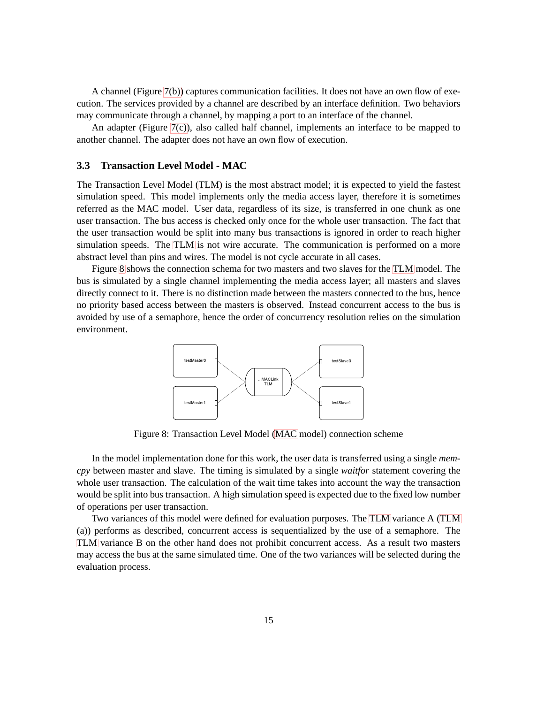A channel (Figure [7\(b\)\)](#page-19-3) captures communication facilities. It does not have an own flow of execution. The services provided by a channel are described by an interface definition. Two behaviors may communicate through a channel, by mapping a port to an interface of the channel.

An adapter (Figure  $7(c)$ ), also called half channel, implements an interface to be mapped to another channel. The adapter does not have an own flow of execution.

#### <span id="page-20-0"></span>**3.3 Transaction Level Model - MAC**

The Transaction Level Model [\(TLM\)](#page-6-1) is the most abstract model; it is expected to yield the fastest simulation speed. This model implements only the media access layer, therefore it is sometimes referred as the MAC model. User data, regardless of its size, is transferred in one chunk as one user transaction. The bus access is checked only once for the whole user transaction. The fact that the user transaction would be split into many bus transactions is ignored in order to reach higher simulation speeds. The [TLM](#page-6-1) is not wire accurate. The communication is performed on a more abstract level than pins and wires. The model is not cycle accurate in all cases.

Figure [8](#page-20-0) shows the connection schema for two masters and two slaves for the [TLM](#page-6-1) model. The bus is simulated by a single channel implementing the media access layer; all masters and slaves directly connect to it. There is no distinction made between the masters connected to the bus, hence no priority based access between the masters is observed. Instead concurrent access to the bus is avoided by use of a semaphore, hence the order of concurrency resolution relies on the simulation environment.



Figure 8: Transaction Level Model [\(MAC](#page-5-11) model) connection scheme

In the model implementation done for this work, the user data is transferred using a single *memcpy* between master and slave. The timing is simulated by a single *waitfor* statement covering the whole user transaction. The calculation of the wait time takes into account the way the transaction would be split into bus transaction. A high simulation speed is expected due to the fixed low number of operations per user transaction.

Two variances of this model were defined for evaluation purposes. The [TLM](#page-6-1) variance A [\(TLM](#page-6-1) (a)) performs as described, concurrent access is sequentialized by the use of a semaphore. The [TLM](#page-6-1) variance B on the other hand does not prohibit concurrent access. As a result two masters may access the bus at the same simulated time. One of the two variances will be selected during the evaluation process.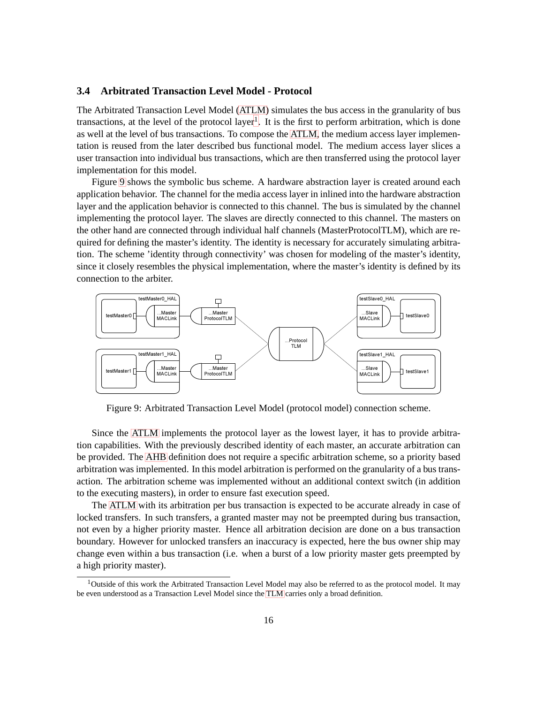#### <span id="page-21-0"></span>**3.4 Arbitrated Transaction Level Model - Protocol**

The Arbitrated Transaction Level Model [\(ATLM\)](#page-5-12) simulates the bus access in the granularity of bus transactions, at the level of the protocol layer<sup>[1](#page-21-1)</sup>. It is the first to perform arbitration, which is done as well at the level of bus transactions. To compose the [ATLM,](#page-5-12) the medium access layer implementation is reused from the later described bus functional model. The medium access layer slices a user transaction into individual bus transactions, which are then transferred using the protocol layer implementation for this model.

Figure [9](#page-21-0) shows the symbolic bus scheme. A hardware abstraction layer is created around each application behavior. The channel for the media access layer in inlined into the hardware abstraction layer and the application behavior is connected to this channel. The bus is simulated by the channel implementing the protocol layer. The slaves are directly connected to this channel. The masters on the other hand are connected through individual half channels (MasterProtocolTLM), which are required for defining the master's identity. The identity is necessary for accurately simulating arbitration. The scheme 'identity through connectivity' was chosen for modeling of the master's identity, since it closely resembles the physical implementation, where the master's identity is defined by its connection to the arbiter.



Figure 9: Arbitrated Transaction Level Model (protocol model) connection scheme.

Since the [ATLM](#page-5-12) implements the protocol layer as the lowest layer, it has to provide arbitration capabilities. With the previously described identity of each master, an accurate arbitration can be provided. The [AHB](#page-5-0) definition does not require a specific arbitration scheme, so a priority based arbitration was implemented. In this model arbitration is performed on the granularity of a bus transaction. The arbitration scheme was implemented without an additional context switch (in addition to the executing masters), in order to ensure fast execution speed.

The [ATLM](#page-5-12) with its arbitration per bus transaction is expected to be accurate already in case of locked transfers. In such transfers, a granted master may not be preempted during bus transaction, not even by a higher priority master. Hence all arbitration decision are done on a bus transaction boundary. However for unlocked transfers an inaccuracy is expected, here the bus owner ship may change even within a bus transaction (i.e. when a burst of a low priority master gets preempted by a high priority master).

<span id="page-21-1"></span><sup>&</sup>lt;sup>1</sup>Outside of this work the Arbitrated Transaction Level Model may also be referred to as the protocol model. It may be even understood as a Transaction Level Model since the [TLM](#page-6-1) carries only a broad definition.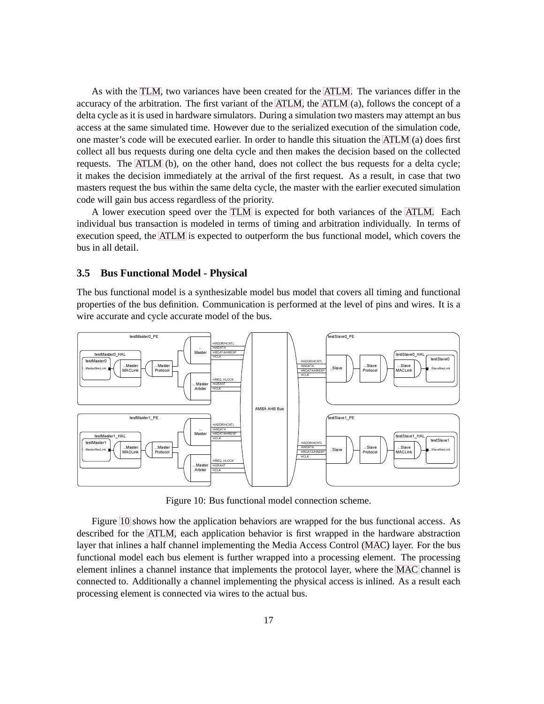As with the [TLM,](#page-6-1) two variances have been created for the [ATLM.](#page-5-12) The variances differ in the accuracy of the arbitration. The first variant of the [ATLM,](#page-5-12) the [ATLM](#page-5-12) (a), follows the concept of a delta cycle as it is used in hardware simulators. During a simulation two masters may attempt an bus access at the same simulated time. However due to the serialized execution of the simulation code, one master's code will be executed earlier. In order to handle this situation the [ATLM](#page-5-12) (a) does first collect all bus requests during one delta cycle and then makes the decision based on the collected requests. The [ATLM](#page-5-12) (b), on the other hand, does not collect the bus requests for a delta cycle; it makes the decision immediately at the arrival of the first request. As a result, in case that two masters request the bus within the same delta cycle, the master with the earlier executed simulation code will gain bus access regardless of the priority.

A lower execution speed over the [TLM](#page-6-1) is expected for both variances of the [ATLM.](#page-5-12) Each individual bus transaction is modeled in terms of timing and arbitration individually. In terms of execution speed, the [ATLM](#page-5-12) is expected to outperform the bus functional model, which covers the bus in all detail.

#### <span id="page-22-0"></span>**3.5 Bus Functional Model - Physical**

The bus functional model is a synthesizable model bus model that covers all timing and functional properties of the bus definition. Communication is performed at the level of pins and wires. It is a wire accurate and cycle accurate model of the bus.



Figure 10: Bus functional model connection scheme.

Figure [10](#page-22-0) shows how the application behaviors are wrapped for the bus functional access. As described for the [ATLM,](#page-5-12) each application behavior is first wrapped in the hardware abstraction layer that inlines a half channel implementing the Media Access Control [\(MAC\)](#page-5-11) layer. For the bus functional model each bus element is further wrapped into a processing element. The processing element inlines a channel instance that implements the protocol layer, where the [MAC](#page-5-11) channel is connected to. Additionally a channel implementing the physical access is inlined. As a result each processing element is connected via wires to the actual bus.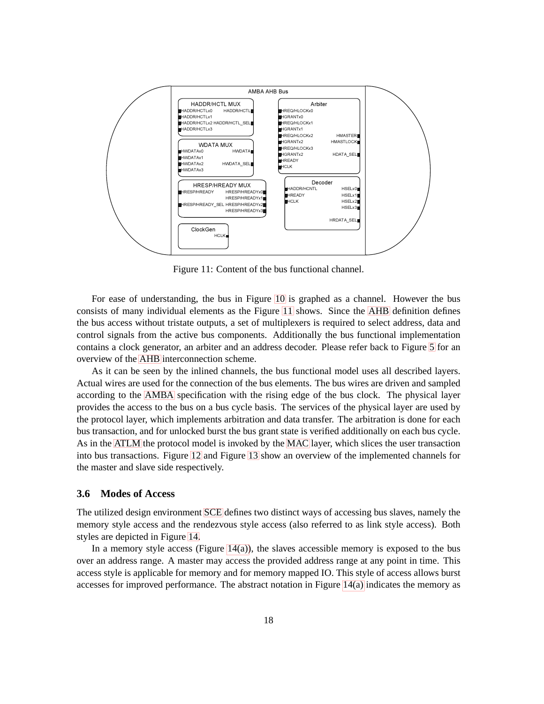

Figure 11: Content of the bus functional channel.

For ease of understanding, the bus in Figure [10](#page-22-0) is graphed as a channel. However the bus consists of many individual elements as the Figure [11](#page-22-0) shows. Since the [AHB](#page-5-0) definition defines the bus access without tristate outputs, a set of multiplexers is required to select address, data and control signals from the active bus components. Additionally the bus functional implementation contains a clock generator, an arbiter and an address decoder. Please refer back to Figure [5](#page-13-0) for an overview of the [AHB](#page-5-0) interconnection scheme.

As it can be seen by the inlined channels, the bus functional model uses all described layers. Actual wires are used for the connection of the bus elements. The bus wires are driven and sampled according to the [AMBA](#page-5-1) specification with the rising edge of the bus clock. The physical layer provides the access to the bus on a bus cycle basis. The services of the physical layer are used by the protocol layer, which implements arbitration and data transfer. The arbitration is done for each bus transaction, and for unlocked burst the bus grant state is verified additionally on each bus cycle. As in the [ATLM](#page-5-12) the protocol model is invoked by the [MAC](#page-5-11) layer, which slices the user transaction into bus transactions. Figure [12](#page-22-0) and Figure [13](#page-22-0) show an overview of the implemented channels for the master and slave side respectively.

#### <span id="page-23-0"></span>**3.6 Modes of Access**

The utilized design environment [SCE](#page-6-2) defines two distinct ways of accessing bus slaves, namely the memory style access and the rendezvous style access (also referred to as link style access). Both styles are depicted in Figure [14.](#page-25-1)

In a memory style access (Figure  $14(a)$ ), the slaves accessible memory is exposed to the bus over an address range. A master may access the provided address range at any point in time. This access style is applicable for memory and for memory mapped IO. This style of access allows burst accesses for improved performance. The abstract notation in Figure  $14(a)$  indicates the memory as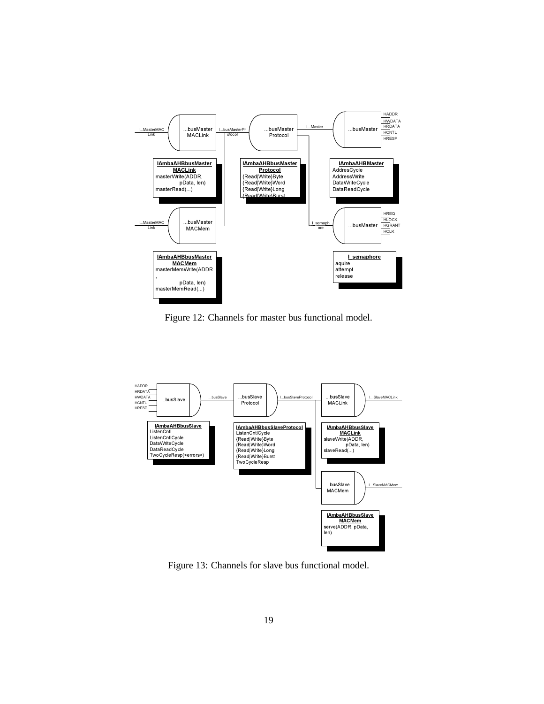

Figure 12: Channels for master bus functional model.



Figure 13: Channels for slave bus functional model.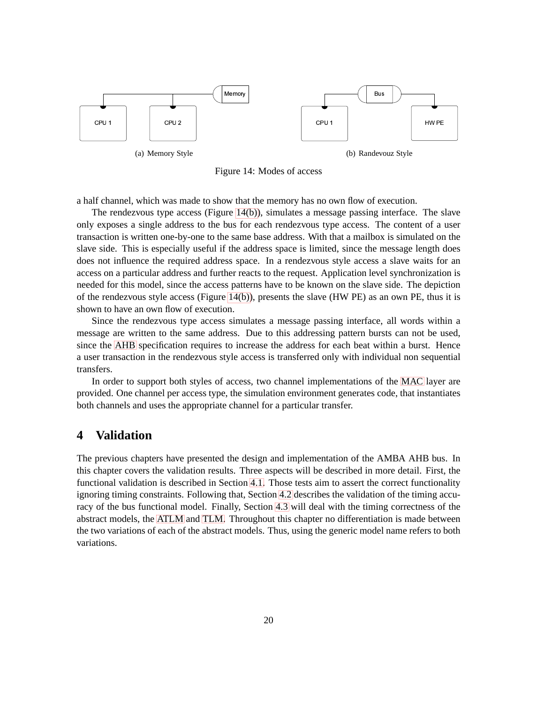<span id="page-25-2"></span>

<span id="page-25-1"></span>Figure 14: Modes of access

a half channel, which was made to show that the memory has no own flow of execution.

The rendezvous type access (Figure [14\(b\)\)](#page-25-1), simulates a message passing interface. The slave only exposes a single address to the bus for each rendezvous type access. The content of a user transaction is written one-by-one to the same base address. With that a mailbox is simulated on the slave side. This is especially useful if the address space is limited, since the message length does does not influence the required address space. In a rendezvous style access a slave waits for an access on a particular address and further reacts to the request. Application level synchronization is needed for this model, since the access patterns have to be known on the slave side. The depiction of the rendezvous style access (Figure [14\(b\)\)](#page-25-1), presents the slave (HW PE) as an own PE, thus it is shown to have an own flow of execution.

Since the rendezvous type access simulates a message passing interface, all words within a message are written to the same address. Due to this addressing pattern bursts can not be used, since the [AHB](#page-5-0) specification requires to increase the address for each beat within a burst. Hence a user transaction in the rendezvous style access is transferred only with individual non sequential transfers.

In order to support both styles of access, two channel implementations of the [MAC](#page-5-11) layer are provided. One channel per access type, the simulation environment generates code, that instantiates both channels and uses the appropriate channel for a particular transfer.

# <span id="page-25-0"></span>**4 Validation**

The previous chapters have presented the design and implementation of the AMBA AHB bus. In this chapter covers the validation results. Three aspects will be described in more detail. First, the functional validation is described in Section [4.1.](#page-26-0) Those tests aim to assert the correct functionality ignoring timing constraints. Following that, Section [4.2](#page-29-0) describes the validation of the timing accuracy of the bus functional model. Finally, Section [4.3](#page-40-0) will deal with the timing correctness of the abstract models, the [ATLM](#page-5-12) and [TLM.](#page-6-1) Throughout this chapter no differentiation is made between the two variations of each of the abstract models. Thus, using the generic model name refers to both variations.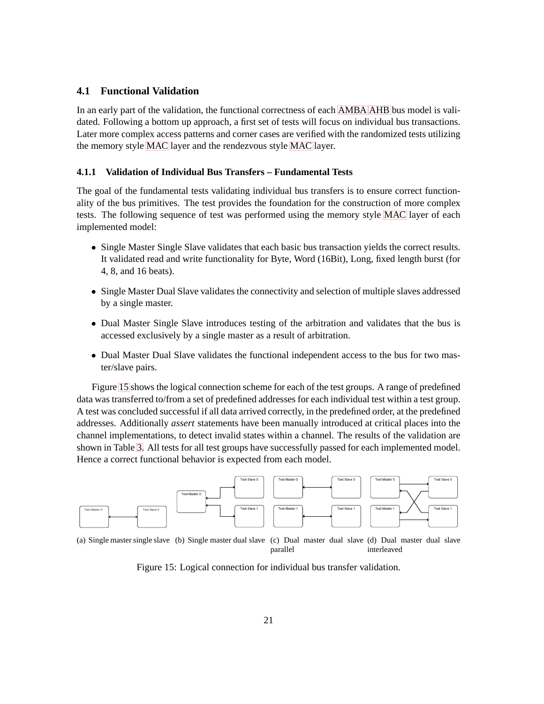#### <span id="page-26-0"></span>**4.1 Functional Validation**

In an early part of the validation, the functional correctness of each [AMBA](#page-5-1) [AHB](#page-5-0) bus model is validated. Following a bottom up approach, a first set of tests will focus on individual bus transactions. Later more complex access patterns and corner cases are verified with the randomized tests utilizing the memory style [MAC](#page-5-11) layer and the rendezvous style [MAC](#page-5-11) layer.

#### <span id="page-26-1"></span>**4.1.1 Validation of Individual Bus Transfers – Fundamental Tests**

The goal of the fundamental tests validating individual bus transfers is to ensure correct functionality of the bus primitives. The test provides the foundation for the construction of more complex tests. The following sequence of test was performed using the memory style [MAC](#page-5-11) layer of each implemented model:

- Single Master Single Slave validates that each basic bus transaction yields the correct results. It validated read and write functionality for Byte, Word (16Bit), Long, fixed length burst (for 4, 8, and 16 beats).
- Single Master Dual Slave validates the connectivity and selection of multiple slaves addressed by a single master.
- Dual Master Single Slave introduces testing of the arbitration and validates that the bus is accessed exclusively by a single master as a result of arbitration.
- Dual Master Dual Slave validates the functional independent access to the bus for two master/slave pairs.

Figure [15](#page-26-2) shows the logical connection scheme for each of the test groups. A range of predefined data was transferred to/from a set of predefined addresses for each individual test within a test group. A test was concluded successful if all data arrived correctly, in the predefined order, at the predefined addresses. Additionally *assert* statements have been manually introduced at critical places into the channel implementations, to detect invalid states within a channel. The results of the validation are shown in Table [3.](#page-26-2) All tests for all test groups have successfully passed for each implemented model. Hence a correct functional behavior is expected from each model.

<span id="page-26-3"></span>

<span id="page-26-5"></span><span id="page-26-4"></span><span id="page-26-2"></span>Figure 15: Logical connection for individual bus transfer validation.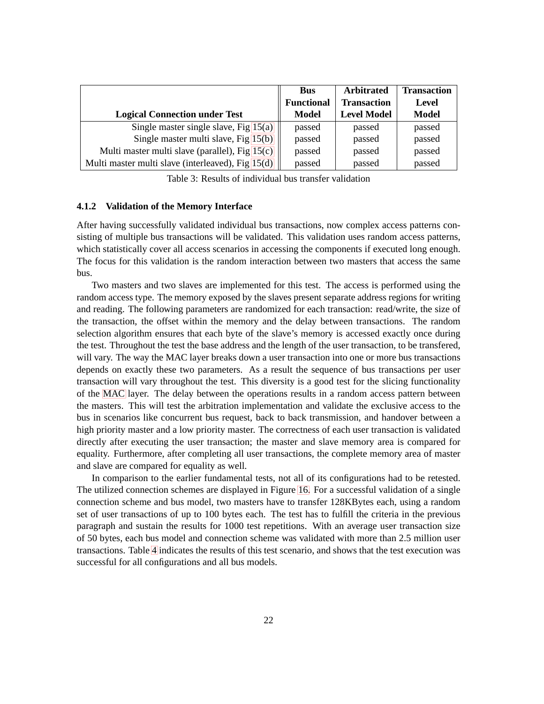|                                                   | <b>Bus</b>        | <b>Arbitrated</b>  | <b>Transaction</b> |
|---------------------------------------------------|-------------------|--------------------|--------------------|
|                                                   | <b>Functional</b> | <b>Transaction</b> | Level              |
| <b>Logical Connection under Test</b>              | Model             | <b>Level Model</b> | <b>Model</b>       |
| Single master single slave, Fig $15(a)$           | passed            | passed             | passed             |
| Single master multi slave, Fig 15(b)              | passed            | passed             | passed             |
| Multi master multi slave (parallel), Fig 15(c)    | passed            | passed             | passed             |
| Multi master multi slave (interleaved), Fig 15(d) | passed            | passed             | passed             |

Table 3: Results of individual bus transfer validation

#### <span id="page-27-0"></span>**4.1.2 Validation of the Memory Interface**

After having successfully validated individual bus transactions, now complex access patterns consisting of multiple bus transactions will be validated. This validation uses random access patterns, which statistically cover all access scenarios in accessing the components if executed long enough. The focus for this validation is the random interaction between two masters that access the same bus.

Two masters and two slaves are implemented for this test. The access is performed using the random access type. The memory exposed by the slaves present separate address regions for writing and reading. The following parameters are randomized for each transaction: read/write, the size of the transaction, the offset within the memory and the delay between transactions. The random selection algorithm ensures that each byte of the slave's memory is accessed exactly once during the test. Throughout the test the base address and the length of the user transaction, to be transfered, will vary. The way the MAC layer breaks down a user transaction into one or more bus transactions depends on exactly these two parameters. As a result the sequence of bus transactions per user transaction will vary throughout the test. This diversity is a good test for the slicing functionality of the [MAC](#page-5-11) layer. The delay between the operations results in a random access pattern between the masters. This will test the arbitration implementation and validate the exclusive access to the bus in scenarios like concurrent bus request, back to back transmission, and handover between a high priority master and a low priority master. The correctness of each user transaction is validated directly after executing the user transaction; the master and slave memory area is compared for equality. Furthermore, after completing all user transactions, the complete memory area of master and slave are compared for equality as well.

In comparison to the earlier fundamental tests, not all of its configurations had to be retested. The utilized connection schemes are displayed in Figure [16.](#page-28-1) For a successful validation of a single connection scheme and bus model, two masters have to transfer 128KBytes each, using a random set of user transactions of up to 100 bytes each. The test has to fulfill the criteria in the previous paragraph and sustain the results for 1000 test repetitions. With an average user transaction size of 50 bytes, each bus model and connection scheme was validated with more than 2.5 million user transactions. Table [4](#page-28-1) indicates the results of this test scenario, and shows that the test execution was successful for all configurations and all bus models.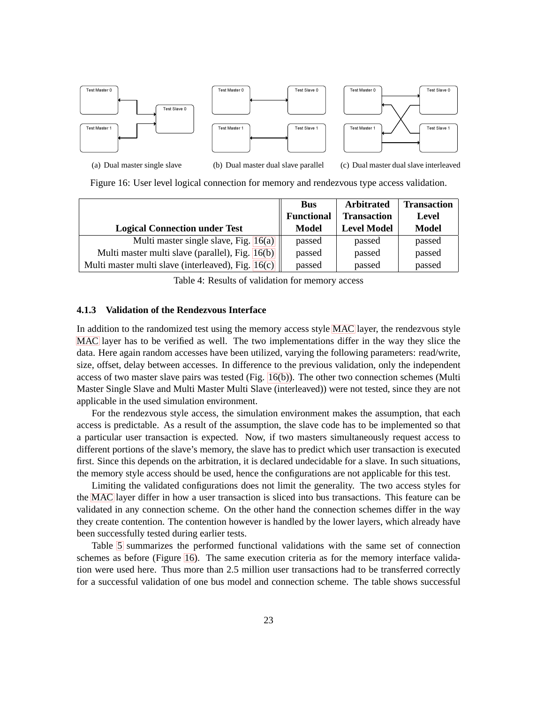<span id="page-28-2"></span>

<span id="page-28-3"></span>Figure 16: User level logical connection for memory and rendezvous type access validation.

|                                                    | <b>Bus</b>        | <b>Arbitrated</b>  | <b>Transaction</b> |
|----------------------------------------------------|-------------------|--------------------|--------------------|
|                                                    | <b>Functional</b> | <b>Transaction</b> | Level              |
| <b>Logical Connection under Test</b>               | <b>Model</b>      | <b>Level Model</b> | <b>Model</b>       |
| Multi master single slave, Fig. 16(a)              | passed            | passed             | passed             |
| Multi master multi slave (parallel), Fig. 16(b)    | passed            | passed             | passed             |
| Multi master multi slave (interleaved), Fig. 16(c) | passed            | passed             | passed             |

<span id="page-28-1"></span>Table 4: Results of validation for memory access

#### <span id="page-28-0"></span>**4.1.3 Validation of the Rendezvous Interface**

In addition to the randomized test using the memory access style [MAC](#page-5-11) layer, the rendezvous style [MAC](#page-5-11) layer has to be verified as well. The two implementations differ in the way they slice the data. Here again random accesses have been utilized, varying the following parameters: read/write, size, offset, delay between accesses. In difference to the previous validation, only the independent access of two master slave pairs was tested (Fig. [16\(b\)\)](#page-28-3). The other two connection schemes (Multi Master Single Slave and Multi Master Multi Slave (interleaved)) were not tested, since they are not applicable in the used simulation environment.

For the rendezvous style access, the simulation environment makes the assumption, that each access is predictable. As a result of the assumption, the slave code has to be implemented so that a particular user transaction is expected. Now, if two masters simultaneously request access to different portions of the slave's memory, the slave has to predict which user transaction is executed first. Since this depends on the arbitration, it is declared undecidable for a slave. In such situations, the memory style access should be used, hence the configurations are not applicable for this test.

Limiting the validated configurations does not limit the generality. The two access styles for the [MAC](#page-5-11) layer differ in how a user transaction is sliced into bus transactions. This feature can be validated in any connection scheme. On the other hand the connection schemes differ in the way they create contention. The contention however is handled by the lower layers, which already have been successfully tested during earlier tests.

Table [5](#page-28-0) summarizes the performed functional validations with the same set of connection schemes as before (Figure [16\)](#page-28-1). The same execution criteria as for the memory interface validation were used here. Thus more than 2.5 million user transactions had to be transferred correctly for a successful validation of one bus model and connection scheme. The table shows successful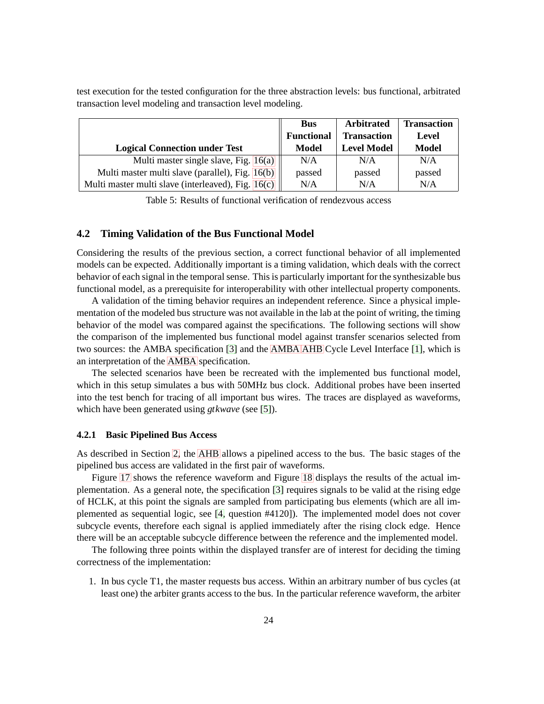test execution for the tested configuration for the three abstraction levels: bus functional, arbitrated transaction level modeling and transaction level modeling.

|                                                    | <b>Bus</b><br><b>Functional</b> | Arbitrated<br><b>Transaction</b> | <b>Transaction</b><br>Level |
|----------------------------------------------------|---------------------------------|----------------------------------|-----------------------------|
| <b>Logical Connection under Test</b>               | Model                           | <b>Level Model</b>               | <b>Model</b>                |
| Multi master single slave, Fig. 16(a)              | N/A                             | N/A                              | N/A                         |
| Multi master multi slave (parallel), Fig. 16(b)    | passed                          | passed                           | passed                      |
| Multi master multi slave (interleaved), Fig. 16(c) | N/A                             | N/A                              | N/A                         |

Table 5: Results of functional verification of rendezvous access

#### <span id="page-29-0"></span>**4.2 Timing Validation of the Bus Functional Model**

Considering the results of the previous section, a correct functional behavior of all implemented models can be expected. Additionally important is a timing validation, which deals with the correct behavior of each signal in the temporal sense. This is particularly important for the synthesizable bus functional model, as a prerequisite for interoperability with other intellectual property components.

A validation of the timing behavior requires an independent reference. Since a physical implementation of the modeled bus structure was not available in the lab at the point of writing, the timing behavior of the model was compared against the specifications. The following sections will show the comparison of the implemented bus functional model against transfer scenarios selected from two sources: the AMBA specification [\[3\]](#page-53-2) and the [AMBA](#page-5-1) [AHB](#page-5-0) Cycle Level Interface [\[1\]](#page-53-3), which is an interpretation of the [AMBA](#page-5-1) specification.

The selected scenarios have been be recreated with the implemented bus functional model, which in this setup simulates a bus with 50MHz bus clock. Additional probes have been inserted into the test bench for tracing of all important bus wires. The traces are displayed as waveforms, which have been generated using *gtkwave* (see [\[5\]](#page-53-6)).

#### <span id="page-29-1"></span>**4.2.1 Basic Pipelined Bus Access**

As described in Section [2,](#page-13-0) the [AHB](#page-5-0) allows a pipelined access to the bus. The basic stages of the pipelined bus access are validated in the first pair of waveforms.

Figure [17](#page-29-1) shows the reference waveform and Figure [18](#page-29-1) displays the results of the actual implementation. As a general note, the specification [\[3\]](#page-53-2) requires signals to be valid at the rising edge of HCLK, at this point the signals are sampled from participating bus elements (which are all implemented as sequential logic, see [\[4,](#page-53-7) question #4120]). The implemented model does not cover subcycle events, therefore each signal is applied immediately after the rising clock edge. Hence there will be an acceptable subcycle difference between the reference and the implemented model.

The following three points within the displayed transfer are of interest for deciding the timing correctness of the implementation:

1. In bus cycle T1, the master requests bus access. Within an arbitrary number of bus cycles (at least one) the arbiter grants access to the bus. In the particular reference waveform, the arbiter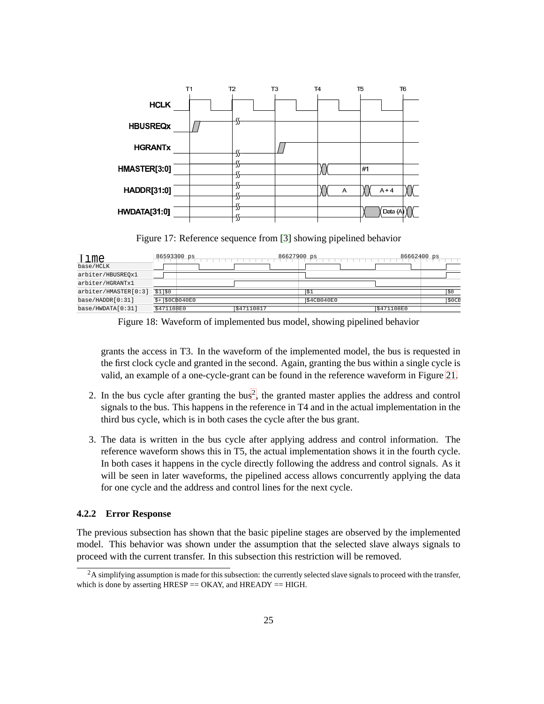

Figure 17: Reference sequence from [\[3\]](#page-53-2) showing pipelined behavior

| Time<br>base/HCLK    | 86593300 ps     | 86627900 ps |            | 86662400 ps |       |
|----------------------|-----------------|-------------|------------|-------------|-------|
| arbiter/HBUSREOx1    |                 |             |            |             |       |
| arbiter/HGRANTx1     |                 |             |            |             |       |
| arbiter/HMASTER[0:3] | \$1 \$0         |             | \$1        |             | \$0   |
| base/HADDR[0:31]     | $$+$ \$0CB040E0 |             | \$4CB040E0 |             | \$0CE |
| base/HWDATA[0:31]    | \$471108E0      | \$47110817  |            | S471108E0   |       |

Figure 18: Waveform of implemented bus model, showing pipelined behavior

grants the access in T3. In the waveform of the implemented model, the bus is requested in the first clock cycle and granted in the second. Again, granting the bus within a single cycle is valid, an example of a one-cycle-grant can be found in the reference waveform in Figure [21.](#page-31-0)

- [2](#page-30-1). In the bus cycle after granting the  $bus^2$ , the granted master applies the address and control signals to the bus. This happens in the reference in T4 and in the actual implementation in the third bus cycle, which is in both cases the cycle after the bus grant.
- 3. The data is written in the bus cycle after applying address and control information. The reference waveform shows this in T5, the actual implementation shows it in the fourth cycle. In both cases it happens in the cycle directly following the address and control signals. As it will be seen in later waveforms, the pipelined access allows concurrently applying the data for one cycle and the address and control lines for the next cycle.

#### <span id="page-30-0"></span>**4.2.2 Error Response**

The previous subsection has shown that the basic pipeline stages are observed by the implemented model. This behavior was shown under the assumption that the selected slave always signals to proceed with the current transfer. In this subsection this restriction will be removed.

<span id="page-30-1"></span><sup>&</sup>lt;sup>2</sup>A simplifying assumption is made for this subsection: the currently selected slave signals to proceed with the transfer, which is done by asserting  $HRESP = OKAY$ , and  $HREADY = HIGH$ .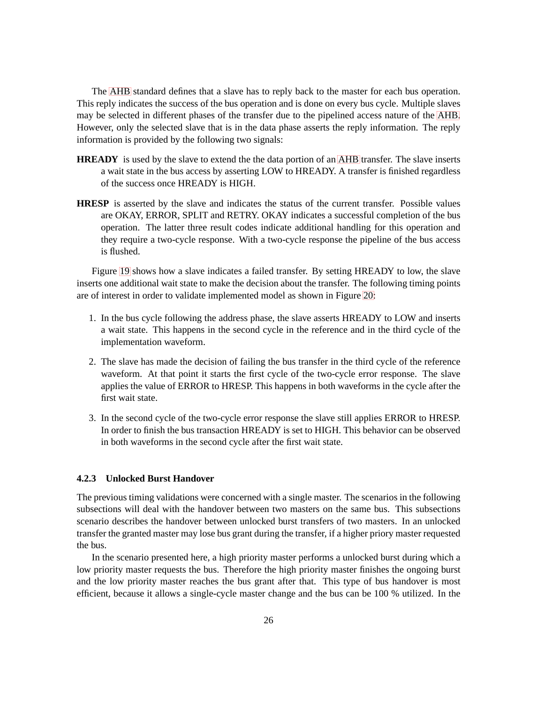The [AHB](#page-5-0) standard defines that a slave has to reply back to the master for each bus operation. This reply indicates the success of the bus operation and is done on every bus cycle. Multiple slaves may be selected in different phases of the transfer due to the pipelined access nature of the [AHB.](#page-5-0) However, only the selected slave that is in the data phase asserts the reply information. The reply information is provided by the following two signals:

- **HREADY** is used by the slave to extend the the data portion of an [AHB](#page-5-0) transfer. The slave inserts a wait state in the bus access by asserting LOW to HREADY. A transfer is finished regardless of the success once HREADY is HIGH.
- **HRESP** is asserted by the slave and indicates the status of the current transfer. Possible values are OKAY, ERROR, SPLIT and RETRY. OKAY indicates a successful completion of the bus operation. The latter three result codes indicate additional handling for this operation and they require a two-cycle response. With a two-cycle response the pipeline of the bus access is flushed.

Figure [19](#page-31-1) shows how a slave indicates a failed transfer. By setting HREADY to low, the slave inserts one additional wait state to make the decision about the transfer. The following timing points are of interest in order to validate implemented model as shown in Figure [20:](#page-31-1)

- 1. In the bus cycle following the address phase, the slave asserts HREADY to LOW and inserts a wait state. This happens in the second cycle in the reference and in the third cycle of the implementation waveform.
- 2. The slave has made the decision of failing the bus transfer in the third cycle of the reference waveform. At that point it starts the first cycle of the two-cycle error response. The slave applies the value of ERROR to HRESP. This happens in both waveforms in the cycle after the first wait state.
- <span id="page-31-1"></span>3. In the second cycle of the two-cycle error response the slave still applies ERROR to HRESP. In order to finish the bus transaction HREADY is set to HIGH. This behavior can be observed in both waveforms in the second cycle after the first wait state.

#### <span id="page-31-0"></span>**4.2.3 Unlocked Burst Handover**

The previous timing validations were concerned with a single master. The scenarios in the following subsections will deal with the handover between two masters on the same bus. This subsections scenario describes the handover between unlocked burst transfers of two masters. In an unlocked transfer the granted master may lose bus grant during the transfer, if a higher priory master requested the bus.

In the scenario presented here, a high priority master performs a unlocked burst during which a low priority master requests the bus. Therefore the high priority master finishes the ongoing burst and the low priority master reaches the bus grant after that. This type of bus handover is most efficient, because it allows a single-cycle master change and the bus can be 100 % utilized. In the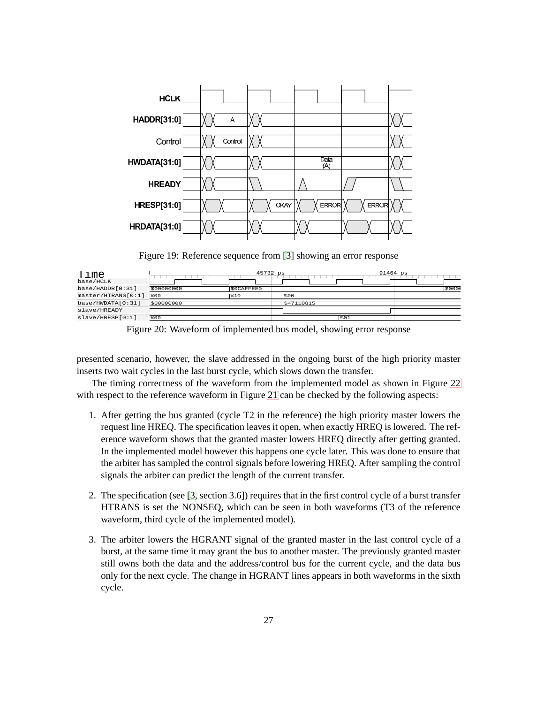

Figure 19: Reference sequence from [\[3\]](#page-53-2) showing an error response

| Time<br>base/HCLK  |            | 45732 ps         |            | 91464 ps |
|--------------------|------------|------------------|------------|----------|
| base/HADDR[0:31]   | \$00000000 | <b>SOCAFFEEO</b> |            | \$000    |
| master/HTRANS[0:1] | \$00       | \$10             | \$00       |          |
| base/HWDATA[0:31]  | \$00000000 |                  | \$47110815 |          |
| slave/HREADY       |            |                  |            |          |
| slave/HRESP[0:1]   | \$00       |                  | \$01       |          |

Figure 20: Waveform of implemented bus model, showing error response

presented scenario, however, the slave addressed in the ongoing burst of the high priority master inserts two wait cycles in the last burst cycle, which slows down the transfer.

The timing correctness of the waveform from the implemented model as shown in Figure [22](#page-31-0) with respect to the reference waveform in Figure [21](#page-31-0) can be checked by the following aspects:

- 1. After getting the bus granted (cycle T2 in the reference) the high priority master lowers the request line HREQ. The specification leaves it open, when exactly HREQ is lowered. The reference waveform shows that the granted master lowers HREQ directly after getting granted. In the implemented model however this happens one cycle later. This was done to ensure that the arbiter has sampled the control signals before lowering HREQ. After sampling the control signals the arbiter can predict the length of the current transfer.
- 2. The specification (see [\[3,](#page-53-2) section 3.6]) requires that in the first control cycle of a burst transfer HTRANS is set the NONSEQ, which can be seen in both waveforms (T3 of the reference waveform, third cycle of the implemented model).
- 3. The arbiter lowers the HGRANT signal of the granted master in the last control cycle of a burst, at the same time it may grant the bus to another master. The previously granted master still owns both the data and the address/control bus for the current cycle, and the data bus only for the next cycle. The change in HGRANT lines appears in both waveforms in the sixth cycle.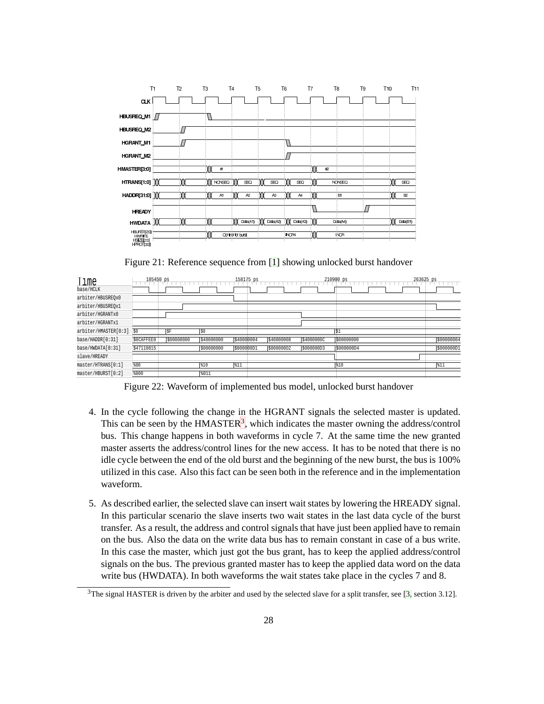

Figure 21: Reference sequence from [\[1\]](#page-53-3) showing unlocked burst handover

| Time<br>base/HCLK    | 105450 ps  |            |            | 158175 ps  |            |            | 210900 ps  | 263625 ps  |
|----------------------|------------|------------|------------|------------|------------|------------|------------|------------|
| arbiter/HBUSREOx0    |            |            |            |            |            |            |            |            |
| arbiter/HBUSREOx1    |            |            |            |            |            |            |            |            |
| arbiter/HGRANTx0     |            |            |            |            |            |            |            |            |
| arbiter/HGRANTx1     |            |            |            |            |            |            |            |            |
| arbiter/HMASTER[0:3] | 50         | <b>SF</b>  | 50         |            |            |            | $ s_1 $    |            |
| base/HADDR[0:31]     | \$0CAFFEE0 | \$00000000 | \$40000000 | \$40000004 | \$40000008 | \$4000000C | 500000000  | \$00000004 |
| base/HWDATA[0:31]    | \$47110815 |            | \$00000000 | \$000000D1 | \$000000D2 | \$000000D3 | \$000000D4 | S00000001  |
| slave/HREADY         |            |            |            |            |            |            |            |            |
| master/HTRANS[0:1]   | \$00       |            | \$10       | \$11       |            |            | \$10       | 811        |
| master/HBURST[0:2]   | \$000      |            | %011       |            |            |            |            |            |

Figure 22: Waveform of implemented bus model, unlocked burst handover

- 4. In the cycle following the change in the HGRANT signals the selected master is updated. This can be seen by the  $HMASTER<sup>3</sup>$  $HMASTER<sup>3</sup>$  $HMASTER<sup>3</sup>$ , which indicates the master owning the address/control bus. This change happens in both waveforms in cycle 7. At the same time the new granted master asserts the address/control lines for the new access. It has to be noted that there is no idle cycle between the end of the old burst and the beginning of the new burst, the bus is 100% utilized in this case. Also this fact can be seen both in the reference and in the implementation waveform.
- 5. As described earlier, the selected slave can insert wait states by lowering the HREADY signal. In this particular scenario the slave inserts two wait states in the last data cycle of the burst transfer. As a result, the address and control signals that have just been applied have to remain on the bus. Also the data on the write data bus has to remain constant in case of a bus write. In this case the master, which just got the bus grant, has to keep the applied address/control signals on the bus. The previous granted master has to keep the applied data word on the data write bus (HWDATA). In both waveforms the wait states take place in the cycles 7 and 8.

<span id="page-33-0"></span> $3$ The signal HASTER is driven by the arbiter and used by the selected slave for a split transfer, see [\[3,](#page-53-2) section 3.12].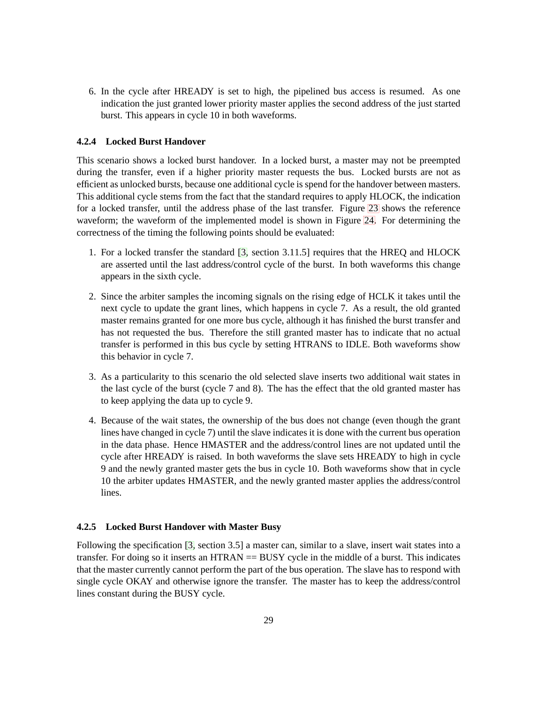6. In the cycle after HREADY is set to high, the pipelined bus access is resumed. As one indication the just granted lower priority master applies the second address of the just started burst. This appears in cycle 10 in both waveforms.

#### <span id="page-34-0"></span>**4.2.4 Locked Burst Handover**

This scenario shows a locked burst handover. In a locked burst, a master may not be preempted during the transfer, even if a higher priority master requests the bus. Locked bursts are not as efficient as unlocked bursts, because one additional cycle is spend for the handover between masters. This additional cycle stems from the fact that the standard requires to apply HLOCK, the indication for a locked transfer, until the address phase of the last transfer. Figure [23](#page-34-2) shows the reference waveform; the waveform of the implemented model is shown in Figure [24.](#page-34-2) For determining the correctness of the timing the following points should be evaluated:

- 1. For a locked transfer the standard [\[3,](#page-53-2) section 3.11.5] requires that the HREQ and HLOCK are asserted until the last address/control cycle of the burst. In both waveforms this change appears in the sixth cycle.
- 2. Since the arbiter samples the incoming signals on the rising edge of HCLK it takes until the next cycle to update the grant lines, which happens in cycle 7. As a result, the old granted master remains granted for one more bus cycle, although it has finished the burst transfer and has not requested the bus. Therefore the still granted master has to indicate that no actual transfer is performed in this bus cycle by setting HTRANS to IDLE. Both waveforms show this behavior in cycle 7.
- 3. As a particularity to this scenario the old selected slave inserts two additional wait states in the last cycle of the burst (cycle 7 and 8). The has the effect that the old granted master has to keep applying the data up to cycle 9.
- <span id="page-34-2"></span>4. Because of the wait states, the ownership of the bus does not change (even though the grant lines have changed in cycle 7) until the slave indicates it is done with the current bus operation in the data phase. Hence HMASTER and the address/control lines are not updated until the cycle after HREADY is raised. In both waveforms the slave sets HREADY to high in cycle 9 and the newly granted master gets the bus in cycle 10. Both waveforms show that in cycle 10 the arbiter updates HMASTER, and the newly granted master applies the address/control lines.

#### <span id="page-34-1"></span>**4.2.5 Locked Burst Handover with Master Busy**

Following the specification [\[3,](#page-53-2) section 3.5] a master can, similar to a slave, insert wait states into a transfer. For doing so it inserts an HTRAN == BUSY cycle in the middle of a burst. This indicates that the master currently cannot perform the part of the bus operation. The slave has to respond with single cycle OKAY and otherwise ignore the transfer. The master has to keep the address/control lines constant during the BUSY cycle.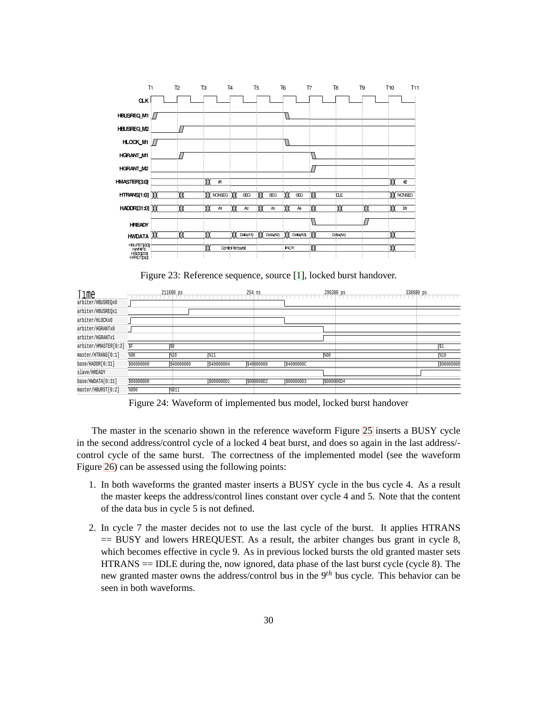

Figure 23: Reference sequence, source [\[1\]](#page-53-3), locked burst handover.

| Time                 |            | 211600 ps  |            | 254 ns     |            | 296300 ps  | 338600 ps |            |
|----------------------|------------|------------|------------|------------|------------|------------|-----------|------------|
| arbiter/HBUSREOx0    |            |            |            |            |            |            |           |            |
| arbiter/HBUSREOx1    |            |            |            |            |            |            |           |            |
| arbiter/HLOCKx0      |            |            |            |            |            |            |           |            |
| arbiter/HGRANTx0     |            |            |            |            |            |            |           |            |
| arbiter/HGRANTx1     |            |            |            |            |            |            |           |            |
| arbiter/HMASTER[0:3] | $S$ F      | S0         |            |            |            |            |           | S1         |
| master/HTRANS[0:1]   | \$00       | %10        | \$11       |            |            | 800        |           | 810        |
| base/HADDR[0:31]     | \$00000000 | \$40000000 | \$40000004 | \$40000008 | \$4000000C |            |           | \$00000000 |
| slave/HREADY         |            |            |            |            |            |            |           |            |
| base/HWDATA[0:31]    | \$00000000 |            | \$000000D1 | S000000D2  | \$000000D3 | \$000000D4 |           |            |
| master/HBURST[0:2]   | \$000      | 8011       |            |            |            |            |           |            |

Figure 24: Waveform of implemented bus model, locked burst handover

The master in the scenario shown in the reference waveform Figure [25](#page-35-0) inserts a BUSY cycle in the second address/control cycle of a locked 4 beat burst, and does so again in the last address/ control cycle of the same burst. The correctness of the implemented model (see the waveform Figure [26\)](#page-35-0) can be assessed using the following points:

- 1. In both waveforms the granted master inserts a BUSY cycle in the bus cycle 4. As a result the master keeps the address/control lines constant over cycle 4 and 5. Note that the content of the data bus in cycle 5 is not defined.
- <span id="page-35-0"></span>2. In cycle 7 the master decides not to use the last cycle of the burst. It applies HTRANS  $==$  BUSY and lowers HREQUEST. As a result, the arbiter changes bus grant in cycle 8, which becomes effective in cycle 9. As in previous locked bursts the old granted master sets HTRANS == IDLE during the, now ignored, data phase of the last burst cycle (cycle 8). The new granted master owns the address/control bus in the 9*th* bus cycle. This behavior can be seen in both waveforms.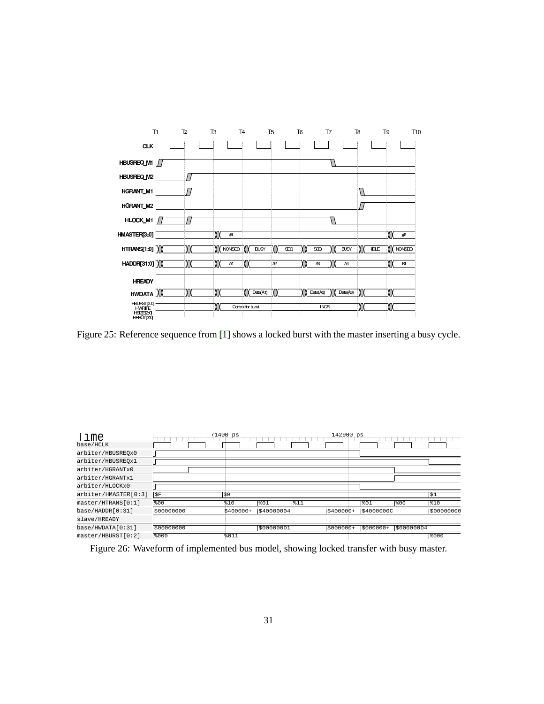

Figure 25: Reference sequence from [\[1\]](#page-53-3) shows a locked burst with the master inserting a busy cycle.

| Time<br>base/HCLK    |            | 71400 ps   |            |     | 142900 ps  |            |           |           |
|----------------------|------------|------------|------------|-----|------------|------------|-----------|-----------|
| arbiter/HBUSREOx0    |            |            |            |     |            |            |           |           |
| arbiter/HBUSREOx1    |            |            |            |     |            |            |           |           |
| arbiter/HGRANTx0     |            |            |            |     |            |            |           |           |
| arbiter/HGRANTx1     |            |            |            |     |            |            |           |           |
| arbiter/HLOCKx0      |            |            |            |     |            |            |           |           |
| arbiter/HMASTER[0:3] | SF)        | \$0        |            |     |            |            |           | \$1       |
| master/HTRANS[0:1]   | \$00       | \$10       | 801        | 811 |            | 801        | 800       | \$10      |
| base/HADDR[0:31]     | \$00000000 | $$400000+$ | \$40000004 |     | $$400000+$ | \$4000000C |           | 500000000 |
| slave/HREADY         |            |            |            |     |            |            |           |           |
| base/HWDATA[0:31]    | \$00000000 |            | \$000000D1 |     | $$000000+$ | $5000000+$ | s000000D4 |           |
| master/HBURST[0:2]   | \$000      | 8011       |            |     |            |            |           | \$000     |

Figure 26: Waveform of implemented bus model, showing locked transfer with busy master.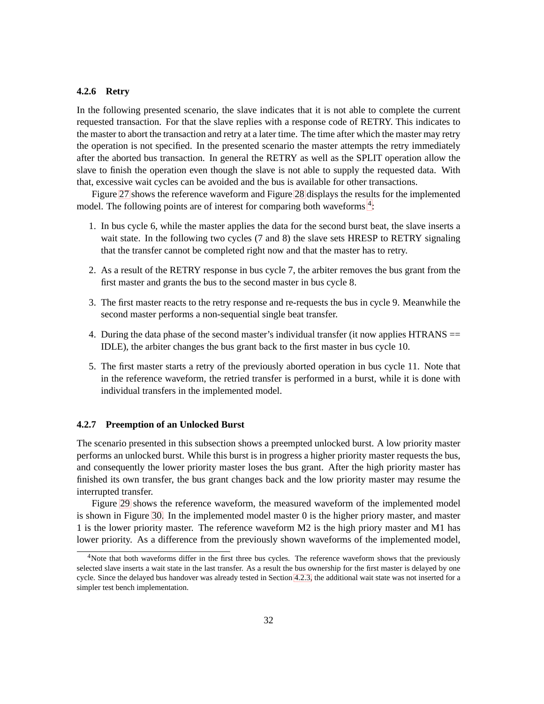#### <span id="page-37-0"></span>**4.2.6 Retry**

In the following presented scenario, the slave indicates that it is not able to complete the current requested transaction. For that the slave replies with a response code of RETRY. This indicates to the master to abort the transaction and retry at a later time. The time after which the master may retry the operation is not specified. In the presented scenario the master attempts the retry immediately after the aborted bus transaction. In general the RETRY as well as the SPLIT operation allow the slave to finish the operation even though the slave is not able to supply the requested data. With that, excessive wait cycles can be avoided and the bus is available for other transactions.

Figure [27](#page-37-2) shows the reference waveform and Figure [28](#page-37-2) displays the results for the implemented model. The following points are of interest for comparing both waveforms  $4$ :

- 1. In bus cycle 6, while the master applies the data for the second burst beat, the slave inserts a wait state. In the following two cycles (7 and 8) the slave sets HRESP to RETRY signaling that the transfer cannot be completed right now and that the master has to retry.
- 2. As a result of the RETRY response in bus cycle 7, the arbiter removes the bus grant from the first master and grants the bus to the second master in bus cycle 8.
- 3. The first master reacts to the retry response and re-requests the bus in cycle 9. Meanwhile the second master performs a non-sequential single beat transfer.
- 4. During the data phase of the second master's individual transfer (it now applies HTRANS == IDLE), the arbiter changes the bus grant back to the first master in bus cycle 10.
- <span id="page-37-2"></span>5. The first master starts a retry of the previously aborted operation in bus cycle 11. Note that in the reference waveform, the retried transfer is performed in a burst, while it is done with individual transfers in the implemented model.

#### <span id="page-37-1"></span>**4.2.7 Preemption of an Unlocked Burst**

The scenario presented in this subsection shows a preempted unlocked burst. A low priority master performs an unlocked burst. While this burst is in progress a higher priority master requests the bus, and consequently the lower priority master loses the bus grant. After the high priority master has finished its own transfer, the bus grant changes back and the low priority master may resume the interrupted transfer.

Figure [29](#page-39-0) shows the reference waveform, the measured waveform of the implemented model is shown in Figure [30.](#page-39-0) In the implemented model master 0 is the higher priory master, and master 1 is the lower priority master. The reference waveform M2 is the high priory master and M1 has lower priority. As a difference from the previously shown waveforms of the implemented model,

<span id="page-37-3"></span><sup>&</sup>lt;sup>4</sup>Note that both waveforms differ in the first three bus cycles. The reference waveform shows that the previously selected slave inserts a wait state in the last transfer. As a result the bus ownership for the first master is delayed by one cycle. Since the delayed bus handover was already tested in Section [4.2.3,](#page-31-0) the additional wait state was not inserted for a simpler test bench implementation.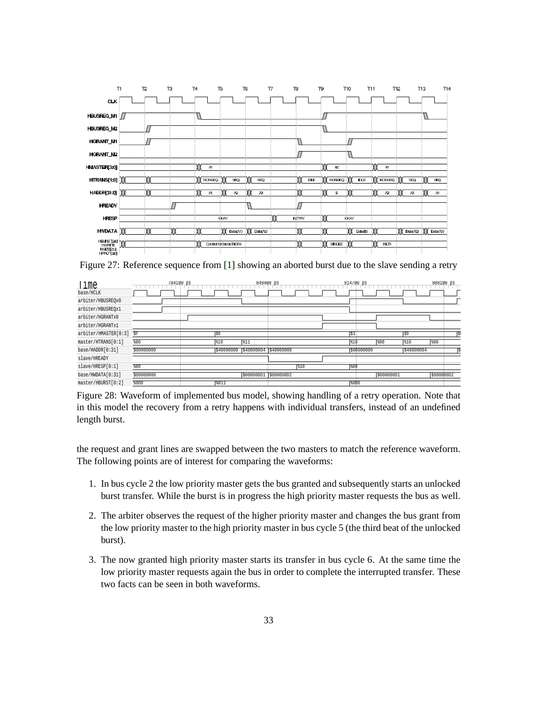

Figure 27: Reference sequence from [\[1\]](#page-53-3) showing an aborted burst due to the slave sending a retry

| Time<br>base/HCLK    | 784100 ps  |            | 849400 ps             |            | 914700 ps  |            |            | 980100 ps  |  |
|----------------------|------------|------------|-----------------------|------------|------------|------------|------------|------------|--|
| arbiter/HBUSREOx0    |            |            |                       |            |            |            |            |            |  |
| arbiter/HBUSREOx1    |            |            |                       |            |            |            |            |            |  |
| arbiter/HGRANTx0     |            |            |                       |            |            |            |            |            |  |
| arbiter/HGRANTx1     |            |            |                       |            |            |            |            |            |  |
| arbiter/HMASTER[0:3] | \$F        | lso        |                       |            | \$1        |            | \$0        |            |  |
| master/HTRANS[0:1]   | 800        | 810        | \$11                  |            | \$10       | 800        | \$10       | 800        |  |
| base/HADDR[0:31]     | \$00000000 | \$40000000 | \$40000004 \$40000008 |            | \$00000000 |            | \$40000004 |            |  |
| slave/HREADY         |            |            |                       |            |            |            |            |            |  |
| slave/HRESP[0:1]     | \$00       |            |                       | \$10       | 800        |            |            |            |  |
| base/HWDATA[0:31]    | \$00000000 |            | \$000000D1            | \$000000D2 |            | \$000000D1 |            | \$000000D2 |  |
| master/HBURST[0:2]   | \$000      | 8011       |                       |            | 8000       |            |            |            |  |

Figure 28: Waveform of implemented bus model, showing handling of a retry operation. Note that in this model the recovery from a retry happens with individual transfers, instead of an undefined length burst.

the request and grant lines are swapped between the two masters to match the reference waveform. The following points are of interest for comparing the waveforms:

- 1. In bus cycle 2 the low priority master gets the bus granted and subsequently starts an unlocked burst transfer. While the burst is in progress the high priority master requests the bus as well.
- 2. The arbiter observes the request of the higher priority master and changes the bus grant from the low priority master to the high priority master in bus cycle 5 (the third beat of the unlocked burst).
- 3. The now granted high priority master starts its transfer in bus cycle 6. At the same time the low priority master requests again the bus in order to complete the interrupted transfer. These two facts can be seen in both waveforms.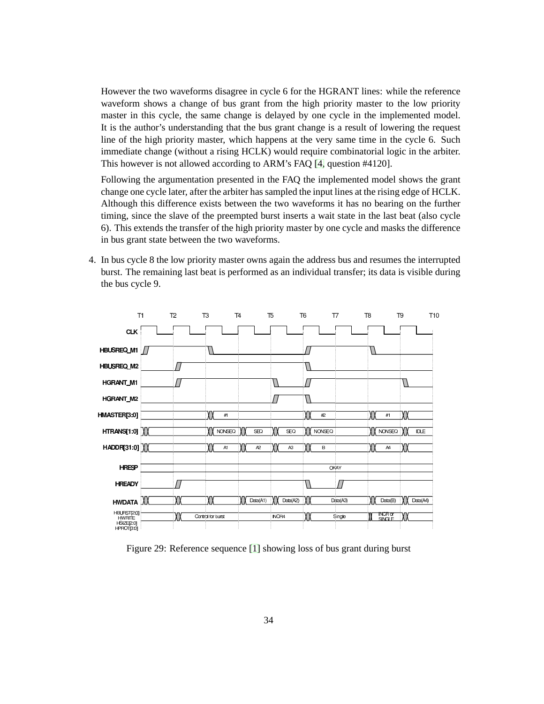However the two waveforms disagree in cycle 6 for the HGRANT lines: while the reference waveform shows a change of bus grant from the high priority master to the low priority master in this cycle, the same change is delayed by one cycle in the implemented model. It is the author's understanding that the bus grant change is a result of lowering the request line of the high priority master, which happens at the very same time in the cycle 6. Such immediate change (without a rising HCLK) would require combinatorial logic in the arbiter. This however is not allowed according to ARM's FAQ [\[4,](#page-53-7) question #4120].

Following the argumentation presented in the FAQ the implemented model shows the grant change one cycle later, after the arbiter has sampled the input lines at the rising edge of HCLK. Although this difference exists between the two waveforms it has no bearing on the further timing, since the slave of the preempted burst inserts a wait state in the last beat (also cycle 6). This extends the transfer of the high priority master by one cycle and masks the difference in bus grant state between the two waveforms.

<span id="page-39-0"></span>4. In bus cycle 8 the low priority master owns again the address bus and resumes the interrupted burst. The remaining last beat is performed as an individual transfer; its data is visible during the bus cycle 9.



Figure 29: Reference sequence [\[1\]](#page-53-3) showing loss of bus grant during burst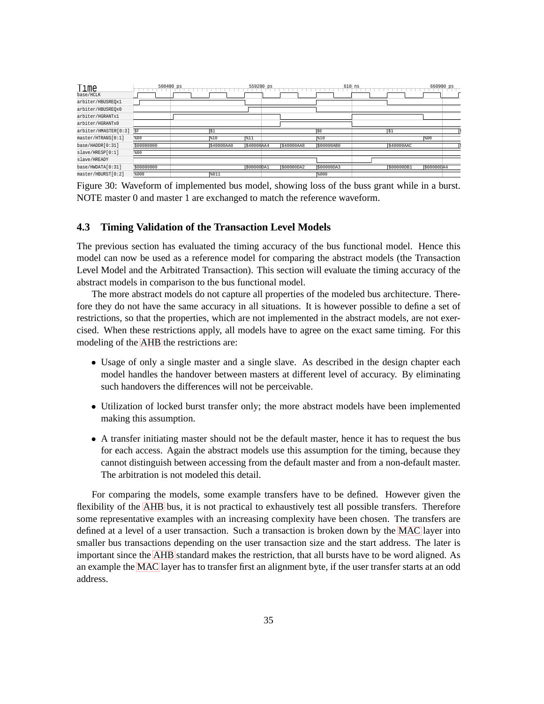| Time<br>base/HCLK    | 508400 ps  |            | 559200 ps  |            | $610$ ns   |             | 660900 ps  |
|----------------------|------------|------------|------------|------------|------------|-------------|------------|
| arbiter/HBUSREQx1    |            |            |            |            |            |             |            |
| arbiter/HBUSREQx0    |            |            |            |            |            |             |            |
| arbiter/HGRANTx1     |            |            |            |            |            |             |            |
| arbiter/HGRANTx0     |            |            |            |            |            |             |            |
| arbiter/HMASTER[0:3] | \$F        | lš1        |            |            | Iso        | $\sqrt{51}$ |            |
| master/HTRANS[0:1]   | \$00       | \$10       | 311        |            | \$10       |             | \$00       |
| base/HADDR[0:31]     | \$00000000 | \$40000AA0 | \$40000AA4 | \$40000AA8 | \$00000AB0 | \$40000AAC  |            |
| slave/HRESP[0:1]     | \$00       |            |            |            |            |             |            |
| slave/HREADY         |            |            |            |            |            |             |            |
| base/HWDATA[0:31]    | \$00000000 |            | \$00000DA1 | \$00000DA2 | \$00000DA3 | \$00000DB1  | \$00000DA4 |
| master/HBURST[0:2]   | \$000      | \$011      |            |            | \$000      |             |            |

Figure 30: Waveform of implemented bus model, showing loss of the buss grant while in a burst. NOTE master 0 and master 1 are exchanged to match the reference waveform.

#### <span id="page-40-0"></span>**4.3 Timing Validation of the Transaction Level Models**

The previous section has evaluated the timing accuracy of the bus functional model. Hence this model can now be used as a reference model for comparing the abstract models (the Transaction Level Model and the Arbitrated Transaction). This section will evaluate the timing accuracy of the abstract models in comparison to the bus functional model.

The more abstract models do not capture all properties of the modeled bus architecture. Therefore they do not have the same accuracy in all situations. It is however possible to define a set of restrictions, so that the properties, which are not implemented in the abstract models, are not exercised. When these restrictions apply, all models have to agree on the exact same timing. For this modeling of the [AHB](#page-5-0) the restrictions are:

- Usage of only a single master and a single slave. As described in the design chapter each model handles the handover between masters at different level of accuracy. By eliminating such handovers the differences will not be perceivable.
- Utilization of locked burst transfer only; the more abstract models have been implemented making this assumption.
- A transfer initiating master should not be the default master, hence it has to request the bus for each access. Again the abstract models use this assumption for the timing, because they cannot distinguish between accessing from the default master and from a non-default master. The arbitration is not modeled this detail.

For comparing the models, some example transfers have to be defined. However given the flexibility of the [AHB](#page-5-0) bus, it is not practical to exhaustively test all possible transfers. Therefore some representative examples with an increasing complexity have been chosen. The transfers are defined at a level of a user transaction. Such a transaction is broken down by the [MAC](#page-5-11) layer into smaller bus transactions depending on the user transaction size and the start address. The later is important since the [AHB](#page-5-0) standard makes the restriction, that all bursts have to be word aligned. As an example the [MAC](#page-5-11) layer has to transfer first an alignment byte, if the user transfer starts at an odd address.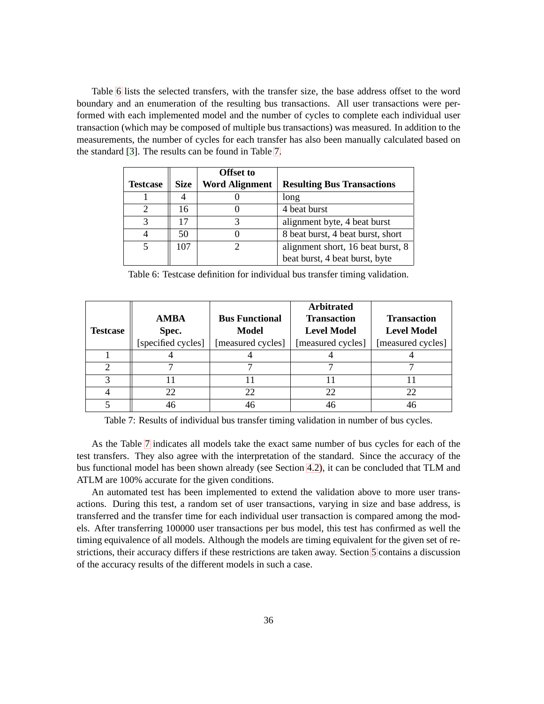Table [6](#page-40-0) lists the selected transfers, with the transfer size, the base address offset to the word boundary and an enumeration of the resulting bus transactions. All user transactions were performed with each implemented model and the number of cycles to complete each individual user transaction (which may be composed of multiple bus transactions) was measured. In addition to the measurements, the number of cycles for each transfer has also been manually calculated based on the standard [\[3\]](#page-53-2). The results can be found in Table [7.](#page-40-0)

|                        |             | <b>Offset to</b>      |                                   |
|------------------------|-------------|-----------------------|-----------------------------------|
| <b>Testcase</b>        | <b>Size</b> | <b>Word Alignment</b> | <b>Resulting Bus Transactions</b> |
|                        |             |                       | long                              |
|                        | 16          |                       | 4 beat burst                      |
| $\mathbf{\mathcal{R}}$ |             |                       | alignment byte, 4 beat burst      |
|                        | 50          |                       | 8 beat burst, 4 beat burst, short |
|                        | 107         |                       | alignment short, 16 beat burst, 8 |
|                        |             |                       | beat burst, 4 beat burst, byte    |

Table 6: Testcase definition for individual bus transfer timing validation.

|                 |                    |                       | <b>Arbitrated</b>  |                    |
|-----------------|--------------------|-----------------------|--------------------|--------------------|
|                 | <b>AMBA</b>        | <b>Bus Functional</b> | <b>Transaction</b> | <b>Transaction</b> |
| <b>Testcase</b> | Spec.              | <b>Model</b>          | <b>Level Model</b> | <b>Level Model</b> |
|                 | [specified cycles] | [measured cycles]     | [measured cycles]  | [measured cycles]  |
|                 |                    |                       |                    |                    |
| 2               |                    |                       |                    |                    |
| 3               |                    |                       |                    |                    |
| 4               | 22.                | 22                    | 22                 | 22                 |
|                 | 46                 | 46                    | 46                 | 46                 |

Table 7: Results of individual bus transfer timing validation in number of bus cycles.

As the Table [7](#page-40-0) indicates all models take the exact same number of bus cycles for each of the test transfers. They also agree with the interpretation of the standard. Since the accuracy of the bus functional model has been shown already (see Section [4.2\)](#page-29-0), it can be concluded that TLM and ATLM are 100% accurate for the given conditions.

An automated test has been implemented to extend the validation above to more user transactions. During this test, a random set of user transactions, varying in size and base address, is transferred and the transfer time for each individual user transaction is compared among the models. After transferring 100000 user transactions per bus model, this test has confirmed as well the timing equivalence of all models. Although the models are timing equivalent for the given set of restrictions, their accuracy differs if these restrictions are taken away. Section [5](#page-42-1) contains a discussion of the accuracy results of the different models in such a case.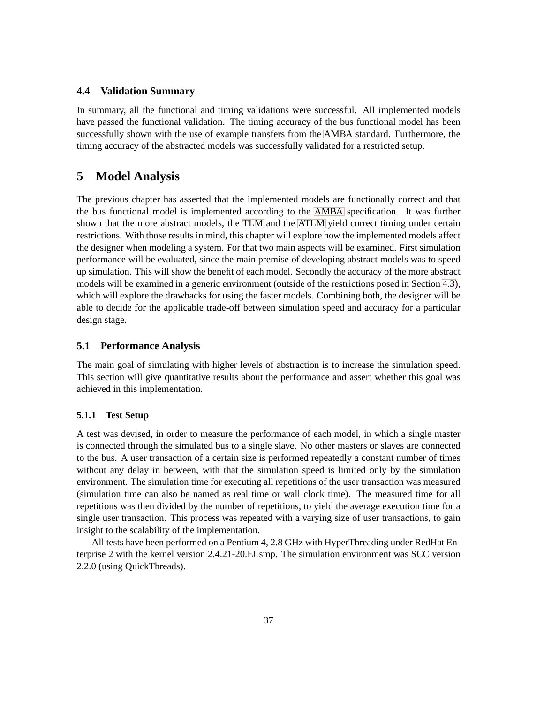#### <span id="page-42-0"></span>**4.4 Validation Summary**

In summary, all the functional and timing validations were successful. All implemented models have passed the functional validation. The timing accuracy of the bus functional model has been successfully shown with the use of example transfers from the [AMBA](#page-5-1) standard. Furthermore, the timing accuracy of the abstracted models was successfully validated for a restricted setup.

# <span id="page-42-1"></span>**5 Model Analysis**

The previous chapter has asserted that the implemented models are functionally correct and that the bus functional model is implemented according to the [AMBA](#page-5-1) specification. It was further shown that the more abstract models, the [TLM](#page-6-1) and the [ATLM](#page-5-12) yield correct timing under certain restrictions. With those results in mind, this chapter will explore how the implemented models affect the designer when modeling a system. For that two main aspects will be examined. First simulation performance will be evaluated, since the main premise of developing abstract models was to speed up simulation. This will show the benefit of each model. Secondly the accuracy of the more abstract models will be examined in a generic environment (outside of the restrictions posed in Section [4.3\)](#page-40-0), which will explore the drawbacks for using the faster models. Combining both, the designer will be able to decide for the applicable trade-off between simulation speed and accuracy for a particular design stage.

#### <span id="page-42-2"></span>**5.1 Performance Analysis**

The main goal of simulating with higher levels of abstraction is to increase the simulation speed. This section will give quantitative results about the performance and assert whether this goal was achieved in this implementation.

#### <span id="page-42-3"></span>**5.1.1 Test Setup**

A test was devised, in order to measure the performance of each model, in which a single master is connected through the simulated bus to a single slave. No other masters or slaves are connected to the bus. A user transaction of a certain size is performed repeatedly a constant number of times without any delay in between, with that the simulation speed is limited only by the simulation environment. The simulation time for executing all repetitions of the user transaction was measured (simulation time can also be named as real time or wall clock time). The measured time for all repetitions was then divided by the number of repetitions, to yield the average execution time for a single user transaction. This process was repeated with a varying size of user transactions, to gain insight to the scalability of the implementation.

All tests have been performed on a Pentium 4, 2.8 GHz with HyperThreading under RedHat Enterprise 2 with the kernel version 2.4.21-20.ELsmp. The simulation environment was SCC version 2.2.0 (using QuickThreads).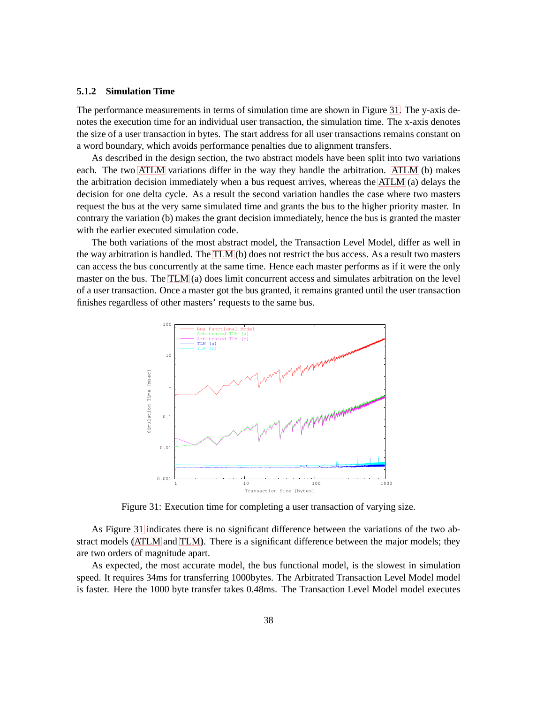#### <span id="page-43-0"></span>**5.1.2 Simulation Time**

The performance measurements in terms of simulation time are shown in Figure [31.](#page-43-0) The y-axis denotes the execution time for an individual user transaction, the simulation time. The x-axis denotes the size of a user transaction in bytes. The start address for all user transactions remains constant on a word boundary, which avoids performance penalties due to alignment transfers.

As described in the design section, the two abstract models have been split into two variations each. The two [ATLM](#page-5-12) variations differ in the way they handle the arbitration. [ATLM](#page-5-12) (b) makes the arbitration decision immediately when a bus request arrives, whereas the [ATLM](#page-5-12) (a) delays the decision for one delta cycle. As a result the second variation handles the case where two masters request the bus at the very same simulated time and grants the bus to the higher priority master. In contrary the variation (b) makes the grant decision immediately, hence the bus is granted the master with the earlier executed simulation code.

The both variations of the most abstract model, the Transaction Level Model, differ as well in the way arbitration is handled. The [TLM](#page-6-1) (b) does not restrict the bus access. As a result two masters can access the bus concurrently at the same time. Hence each master performs as if it were the only master on the bus. The [TLM](#page-6-1) (a) does limit concurrent access and simulates arbitration on the level of a user transaction. Once a master got the bus granted, it remains granted until the user transaction finishes regardless of other masters' requests to the same bus.



Figure 31: Execution time for completing a user transaction of varying size.

As Figure [31](#page-43-0) indicates there is no significant difference between the variations of the two abstract models [\(ATLM](#page-5-12) and [TLM\)](#page-6-1). There is a significant difference between the major models; they are two orders of magnitude apart.

As expected, the most accurate model, the bus functional model, is the slowest in simulation speed. It requires 34ms for transferring 1000bytes. The Arbitrated Transaction Level Model model is faster. Here the 1000 byte transfer takes 0.48ms. The Transaction Level Model model executes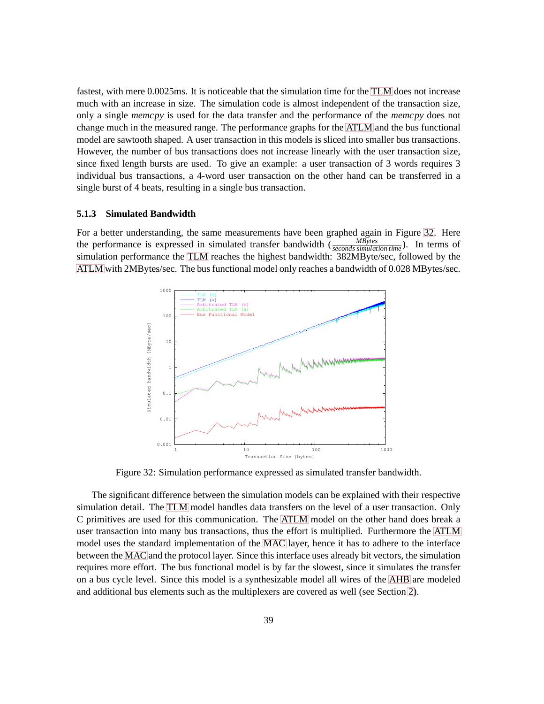fastest, with mere 0.0025ms. It is noticeable that the simulation time for the [TLM](#page-6-1) does not increase much with an increase in size. The simulation code is almost independent of the transaction size, only a single *memcpy* is used for the data transfer and the performance of the *memcpy* does not change much in the measured range. The performance graphs for the [ATLM](#page-5-12) and the bus functional model are sawtooth shaped. A user transaction in this models is sliced into smaller bus transactions. However, the number of bus transactions does not increase linearly with the user transaction size, since fixed length bursts are used. To give an example: a user transaction of 3 words requires 3 individual bus transactions, a 4-word user transaction on the other hand can be transferred in a single burst of 4 beats, resulting in a single bus transaction.

#### <span id="page-44-0"></span>**5.1.3 Simulated Bandwidth**

For a better understanding, the same measurements have been graphed again in Figure [32.](#page-44-0) Here the performance is expressed in simulated transfer bandwidth  $\frac{MBytes}{seconds\,simulation\,time}$ ). In terms of simulation performance the [TLM](#page-6-1) reaches the highest bandwidth: 382MByte/sec, followed by the [ATLM](#page-5-12) with 2MBytes/sec. The bus functional model only reaches a bandwidth of 0.028 MBytes/sec.



Figure 32: Simulation performance expressed as simulated transfer bandwidth.

The significant difference between the simulation models can be explained with their respective simulation detail. The [TLM](#page-6-1) model handles data transfers on the level of a user transaction. Only C primitives are used for this communication. The [ATLM](#page-5-12) model on the other hand does break a user transaction into many bus transactions, thus the effort is multiplied. Furthermore the [ATLM](#page-5-12) model uses the standard implementation of the [MAC](#page-5-11) layer, hence it has to adhere to the interface between the [MAC](#page-5-11) and the protocol layer. Since this interface uses already bit vectors, the simulation requires more effort. The bus functional model is by far the slowest, since it simulates the transfer on a bus cycle level. Since this model is a synthesizable model all wires of the [AHB](#page-5-0) are modeled and additional bus elements such as the multiplexers are covered as well (see Section [2\)](#page-13-0).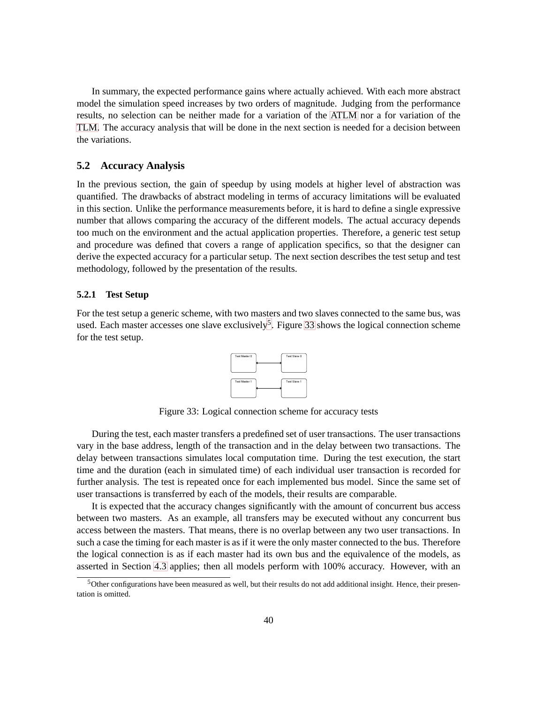In summary, the expected performance gains where actually achieved. With each more abstract model the simulation speed increases by two orders of magnitude. Judging from the performance results, no selection can be neither made for a variation of the [ATLM](#page-5-12) nor a for variation of the [TLM.](#page-6-1) The accuracy analysis that will be done in the next section is needed for a decision between the variations.

#### <span id="page-45-0"></span>**5.2 Accuracy Analysis**

In the previous section, the gain of speedup by using models at higher level of abstraction was quantified. The drawbacks of abstract modeling in terms of accuracy limitations will be evaluated in this section. Unlike the performance measurements before, it is hard to define a single expressive number that allows comparing the accuracy of the different models. The actual accuracy depends too much on the environment and the actual application properties. Therefore, a generic test setup and procedure was defined that covers a range of application specifics, so that the designer can derive the expected accuracy for a particular setup. The next section describes the test setup and test methodology, followed by the presentation of the results.

#### <span id="page-45-1"></span>**5.2.1 Test Setup**

For the test setup a generic scheme, with two masters and two slaves connected to the same bus, was used. Each master accesses one slave exclusively<sup>[5](#page-45-2)</sup>. Figure [33](#page-45-1) shows the logical connection scheme for the test setup.



Figure 33: Logical connection scheme for accuracy tests

During the test, each master transfers a predefined set of user transactions. The user transactions vary in the base address, length of the transaction and in the delay between two transactions. The delay between transactions simulates local computation time. During the test execution, the start time and the duration (each in simulated time) of each individual user transaction is recorded for further analysis. The test is repeated once for each implemented bus model. Since the same set of user transactions is transferred by each of the models, their results are comparable.

It is expected that the accuracy changes significantly with the amount of concurrent bus access between two masters. As an example, all transfers may be executed without any concurrent bus access between the masters. That means, there is no overlap between any two user transactions. In such a case the timing for each master is as if it were the only master connected to the bus. Therefore the logical connection is as if each master had its own bus and the equivalence of the models, as asserted in Section [4.3](#page-40-0) applies; then all models perform with 100% accuracy. However, with an

<span id="page-45-2"></span><sup>&</sup>lt;sup>5</sup>Other configurations have been measured as well, but their results do not add additional insight. Hence, their presentation is omitted.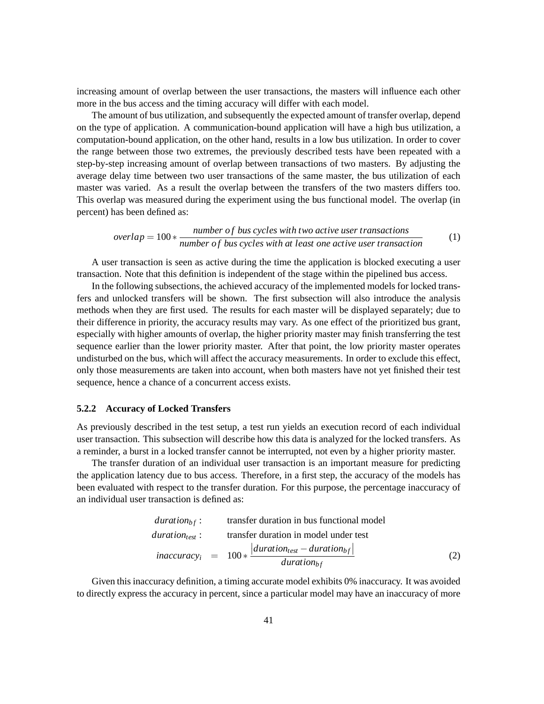increasing amount of overlap between the user transactions, the masters will influence each other more in the bus access and the timing accuracy will differ with each model.

The amount of bus utilization, and subsequently the expected amount of transfer overlap, depend on the type of application. A communication-bound application will have a high bus utilization, a computation-bound application, on the other hand, results in a low bus utilization. In order to cover the range between those two extremes, the previously described tests have been repeated with a step-by-step increasing amount of overlap between transactions of two masters. By adjusting the average delay time between two user transactions of the same master, the bus utilization of each master was varied. As a result the overlap between the transfers of the two masters differs too. This overlap was measured during the experiment using the bus functional model. The overlap (in percent) has been defined as:

$$
overlap = 100 * \frac{number\ of\ bus\ cycles\ with\ two\ active\ user\ transactions}{number\ of\ bus\ cycles\ with\ at\ least\ one\ active\ user\ transaction} \tag{1}
$$

A user transaction is seen as active during the time the application is blocked executing a user transaction. Note that this definition is independent of the stage within the pipelined bus access.

In the following subsections, the achieved accuracy of the implemented models for locked transfers and unlocked transfers will be shown. The first subsection will also introduce the analysis methods when they are first used. The results for each master will be displayed separately; due to their difference in priority, the accuracy results may vary. As one effect of the prioritized bus grant, especially with higher amounts of overlap, the higher priority master may finish transferring the test sequence earlier than the lower priority master. After that point, the low priority master operates undisturbed on the bus, which will affect the accuracy measurements. In order to exclude this effect, only those measurements are taken into account, when both masters have not yet finished their test sequence, hence a chance of a concurrent access exists.

#### <span id="page-46-0"></span>**5.2.2 Accuracy of Locked Transfers**

As previously described in the test setup, a test run yields an execution record of each individual user transaction. This subsection will describe how this data is analyzed for the locked transfers. As a reminder, a burst in a locked transfer cannot be interrupted, not even by a higher priority master.

The transfer duration of an individual user transaction is an important measure for predicting the application latency due to bus access. Therefore, in a first step, the accuracy of the models has been evaluated with respect to the transfer duration. For this purpose, the percentage inaccuracy of an individual user transaction is defined as:

*duration<sub>bf</sub>*: transfer duration in bus functional model  
\n*duration<sub>test</sub>*: transfer duration in model under test  
\n*inaccuracy<sub>i</sub>* = 
$$
100 * \frac{|duration_{test} - duration_{bf}|}{duration_{bf}}
$$
 (2)

Given this inaccuracy definition, a timing accurate model exhibits 0% inaccuracy. It was avoided to directly express the accuracy in percent, since a particular model may have an inaccuracy of more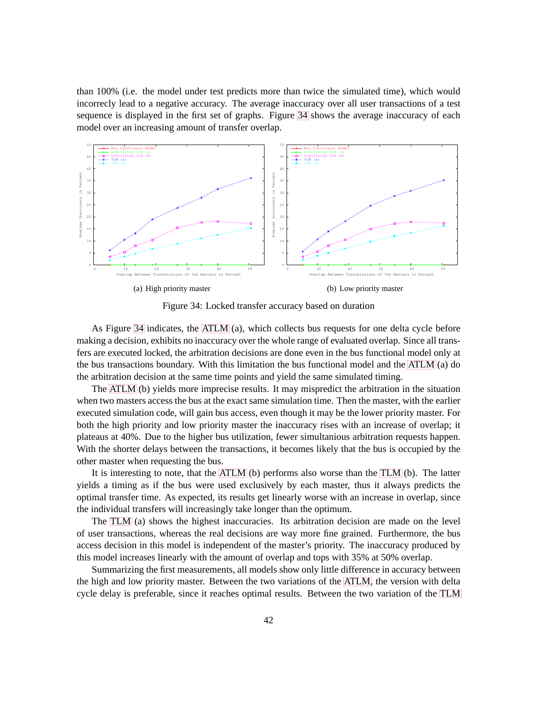than 100% (i.e. the model under test predicts more than twice the simulated time), which would incorrecly lead to a negative accuracy. The average inaccuracy over all user transactions of a test sequence is displayed in the first set of graphs. Figure [34](#page-47-0) shows the average inaccuracy of each model over an increasing amount of transfer overlap.



<span id="page-47-0"></span>Figure 34: Locked transfer accuracy based on duration

As Figure [34](#page-47-0) indicates, the [ATLM](#page-5-12) (a), which collects bus requests for one delta cycle before making a decision, exhibits no inaccuracy over the whole range of evaluated overlap. Since all transfers are executed locked, the arbitration decisions are done even in the bus functional model only at the bus transactions boundary. With this limitation the bus functional model and the [ATLM](#page-5-12) (a) do the arbitration decision at the same time points and yield the same simulated timing.

The [ATLM](#page-5-12) (b) yields more imprecise results. It may mispredict the arbitration in the situation when two masters access the bus at the exact same simulation time. Then the master, with the earlier executed simulation code, will gain bus access, even though it may be the lower priority master. For both the high priority and low priority master the inaccuracy rises with an increase of overlap; it plateaus at 40%. Due to the higher bus utilization, fewer simultanious arbitration requests happen. With the shorter delays between the transactions, it becomes likely that the bus is occupied by the other master when requesting the bus.

It is interesting to note, that the [ATLM](#page-5-12) (b) performs also worse than the [TLM](#page-6-1) (b). The latter yields a timing as if the bus were used exclusively by each master, thus it always predicts the optimal transfer time. As expected, its results get linearly worse with an increase in overlap, since the individual transfers will increasingly take longer than the optimum.

The [TLM](#page-6-1) (a) shows the highest inaccuracies. Its arbitration decision are made on the level of user transactions, whereas the real decisions are way more fine grained. Furthermore, the bus access decision in this model is independent of the master's priority. The inaccuracy produced by this model increases linearly with the amount of overlap and tops with 35% at 50% overlap.

Summarizing the first measurements, all models show only little difference in accuracy between the high and low priority master. Between the two variations of the [ATLM,](#page-5-12) the version with delta cycle delay is preferable, since it reaches optimal results. Between the two variation of the [TLM](#page-6-1)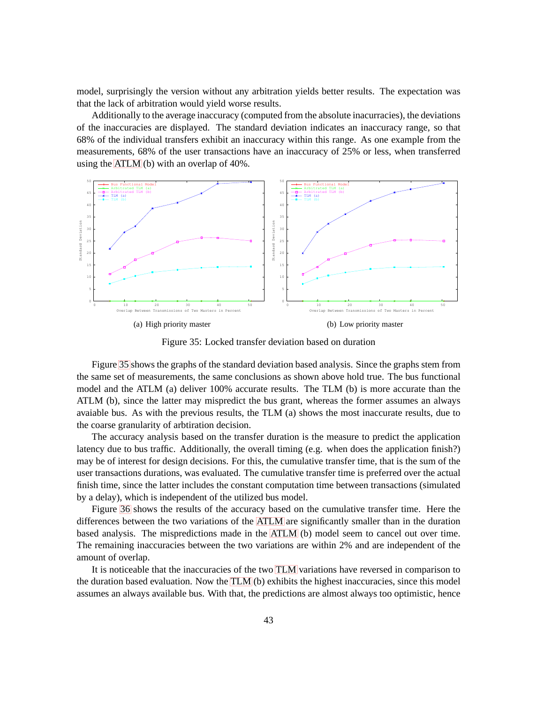model, surprisingly the version without any arbitration yields better results. The expectation was that the lack of arbitration would yield worse results.

Additionally to the average inaccuracy (computed from the absolute inacurracies), the deviations of the inaccuracies are displayed. The standard deviation indicates an inaccuracy range, so that 68% of the individual transfers exhibit an inaccuracy within this range. As one example from the measurements, 68% of the user transactions have an inaccuracy of 25% or less, when transferred using the [ATLM](#page-5-12) (b) with an overlap of 40%.



<span id="page-48-0"></span>Figure 35: Locked transfer deviation based on duration

Figure [35](#page-48-0) shows the graphs of the standard deviation based analysis. Since the graphs stem from the same set of measurements, the same conclusions as shown above hold true. The bus functional model and the ATLM (a) deliver 100% accurate results. The TLM (b) is more accurate than the ATLM (b), since the latter may mispredict the bus grant, whereas the former assumes an always avaiable bus. As with the previous results, the TLM (a) shows the most inaccurate results, due to the coarse granularity of arbtiration decision.

The accuracy analysis based on the transfer duration is the measure to predict the application latency due to bus traffic. Additionally, the overall timing (e.g. when does the application finish?) may be of interest for design decisions. For this, the cumulative transfer time, that is the sum of the user transactions durations, was evaluated. The cumulative transfer time is preferred over the actual finish time, since the latter includes the constant computation time between transactions (simulated by a delay), which is independent of the utilized bus model.

Figure [36](#page-49-1) shows the results of the accuracy based on the cumulative transfer time. Here the differences between the two variations of the [ATLM](#page-5-12) are significantly smaller than in the duration based analysis. The mispredictions made in the [ATLM](#page-5-12) (b) model seem to cancel out over time. The remaining inaccuracies between the two variations are within 2% and are independent of the amount of overlap.

It is noticeable that the inaccuracies of the two [TLM](#page-6-1) variations have reversed in comparison to the duration based evaluation. Now the [TLM](#page-6-1) (b) exhibits the highest inaccuracies, since this model assumes an always available bus. With that, the predictions are almost always too optimistic, hence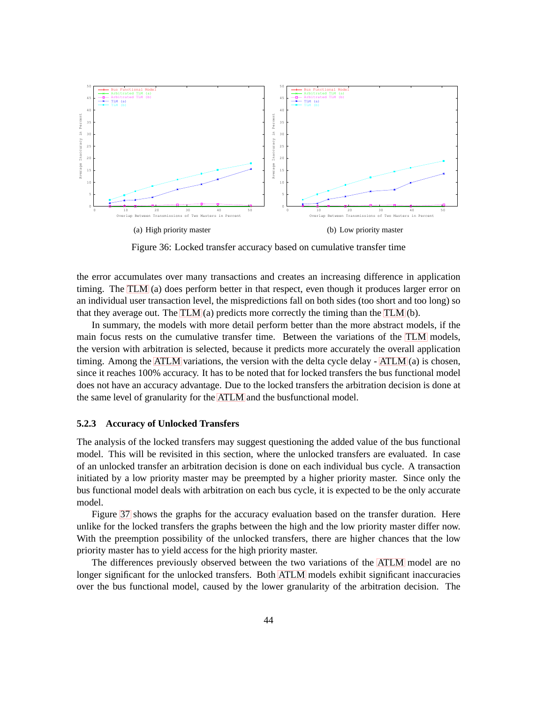

<span id="page-49-1"></span>Figure 36: Locked transfer accuracy based on cumulative transfer time

the error accumulates over many transactions and creates an increasing difference in application timing. The [TLM](#page-6-1) (a) does perform better in that respect, even though it produces larger error on an individual user transaction level, the mispredictions fall on both sides (too short and too long) so that they average out. The [TLM](#page-6-1) (a) predicts more correctly the timing than the [TLM](#page-6-1) (b).

In summary, the models with more detail perform better than the more abstract models, if the main focus rests on the cumulative transfer time. Between the variations of the [TLM](#page-6-1) models, the version with arbitration is selected, because it predicts more accurately the overall application timing. Among the [ATLM](#page-5-12) variations, the version with the delta cycle delay - [ATLM](#page-5-12) (a) is chosen, since it reaches 100% accuracy. It has to be noted that for locked transfers the bus functional model does not have an accuracy advantage. Due to the locked transfers the arbitration decision is done at the same level of granularity for the [ATLM](#page-5-12) and the busfunctional model.

#### <span id="page-49-0"></span>**5.2.3 Accuracy of Unlocked Transfers**

The analysis of the locked transfers may suggest questioning the added value of the bus functional model. This will be revisited in this section, where the unlocked transfers are evaluated. In case of an unlocked transfer an arbitration decision is done on each individual bus cycle. A transaction initiated by a low priority master may be preempted by a higher priority master. Since only the bus functional model deals with arbitration on each bus cycle, it is expected to be the only accurate model.

Figure [37](#page-50-0) shows the graphs for the accuracy evaluation based on the transfer duration. Here unlike for the locked transfers the graphs between the high and the low priority master differ now. With the preemption possibility of the unlocked transfers, there are higher chances that the low priority master has to yield access for the high priority master.

The differences previously observed between the two variations of the [ATLM](#page-5-12) model are no longer significant for the unlocked transfers. Both [ATLM](#page-5-12) models exhibit significant inaccuracies over the bus functional model, caused by the lower granularity of the arbitration decision. The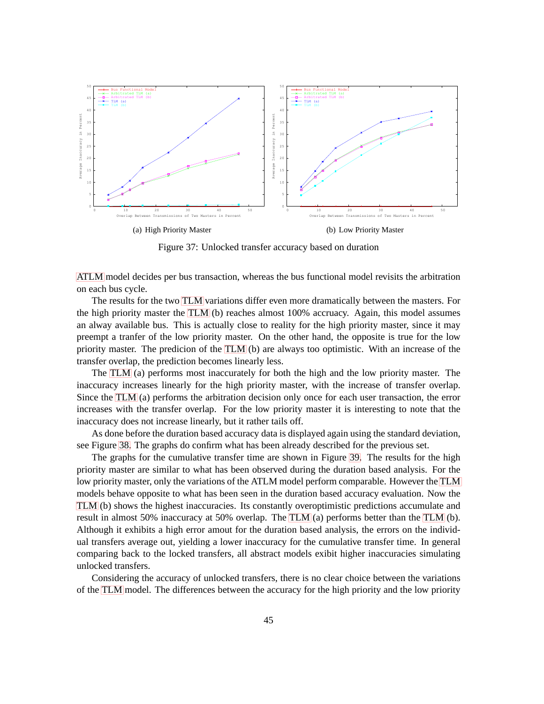

<span id="page-50-0"></span>Figure 37: Unlocked transfer accuracy based on duration

[ATLM](#page-5-12) model decides per bus transaction, whereas the bus functional model revisits the arbitration on each bus cycle.

The results for the two [TLM](#page-6-1) variations differ even more dramatically between the masters. For the high priority master the [TLM](#page-6-1) (b) reaches almost 100% accruacy. Again, this model assumes an alway available bus. This is actually close to reality for the high priority master, since it may preempt a tranfer of the low priority master. On the other hand, the opposite is true for the low priority master. The predicion of the [TLM](#page-6-1) (b) are always too optimistic. With an increase of the transfer overlap, the prediction becomes linearly less.

The [TLM](#page-6-1) (a) performs most inaccurately for both the high and the low priority master. The inaccuracy increases linearly for the high priority master, with the increase of transfer overlap. Since the [TLM](#page-6-1) (a) performs the arbitration decision only once for each user transaction, the error increases with the transfer overlap. For the low priority master it is interesting to note that the inaccuracy does not increase linearly, but it rather tails off.

As done before the duration based accuracy data is displayed again using the standard deviation, see Figure [38.](#page-51-1) The graphs do confirm what has been already described for the previous set.

The graphs for the cumulative transfer time are shown in Figure [39.](#page-51-2) The results for the high priority master are similar to what has been observed during the duration based analysis. For the low priority master, only the variations of the ATLM model perform comparable. However the [TLM](#page-6-1) models behave opposite to what has been seen in the duration based accuracy evaluation. Now the [TLM](#page-6-1) (b) shows the highest inaccuracies. Its constantly overoptimistic predictions accumulate and result in almost 50% inaccuracy at 50% overlap. The [TLM](#page-6-1) (a) performs better than the [TLM](#page-6-1) (b). Although it exhibits a high error amout for the duration based analysis, the errors on the individual transfers average out, yielding a lower inaccuracy for the cumulative transfer time. In general comparing back to the locked transfers, all abstract models exibit higher inaccuracies simulating unlocked transfers.

Considering the accuracy of unlocked transfers, there is no clear choice between the variations of the [TLM](#page-6-1) model. The differences between the accuracy for the high priority and the low priority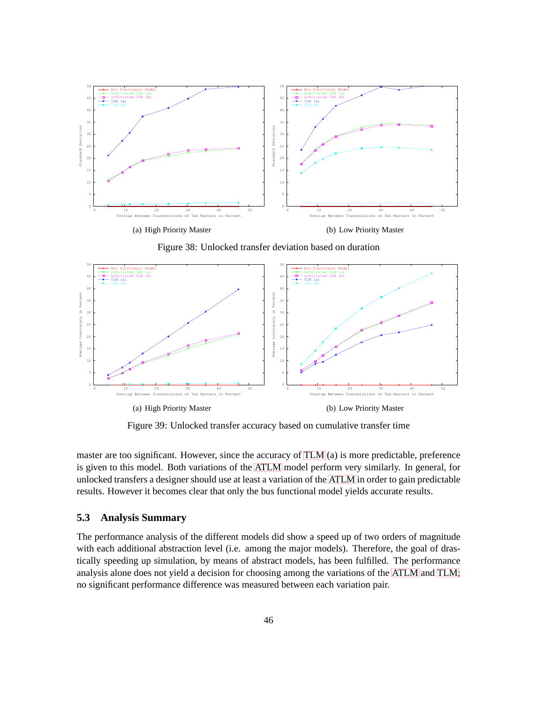

<span id="page-51-1"></span>Figure 38: Unlocked transfer deviation based on duration



<span id="page-51-2"></span>Figure 39: Unlocked transfer accuracy based on cumulative transfer time

master are too significant. However, since the accuracy of [TLM](#page-6-1) (a) is more predictable, preference is given to this model. Both variations of the [ATLM](#page-5-12) model perform very similarly. In general, for unlocked transfers a designer should use at least a variation of the [ATLM](#page-5-12) in order to gain predictable results. However it becomes clear that only the bus functional model yields accurate results.

#### <span id="page-51-0"></span>**5.3 Analysis Summary**

The performance analysis of the different models did show a speed up of two orders of magnitude with each additional abstraction level (i.e. among the major models). Therefore, the goal of drastically speeding up simulation, by means of abstract models, has been fulfilled. The performance analysis alone does not yield a decision for choosing among the variations of the [ATLM](#page-5-12) and [TLM;](#page-6-1) no significant performance difference was measured between each variation pair.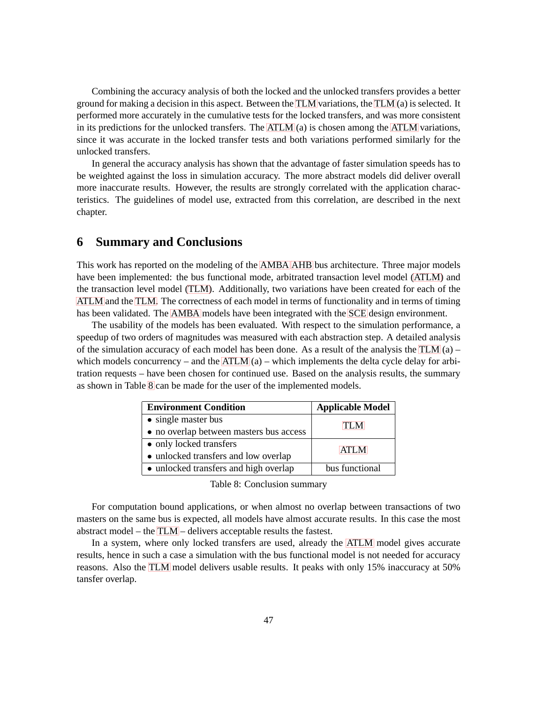Combining the accuracy analysis of both the locked and the unlocked transfers provides a better ground for making a decision in this aspect. Between the [TLM](#page-6-1) variations, the [TLM](#page-6-1) (a) is selected. It performed more accurately in the cumulative tests for the locked transfers, and was more consistent in its predictions for the unlocked transfers. The [ATLM](#page-5-12) (a) is chosen among the [ATLM](#page-5-12) variations, since it was accurate in the locked transfer tests and both variations performed similarly for the unlocked transfers.

In general the accuracy analysis has shown that the advantage of faster simulation speeds has to be weighted against the loss in simulation accuracy. The more abstract models did deliver overall more inaccurate results. However, the results are strongly correlated with the application characteristics. The guidelines of model use, extracted from this correlation, are described in the next chapter.

### <span id="page-52-0"></span>**6 Summary and Conclusions**

This work has reported on the modeling of the [AMBA](#page-5-1) [AHB](#page-5-0) bus architecture. Three major models have been implemented: the bus functional mode, arbitrated transaction level model [\(ATLM\)](#page-5-12) and the transaction level model [\(TLM\)](#page-6-1). Additionally, two variations have been created for each of the [ATLM](#page-5-12) and the [TLM.](#page-6-1) The correctness of each model in terms of functionality and in terms of timing has been validated. The [AMBA](#page-5-1) models have been integrated with the [SCE](#page-6-2) design environment.

The usability of the models has been evaluated. With respect to the simulation performance, a speedup of two orders of magnitudes was measured with each abstraction step. A detailed analysis of the simulation accuracy of each model has been done. As a result of the analysis the [TLM](#page-6-1) (a) – which models concurrency – and the [ATLM](#page-5-12)  $(a)$  – which implements the delta cycle delay for arbitration requests – have been chosen for continued use. Based on the analysis results, the summary as shown in Table [8](#page-52-0) can be made for the user of the implemented models.

| <b>Environment Condition</b>            | <b>Applicable Model</b> |
|-----------------------------------------|-------------------------|
| • single master bus                     | TI M                    |
| • no overlap between masters bus access |                         |
| • only locked transfers                 | ATI M                   |
| • unlocked transfers and low overlap    |                         |
| • unlocked transfers and high overlap   | bus functional          |

Table 8: Conclusion summary

For computation bound applications, or when almost no overlap between transactions of two masters on the same bus is expected, all models have almost accurate results. In this case the most abstract model – the [TLM](#page-6-1) – delivers acceptable results the fastest.

In a system, where only locked transfers are used, already the [ATLM](#page-5-12) model gives accurate results, hence in such a case a simulation with the bus functional model is not needed for accuracy reasons. Also the [TLM](#page-6-1) model delivers usable results. It peaks with only 15% inaccuracy at 50% tansfer overlap.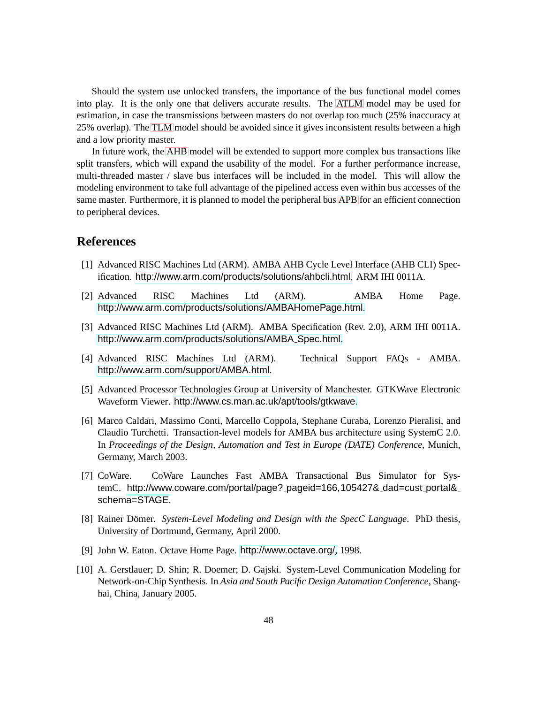Should the system use unlocked transfers, the importance of the bus functional model comes into play. It is the only one that delivers accurate results. The [ATLM](#page-5-12) model may be used for estimation, in case the transmissions between masters do not overlap too much (25% inaccuracy at 25% overlap). The [TLM](#page-6-1) model should be avoided since it gives inconsistent results between a high and a low priority master.

In future work, the [AHB](#page-5-0) model will be extended to support more complex bus transactions like split transfers, which will expand the usability of the model. For a further performance increase, multi-threaded master / slave bus interfaces will be included in the model. This will allow the modeling environment to take full advantage of the pipelined access even within bus accesses of the same master. Furthermore, it is planned to model the peripheral bus [APB](#page-5-8) for an efficient connection to peripheral devices.

# <span id="page-53-3"></span><span id="page-53-0"></span>**References**

- [1] Advanced RISC Machines Ltd (ARM). AMBA AHB Cycle Level Interface (AHB CLI) Specification. <http://www.arm.com/products/solutions/ahbcli.html>. ARM IHI 0011A.
- <span id="page-53-2"></span><span id="page-53-1"></span>[2] Advanced RISC Machines Ltd (ARM). AMBA Home Page. <http://www.arm.com/products/solutions/AMBAHomePage.html>.
- [3] Advanced RISC Machines Ltd (ARM). AMBA Specification (Rev. 2.0), ARM IHI 0011A. [http://www.arm.com/products/solutions/AMBA](http://www.arm.com/products/solutions/AMBA_Spec.html)\_Spec.html.
- <span id="page-53-7"></span><span id="page-53-6"></span>[4] Advanced RISC Machines Ltd (ARM). Technical Support FAQs - AMBA. <http://www.arm.com/support/AMBA.html>.
- [5] Advanced Processor Technologies Group at University of Manchester. GTKWave Electronic Waveform Viewer. <http://www.cs.man.ac.uk/apt/tools/gtkwave>.
- <span id="page-53-4"></span>[6] Marco Caldari, Massimo Conti, Marcello Coppola, Stephane Curaba, Lorenzo Pieralisi, and Claudio Turchetti. Transaction-level models for AMBA bus architecture using SystemC 2.0. In *Proceedings of the Design, Automation and Test in Europe (DATE) Conference*, Munich, Germany, March 2003.
- <span id="page-53-5"></span>[7] CoWare. CoWare Launches Fast AMBA Transactional Bus Simulator for SystemC. http://www.coware.com/portal/page?\_pageid=166,105427&\_dad=cust\_portal&\_ schema=STAGE.
- [8] Rainer Dömer. System-Level Modeling and Design with the SpecC Language. PhD thesis, University of Dortmund, Germany, April 2000.
- <span id="page-53-8"></span>[9] John W. Eaton. Octave Home Page. <http://www.octave.org/>, 1998.
- [10] A. Gerstlauer; D. Shin; R. Doemer; D. Gajski. System-Level Communication Modeling for Network-on-Chip Synthesis. In *Asia and South Pacific Design Automation Conference*, Shanghai, China, January 2005.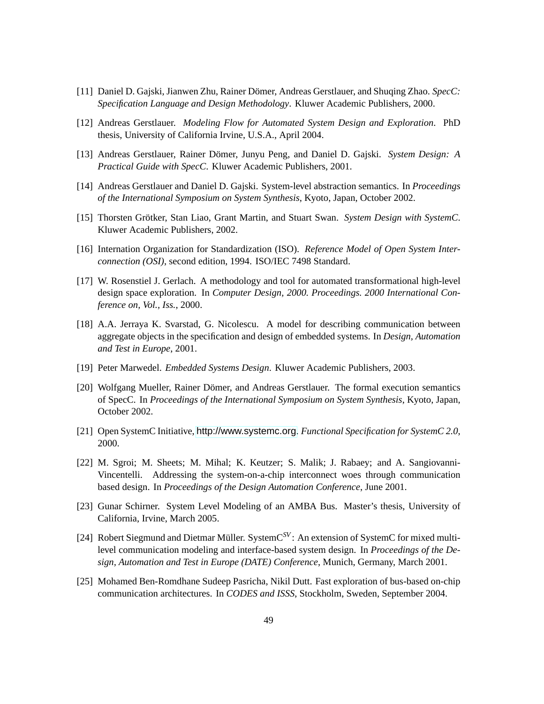- <span id="page-54-3"></span><span id="page-54-1"></span>[11] Daniel D. Gajski, Jianwen Zhu, Rainer Domer, Andreas Gerstlauer, and Shuqing Zhao. ¨ *SpecC: Specification Language and Design Methodology*. Kluwer Academic Publishers, 2000.
- <span id="page-54-0"></span>[12] Andreas Gerstlauer. *Modeling Flow for Automated System Design and Exploration*. PhD thesis, University of California Irvine, U.S.A., April 2004.
- [13] Andreas Gerstlauer, Rainer Domer, Junyu Peng, and Daniel D. Gajski. ¨ *System Design: A Practical Guide with SpecC*. Kluwer Academic Publishers, 2001.
- <span id="page-54-2"></span>[14] Andreas Gerstlauer and Daniel D. Gajski. System-level abstraction semantics. In *Proceedings of the International Symposium on System Synthesis*, Kyoto, Japan, October 2002.
- <span id="page-54-8"></span>[15] Thorsten Grotker, Stan Liao, Grant Martin, and Stuart Swan. ¨ *System Design with SystemC*. Kluwer Academic Publishers, 2002.
- [16] Internation Organization for Standardization (ISO). *Reference Model of Open System Interconnection (OSI)*, second edition, 1994. ISO/IEC 7498 Standard.
- [17] W. Rosenstiel J. Gerlach. A methodology and tool for automated transformational high-level design space exploration. In *Computer Design, 2000. Proceedings. 2000 International Conference on, Vol., Iss.*, 2000.
- [18] A.A. Jerraya K. Svarstad, G. Nicolescu. A model for describing communication between aggregate objects in the specification and design of embedded systems. In *Design, Automation and Test in Europe*, 2001.
- [19] Peter Marwedel. *Embedded Systems Design*. Kluwer Academic Publishers, 2003.
- [20] Wolfgang Mueller, Rainer Dömer, and Andreas Gerstlauer. The formal execution semantics of SpecC. In *Proceedings of the International Symposium on System Synthesis*, Kyoto, Japan, October 2002.
- <span id="page-54-6"></span><span id="page-54-4"></span>[21] Open SystemC Initiative, <http://www.systemc.org>. *Functional Specification for SystemC 2.0*, 2000.
- [22] M. Sgroi; M. Sheets; M. Mihal; K. Keutzer; S. Malik; J. Rabaey; and A. Sangiovanni-Vincentelli. Addressing the system-on-a-chip interconnect woes through communication based design. In *Proceedings of the Design Automation Conference*, June 2001.
- <span id="page-54-5"></span>[23] Gunar Schirner. System Level Modeling of an AMBA Bus. Master's thesis, University of California, Irvine, March 2005.
- [24] Robert Siegmund and Dietmar Müller. SystemC<sup>SV</sup>: An extension of SystemC for mixed multilevel communication modeling and interface-based system design. In *Proceedings of the Design, Automation and Test in Europe (DATE) Conference*, Munich, Germany, March 2001.
- <span id="page-54-7"></span>[25] Mohamed Ben-Romdhane Sudeep Pasricha, Nikil Dutt. Fast exploration of bus-based on-chip communication architectures. In *CODES and ISSS*, Stockholm, Sweden, September 2004.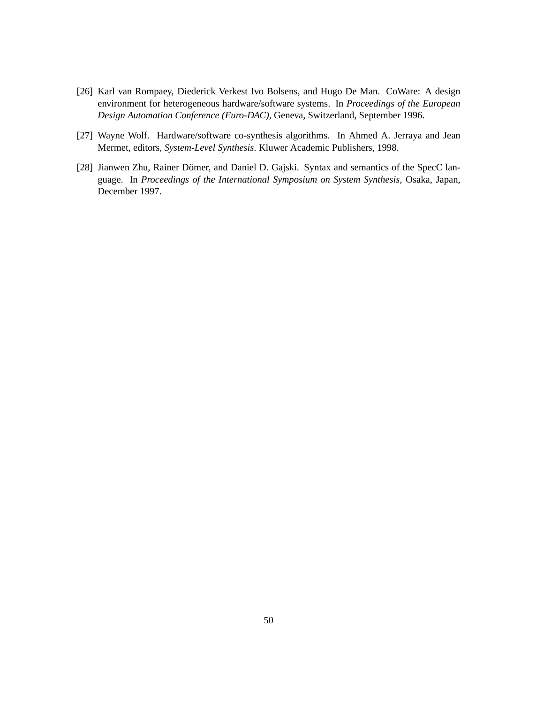- [26] Karl van Rompaey, Diederick Verkest Ivo Bolsens, and Hugo De Man. CoWare: A design environment for heterogeneous hardware/software systems. In *Proceedings of the European Design Automation Conference (Euro-DAC)*, Geneva, Switzerland, September 1996.
- [27] Wayne Wolf. Hardware/software co-synthesis algorithms. In Ahmed A. Jerraya and Jean Mermet, editors, *System-Level Synthesis*. Kluwer Academic Publishers, 1998.
- [28] Jianwen Zhu, Rainer Dömer, and Daniel D. Gajski. Syntax and semantics of the SpecC language. In *Proceedings of the International Symposium on System Synthesis*, Osaka, Japan, December 1997.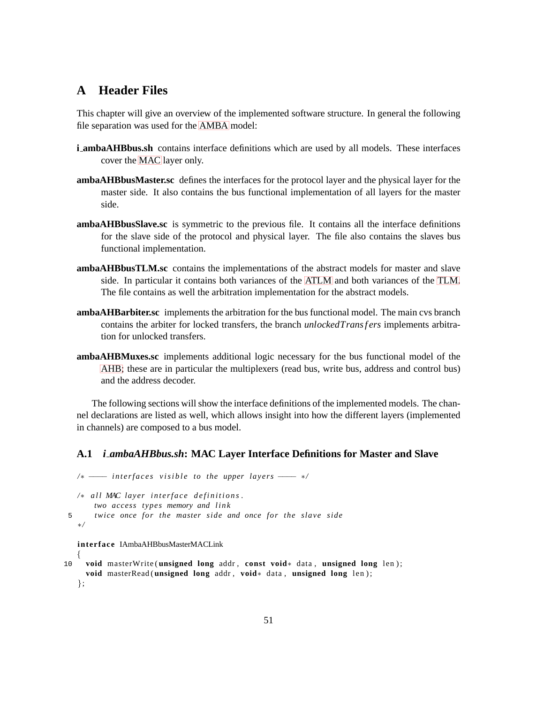# <span id="page-56-0"></span>**A Header Files**

This chapter will give an overview of the implemented software structure. In general the following file separation was used for the [AMBA](#page-5-1) model:

- **i ambaAHBbus.sh** contains interface definitions which are used by all models. These interfaces cover the [MAC](#page-5-11) layer only.
- **ambaAHBbusMaster.sc** defines the interfaces for the protocol layer and the physical layer for the master side. It also contains the bus functional implementation of all layers for the master side.
- **ambaAHBbusSlave.sc** is symmetric to the previous file. It contains all the interface definitions for the slave side of the protocol and physical layer. The file also contains the slaves bus functional implementation.
- **ambaAHBbusTLM.sc** contains the implementations of the abstract models for master and slave side. In particular it contains both variances of the [ATLM](#page-5-12) and both variances of the [TLM.](#page-6-1) The file contains as well the arbitration implementation for the abstract models.
- **ambaAHBarbiter.sc** implements the arbitration for the bus functional model. The main cvs branch contains the arbiter for locked transfers, the branch *unlockedTrans f ers* implements arbitration for unlocked transfers.
- **ambaAHBMuxes.sc** implements additional logic necessary for the bus functional model of the [AHB;](#page-5-0) these are in particular the multiplexers (read bus, write bus, address and control bus) and the address decoder.

The following sections will show the interface definitions of the implemented models. The channel declarations are listed as well, which allows insight into how the different layers (implemented in channels) are composed to a bus model.

#### <span id="page-56-1"></span>**A.1** *i ambaAHBbus.sh***: MAC Layer Interface Definitions for Master and Slave**

```
/∗ − interfaces visible to the upper layers − ∗/
```
/\* *all MAC layer interface definitions*. *two access types memory and link* 5 *twice once for the master side and once for the slave side* ∗*/*

**interface** IAmbaAHBbusMasterMACLink

{

```
10 void masterWrite ( unsigned long addr , const void∗ data , unsigned long len ) ;
     void masterRead ( unsigned long addr , void∗ data , unsigned long len ) ;
   };
```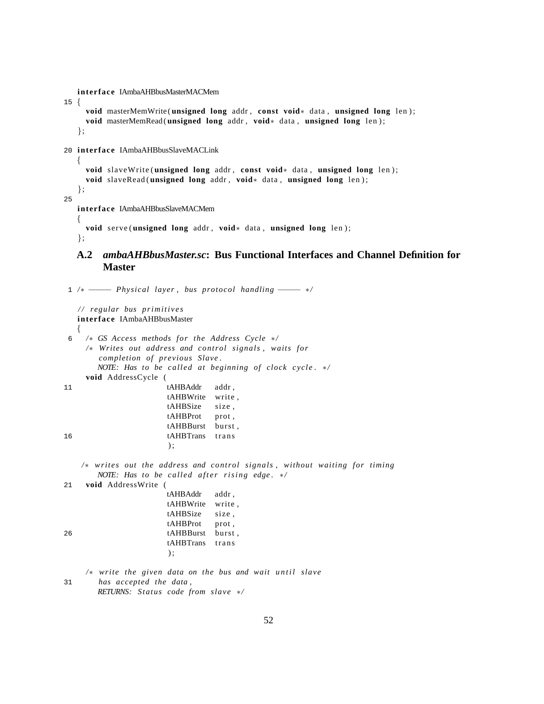**interface** IAmbaAHBbusMasterMACMem

15 {

};

```
void masterMemWrite ( unsigned long addr , const void∗ data , unsigned long len ) ;
void masterMemRead( unsigned long addr , void∗ data , unsigned long len ) ;
```
20 **interface** IAmbaAHBbusSlaveMACLink

```
\left\{ \right.void slaveWrite ( unsigned long addr , const void∗ data , unsigned long len ) ;
     void slaveRead ( unsigned long addr , void∗ data , unsigned long len ) ;
   };
25
   interface IAmbaAHBbusSlaveMACMem
   {
```
**void** serve ( **unsigned long** addr , **void**∗ data , **unsigned long** len ) ;

```
};
```
#### **A.2** *ambaAHBbusMaster.sc***: Bus Functional Interfaces and Channel Definition for Master**

1 /\* ------ *Physical layer*, bus protocol handling ------ \*/ */ / regular bus p r i m i t i v e s* **interface** IAmbaAHBbusMaster { 6 */*∗ *GS Access methods for the Address Cycle* ∗*/ /*∗ *Writes out address and control signals , waits for completion of previous Slave . NOTE: Has to be called at beginning of clock cycle .* ∗*/* **void** AddressCycle ( 11 tAHBAddr addr, tAHBWrite write , tAHBSize size , tAHBProt prot, tAHBBurst burst , 16 tAHBTrans trans  $)$ ; */*∗ *writes out the address and control signals , without waiting for timing NOTE:* Has to be called after rising edge. \*/ 21 **void** AddressWrite ( tAHBAddr addr , tAHBWrite write , tAHBSize size , tAHBProt prot, 26 tAHBBurst burst , tAHBTrans trans ) ; */*∗ *write the given data on the bus and wait until slave* 31 *has accepted the data , RETURNS: Status code from slave* ∗*/*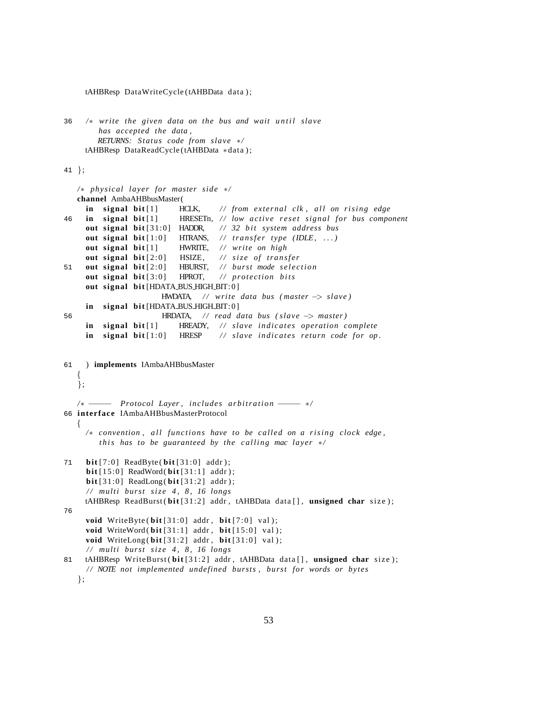```
tAHBResp DataWriteCycle (tAHBData data ) ;
36 /* write the given data on the bus and wait until slave
        has accepted the data ,
        RETURNS: Status code from slave ∗/
     tAHBResp DataReadCycle (tAHBData ∗data ) ;
41 };
   /∗ physical layer for master side ∗/
   channel AmbaAHBbusMaster(
     in signal bit [1] HCLK, // from external clk, all on rising edge
46 in signal bit [1] HRESETn, // low active reset signal for bus component
     out signal bit [31:0] HADDR, // 32 bit system address bus
     out signal bit [1:0] HTRANS, // transfer type (IDLE, ...)
     out signal bit [1] HWRITE, / / write on high
     out signal bit<sup>[2:0]</sup> HSIZE, // size of transfer
51 out signal bit [2:0] HBURST, // burst mode selection
     out signal bit [3:0] HPROT, // protection bits
     out signal bit [HDATA_BUS_HIGH_BIT:0]
                       HWDATA, / / write data bus ( master −> slave )
     in signal bit [HDATA_BUS_HIGH_BIT:0]
56 HRDATA, / / read data bus ( slave −> master )
     in signal bit [1] HREADY, / / slave indicates operation complete
     in signal bit [1:0] HRESP // slave indicates return code for op.
61 ) implements IAmbaAHBbusMaster
   {
   \dot{\};
   /∗ − Protocol Layer, includes arbitration − ∗/
66 interface IAmbaAHBbusMasterProtocol
   \mathbf{f}/∗ convention , a l l functions have to be called on a r i s i n g clock edge ,
        this has to be guaranteed by the calling mac layer */
71 bit [7:0] ReadByte (bit [31:0] addr);
     bit [15:0] ReadWord( bit [31:1] addr ) ;
     bit [31:0] ReadLong( bit [31:2] addr ) ;
     / / multi burst s i z e 4 , 8 , 16 longs
     tAHBResp ReadBurst ( bit [31:2] addr , tAHBData data [ ] , unsigned char size ) ;
76
     void WriteByte (\text{bit}[31:0] addr, \text{bit}[7:0] val);
     void WriteWord (bit [31:1] addr, bit [15:0] val );
     void WriteLong ( bit [31:2] addr , bit [31:0] val ) ;
     / / multi burst s i z e 4 , 8 , 16 longs
81 tAHBResp WriteBurst (bit<sup>[31:2]</sup> addr, tAHBData data[], unsigned char size);
     / / NOTE not implemented undefined bursts , burst for words or bytes
```

```
};
```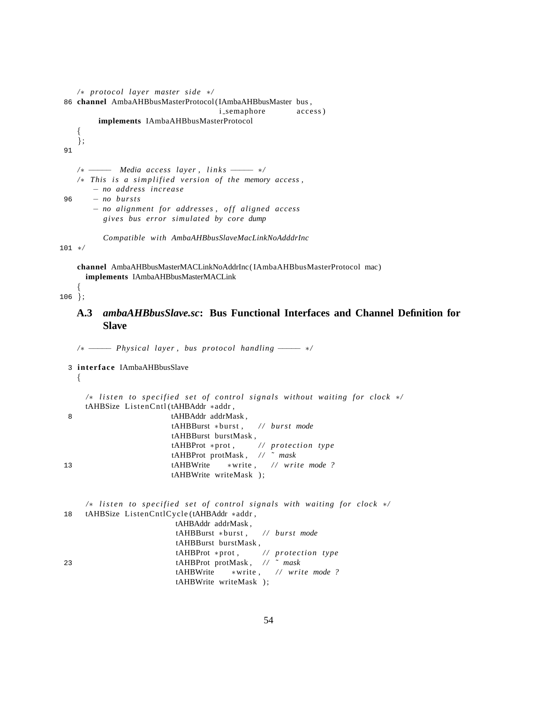```
/∗ protocol layer master side ∗/
86 channel AmbaAHBbusMasterProtocol (IAmbaAHBbusMaster bus ,
                                    i semaphore access )
        implements IAmbaAHBbusMasterProtocol
    {
    };
91
   /∗ − − Media access layer, links – */
   /* This is a simplified version of the memory access,
       − no address increase
96 − no bursts
       − no alignment for addresses , o f f aligned access
         gives bus error simulated by core dump
         Compatible with AmbaAHBbusSlaveMacLinkNoAdddrInc
101 ∗/
```
**channel** AmbaAHBbusMasterMACLinkNoAddrInc( IAmbaAHBbusMasterProtocol mac) **implements** IAmbaAHBbusMasterMACLink

<span id="page-59-0"></span>{ 106 };

### **A.3** *ambaAHBbusSlave.sc***: Bus Functional Interfaces and Channel Definition for Slave**

*/*∗ −−−−− *Physical layer , bus protocol handling* −−−−− ∗*/* 3 **interface** IAmbaAHBbusSlave

{

|    | /* listen to specified set of control signals without waiting for clock $\ast$ / |
|----|----------------------------------------------------------------------------------|
|    | tAHBSize ListenCntl(tAHBAddr *addr,                                              |
| -8 | tAHBAddr addrMask,                                                               |
|    | $tAHBBurst * burst$ , // <i>burst mode</i>                                       |
|    | tAHBBurst burstMask,                                                             |
|    | $tAHBProt *prot,$ // protection type                                             |
|    | tAHBProt protMask, $\frac{\pi}{3}$ mask                                          |
| 13 | $tAHBWrite$ *write, // write mode ?                                              |
|    | tAHBWrite writeMask);                                                            |
|    |                                                                                  |

|    | /* listen to specified set of control signals with waiting for clock $*/$ |
|----|---------------------------------------------------------------------------|
|    | 18 tAHBSize ListenCntlCycle (tAHBAddr *addr,                              |
|    | tAHBAddr addrMask,                                                        |
|    | $tAHBBurst * burst,$ // burst mode                                        |
|    | tAHBBurst burstMask,                                                      |
|    | $tAHBProt *prot, \t// protection type$                                    |
| 23 | tAHBProt protMask, $\frac{\pi}{3}$ mask                                   |
|    | $tAHBWrite$ *write, // write mode ?                                       |
|    | tAHBWrite writeMask);                                                     |
|    |                                                                           |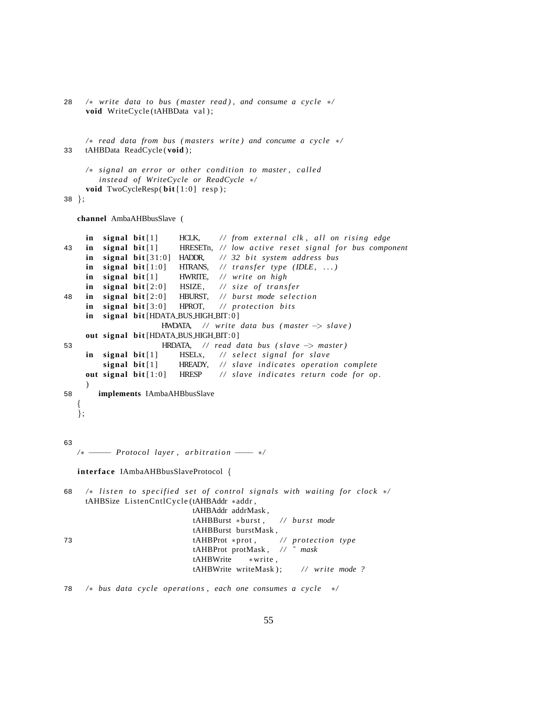28 */*∗ *write data to bus ( master read ) , and consume a cycle* ∗*/* void WriteCycle (tAHBData val);

```
/∗ read data from bus ( masters write ) and concume a cycle ∗/
33 tAHBData ReadCycle ( void ) ;
```

```
/∗ signal an error or other condition to master , called
   instead of WriteCycle or ReadCycle ∗/
void TwoCycleResp(bit[1:0] resp);
```
38 };

**channel** AmbaAHBbusSlave (

```
in signal bit [1] HCLK, // from external clk, all on rising edge
43 in signal bit [1] HRESETn, // low active reset signal for bus component
    in signal bit<sup>[31:0]</sup> HADDR, // 32 bit system address bus
    \text{in} signal bit[1:0] HTRANS, // transfer type (IDLE, ...)
    in signal bit [1] HWRITE, / / write on high
    in signal bit<sup>[2:0]</sup> HSIZE, // size of transfer
48 in signal bit [2:0] HBURST, // burst mode selection
    in signal bit<sup>[3:0]</sup> HPROT, // protection bits
    in signal bit [HDATA_BUS_HIGH_BIT:0]
                     HWDATA, / / write data bus ( master −> slave )
    out signal bit [HDATA_BUS_HIGH_BIT:0]
53 HRDATA, / / read data bus ( slave −> master )
    in signal bit [1] HSELx, // select signal for slave
        signal bit [1] HREADY, / / slave indicates operation complete
    out signal bit [1:0] HRESP // slave indicates return code for op.
    )
58 implements IAmbaAHBbusSlave
   {
  };
63
  /* −−−− Protocol layer, arbitration −− */
  interface IAmbaAHBbusSlaveProtocol {
68 /* listen to specified set of control signals with waiting for clock */
    tAHBSize ListenCntlCycle (tAHBAddr ∗addr ,
                            tAHBAddr addrMask ,
                            tAHBBurst ∗burst , / / burst mode
                            tAHBBurst burstMask ,
73 tAHBProt ∗prot , / / protection type
                            tAHBProt protMask , / / ˜ mask
                            tAHBWrite ∗write ,
                            tAHBWrite writeMask); // write mode ?
78 /∗ bus data cycle operations , each one consumes a cycle ∗/
```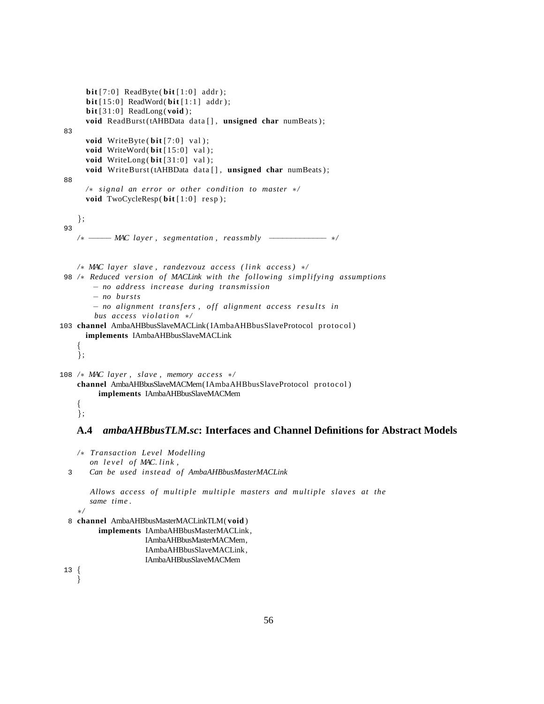```
\textbf{bit} [7:0] ReadByte (\textbf{bit} [1:0] addr);
      bit [15:0] ReadWord( bit [1:1] addr);
      bit [31:0] ReadLong( void ) ;
      void ReadBurst (tAHBData data [], unsigned char numBeats);
 83
      void WriteByte (\text{bit} [7:0] \text{ val});void WriteWord (bit [15:0] val );
      void WriteLong (bit [31:0] val );
      void WriteBurst (tAHBData data [], unsigned char numBeats);
 88
      /∗ signal an error or other condition to master ∗/
      void TwoCycleResp(bit[1:0] resp);
    };
 93
    /∗ −<del>−−−</del> MAC layer, segmentation, reassmbly −−−−−−−−−− */
    /∗ MAC layer slave , randezvouz access ( l i n k access ) ∗/
 98 /∗ Reduced version of MACLink with the following simplifying assumptions
        − no address increase during transmission
        − no bursts
        - no alignment transfers, off alignment access results in
        bus access violation */
103 channel AmbaAHBbusSlaveMACLink( IAmbaAHBbusSlaveProtocol protocol )
      implements IAmbaAHBbusSlaveMACLink
    {
    };
108 /∗ MAC layer , slave , memory access ∗/
    channel AmbaAHBbusSlaveMACMem( IAmbaAHBbusSlaveProtocol protocol )
         implements IAmbaAHBbusSlaveMACMem
    {
```
#### <span id="page-61-0"></span>**A.4** *ambaAHBbusTLM.sc***: Interfaces and Channel Definitions for Abstract Models**

```
/∗ Transaction Level Modelling
   on l e v e l of MAC. link ,
```

```
3 Can be used instead of AmbaAHBbusMasterMACLink
```

```
Allows access of multiple multiple masters and multiple slaves at the
same time .
```
∗*/*

};

```
8 channel AmbaAHBbusMasterMACLinkTLM( void )
```

```
implements IAmbaAHBbusMasterMACLink,
           IAmbaAHBbusMasterMACMem,
```

```
IAmbaAHBbusSlaveMACLink ,
IAmbaAHBbusSlaveMACMem
```

```
13 {
   }
```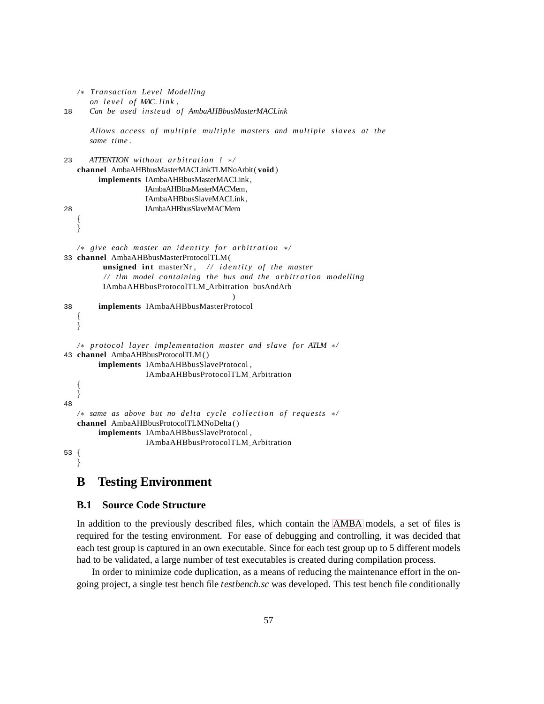```
/∗ Transaction Level Modelling
      on l e v e l of MAC. link ,
18 Can be used instead of AmbaAHBbusMasterMACLink
      Allows access of multiple multiple masters and multiple slaves at the
      same time .
23 ATTENTION without arbitration ! */
   channel AmbaAHBbusMasterMACLinkTLMNoArbit( void )
        implements IAmbaAHBbusMasterMACLink,
                   IAmbaAHBbusMasterMACMem,
                   IAmbaAHBbusSlaveMACLink ,
28 IAmbaAHBbusSlaveMACMem
   {
   }
   /∗ give each master an identity for arbitration */
33 channel AmbaAHBbusMasterProtocolTLM(
         unsigned int masterNr, // identity of the master
         / / tlm model containing the bus and the a r b i t r a t i o n modelling
         IAmbaAHBbusProtocolTLM Arbitration busAndArb
                                       )
38 implements IAmbaAHBbusMasterProtocol
   {
   }
   /∗ protocol layer implementation master and slave for ATLM ∗/
43 channel AmbaAHBbusProtocolTLM ( )
        implements IAmbaAHBbusSlaveProtocol ,
                   IAmbaAHBbusProtocolTLM Arbitration
   {
   }
48
   /∗ same as above but no delta cycle collection of requests */
   channel AmbaAHBbusProtocolTLMNoDelta ( )
        implements IAmbaAHBbusSlaveProtocol ,
                   IAmbaAHBbusProtocolTLM Arbitration
53 {
   }
```
# <span id="page-62-0"></span>**B Testing Environment**

#### <span id="page-62-1"></span>**B.1 Source Code Structure**

In addition to the previously described files, which contain the [AMBA](#page-5-1) models, a set of files is required for the testing environment. For ease of debugging and controlling, it was decided that each test group is captured in an own executable. Since for each test group up to 5 different models had to be validated, a large number of test executables is created during compilation process.

In order to minimize code duplication, as a means of reducing the maintenance effort in the ongoing project, a single test bench file *testbench*.*sc* was developed. This test bench file conditionally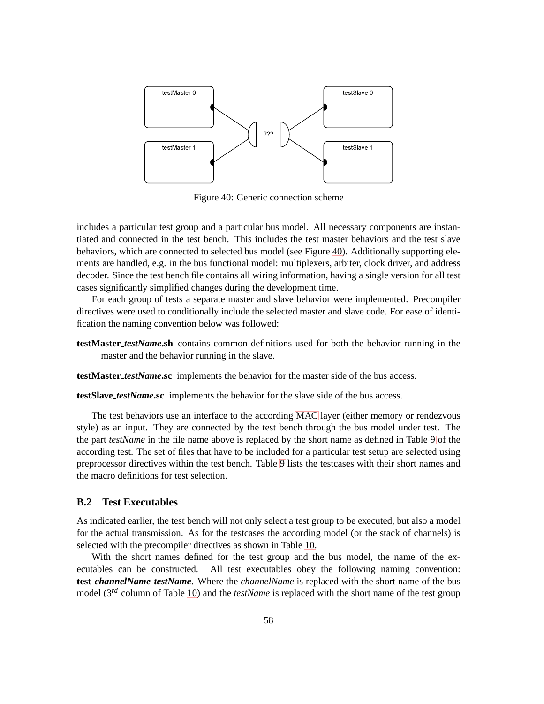

Figure 40: Generic connection scheme

includes a particular test group and a particular bus model. All necessary components are instantiated and connected in the test bench. This includes the test master behaviors and the test slave behaviors, which are connected to selected bus model (see Figure [40\)](#page-62-1). Additionally supporting elements are handled, e.g. in the bus functional model: multiplexers, arbiter, clock driver, and address decoder. Since the test bench file contains all wiring information, having a single version for all test cases significantly simplified changes during the development time.

For each group of tests a separate master and slave behavior were implemented. Precompiler directives were used to conditionally include the selected master and slave code. For ease of identification the naming convention below was followed:

**testMaster** *testName***.sh** contains common definitions used for both the behavior running in the master and the behavior running in the slave.

**testMaster** *testName***.sc** implements the behavior for the master side of the bus access.

**testSlave** *testName***.sc** implements the behavior for the slave side of the bus access.

The test behaviors use an interface to the according [MAC](#page-5-11) layer (either memory or rendezvous style) as an input. They are connected by the test bench through the bus model under test. The the part *testName* in the file name above is replaced by the short name as defined in Table [9](#page-62-1) of the according test. The set of files that have to be included for a particular test setup are selected using preprocessor directives within the test bench. Table [9](#page-62-1) lists the testcases with their short names and the macro definitions for test selection.

#### <span id="page-63-0"></span>**B.2 Test Executables**

As indicated earlier, the test bench will not only select a test group to be executed, but also a model for the actual transmission. As for the testcases the according model (or the stack of channels) is selected with the precompiler directives as shown in Table [10.](#page-63-0)

With the short names defined for the test group and the bus model, the name of the executables can be constructed. All test executables obey the following naming convention: **test** *channelName testName*. Where the *channelName* is replaced with the short name of the bus model (3*rd* column of Table [10\)](#page-63-0) and the *testName* is replaced with the short name of the test group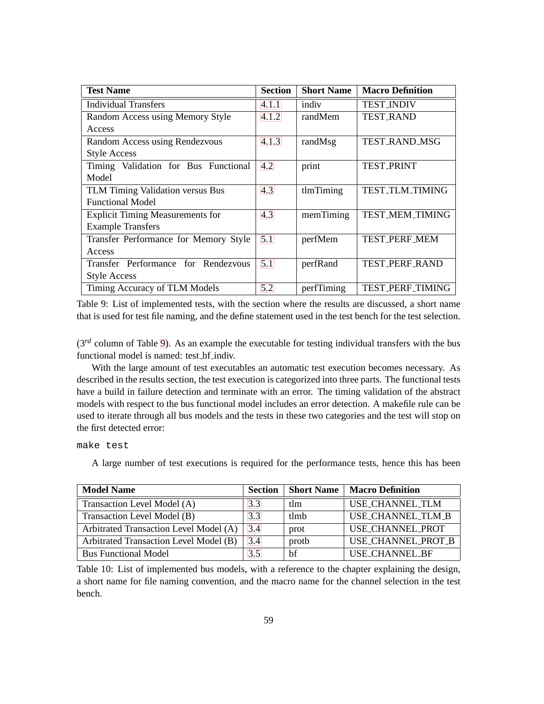| <b>Test Name</b>                        | <b>Section</b> | <b>Short Name</b> | <b>Macro Definition</b> |
|-----------------------------------------|----------------|-------------------|-------------------------|
| <b>Individual Transfers</b>             | 4.1.1          | indiv             | <b>TEST_INDIV</b>       |
| Random Access using Memory Style        | 4.1.2          | randMem           | <b>TEST_RAND</b>        |
| Access                                  |                |                   |                         |
| Random Access using Rendezvous          | 4.1.3          | randMsg           | <b>TEST_RAND_MSG</b>    |
| <b>Style Access</b>                     |                |                   |                         |
| Timing Validation for Bus Functional    | 4.2            | print             | <b>TEST_PRINT</b>       |
| Model                                   |                |                   |                         |
| TLM Timing Validation versus Bus        | 4.3            | tlmTiming         | TEST_TLM_TIMING         |
| <b>Functional Model</b>                 |                |                   |                         |
| <b>Explicit Timing Measurements for</b> | 4.3            | memTiming         | TEST_MEM_TIMING         |
| <b>Example Transfers</b>                |                |                   |                         |
| Transfer Performance for Memory Style   | 5.1            | perfMem           | <b>TEST_PERF_MEM</b>    |
| Access                                  |                |                   |                         |
| Transfer Performance for Rendezvous     | 5.1            | perfRand          | TEST_PERF_RAND          |
| <b>Style Access</b>                     |                |                   |                         |
| Timing Accuracy of TLM Models           | 5.2            | perfTiming        | TEST_PERF_TIMING        |

Table 9: List of implemented tests, with the section where the results are discussed, a short name that is used for test file naming, and the define statement used in the test bench for the test selection.

(3*rd* column of Table [9\)](#page-62-1). As an example the executable for testing individual transfers with the bus functional model is named: test\_bf\_indiv.

With the large amount of test executables an automatic test execution becomes necessary. As described in the results section, the test execution is categorized into three parts. The functional tests have a build in failure detection and terminate with an error. The timing validation of the abstract models with respect to the bus functional model includes an error detection. A makefile rule can be used to iterate through all bus models and the tests in these two categories and the test will stop on the first detected error:

make test

A large number of test executions is required for the performance tests, hence this has been

| <b>Model Name</b>                      | <b>Section</b> | <b>Short Name</b> | <b>Macro Definition</b> |
|----------------------------------------|----------------|-------------------|-------------------------|
| Transaction Level Model (A)            | 3.3            | tlm               | USE_CHANNEL_TLM         |
| Transaction Level Model (B)            | 3.3            | tlmh              | USE_CHANNEL_TLM_B       |
| Arbitrated Transaction Level Model (A) | 3.4            | prot              | USE_CHANNEL_PROT        |
| Arbitrated Transaction Level Model (B) | 3.4            | protb             | USE_CHANNEL_PROT_B      |
| <b>Bus Functional Model</b>            | 3.5            | bf                | <b>USE_CHANNEL_BF</b>   |

Table 10: List of implemented bus models, with a reference to the chapter explaining the design, a short name for file naming convention, and the macro name for the channel selection in the test bench.